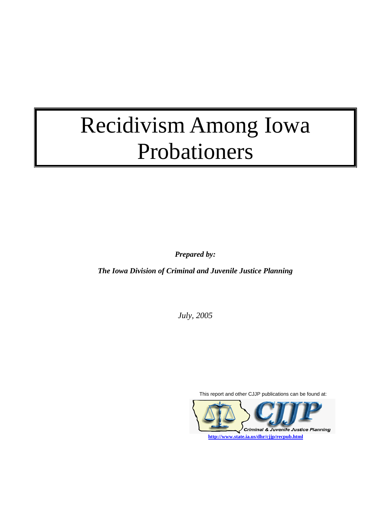# Recidivism Among Iowa Probationers

*Prepared by:* 

*The Iowa Division of Criminal and Juvenile Justice Planning* 

*July, 2005* 

This report and other CJJP publications can be found at: Criminal & Juvenile Justice Planning **http://www.state.ia.us/dhr/cjjp/recpub.html**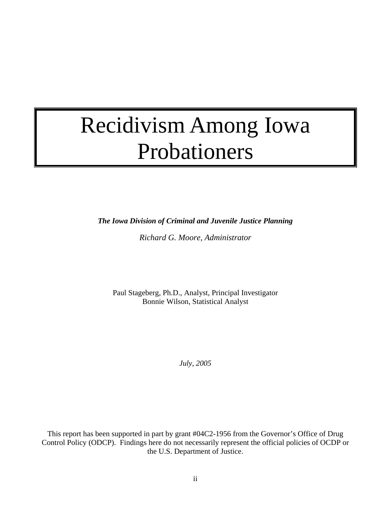## Recidivism Among Iowa Probationers

*The Iowa Division of Criminal and Juvenile Justice Planning* 

*Richard G. Moore, Administrator* 

Paul Stageberg, Ph.D., Analyst, Principal Investigator Bonnie Wilson, Statistical Analyst

*July, 2005* 

This report has been supported in part by grant #04C2-1956 from the Governor's Office of Drug Control Policy (ODCP). Findings here do not necessarily represent the official policies of OCDP or the U.S. Department of Justice.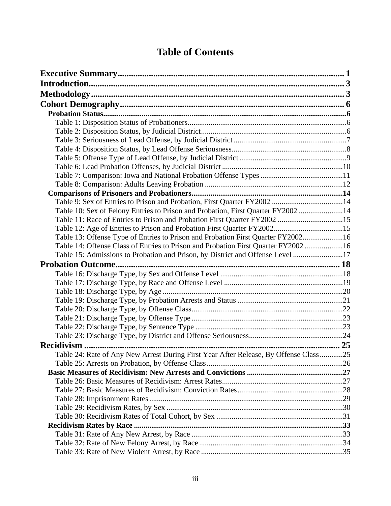## **Table of Contents**

| Table 9: Sex of Entries to Prison and Probation, First Quarter FY2002 14             |  |
|--------------------------------------------------------------------------------------|--|
| Table 10: Sex of Felony Entries to Prison and Probation, First Quarter FY2002 14     |  |
|                                                                                      |  |
|                                                                                      |  |
| Table 13: Offense Type of Entries to Prison and Probation First Quarter FY200216     |  |
| Table 14: Offense Class of Entries to Prison and Probation First Quarter FY200216    |  |
| Table 15: Admissions to Probation and Prison, by District and Offense Level 17       |  |
|                                                                                      |  |
|                                                                                      |  |
|                                                                                      |  |
|                                                                                      |  |
|                                                                                      |  |
|                                                                                      |  |
|                                                                                      |  |
|                                                                                      |  |
|                                                                                      |  |
|                                                                                      |  |
|                                                                                      |  |
|                                                                                      |  |
| Table 24: Rate of Any New Arrest During First Year After Release, By Offense Class25 |  |
|                                                                                      |  |
|                                                                                      |  |
|                                                                                      |  |
|                                                                                      |  |
|                                                                                      |  |
|                                                                                      |  |
|                                                                                      |  |
|                                                                                      |  |
|                                                                                      |  |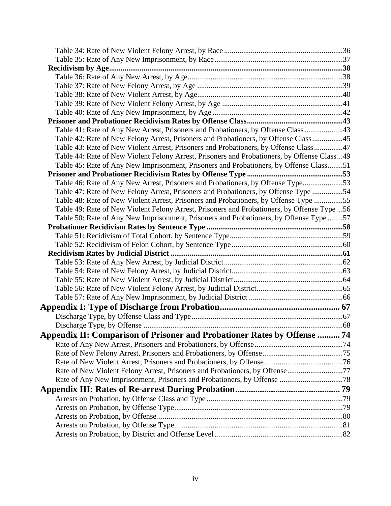| Table 41: Rate of Any New Arrest, Prisoners and Probationers, by Offense Class 43            |  |
|----------------------------------------------------------------------------------------------|--|
| Table 42: Rate of New Felony Arrest, Prisoners and Probationers, by Offense Class45          |  |
| Table 43: Rate of New Violent Arrest, Prisoners and Probationers, by Offense Class47         |  |
| Table 44: Rate of New Violent Felony Arrest, Prisoners and Probationers, by Offense Class49  |  |
| Table 45: Rate of Any New Imprisonment, Prisoners and Probationers, by Offense Class51       |  |
|                                                                                              |  |
| Table 46: Rate of Any New Arrest, Prisoners and Probationers, by Offense Type53              |  |
| Table 47: Rate of New Felony Arrest, Prisoners and Probationers, by Offense Type 54          |  |
| Table 48: Rate of New Violent Arrest, Prisoners and Probationers, by Offense Type 55         |  |
| Table 49: Rate of New Violent Felony Arrest, Prisoners and Probationers, by Offense Type  56 |  |
| Table 50: Rate of Any New Imprisonment, Prisoners and Probationers, by Offense Type 57       |  |
|                                                                                              |  |
|                                                                                              |  |
|                                                                                              |  |
|                                                                                              |  |
|                                                                                              |  |
|                                                                                              |  |
|                                                                                              |  |
|                                                                                              |  |
|                                                                                              |  |
|                                                                                              |  |
|                                                                                              |  |
|                                                                                              |  |
| Appendix II: Comparison of Prisoner and Probationer Rates by Offense  74                     |  |
|                                                                                              |  |
|                                                                                              |  |
|                                                                                              |  |
|                                                                                              |  |
|                                                                                              |  |
|                                                                                              |  |
|                                                                                              |  |
|                                                                                              |  |
|                                                                                              |  |
|                                                                                              |  |
|                                                                                              |  |
|                                                                                              |  |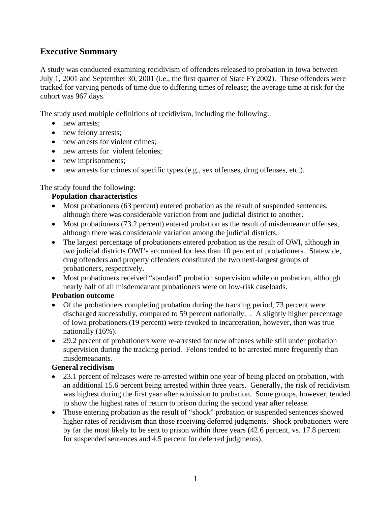## **Executive Summary**

A study was conducted examining recidivism of offenders released to probation in Iowa between July 1, 2001 and September 30, 2001 (i.e., the first quarter of State FY2002). These offenders were tracked for varying periods of time due to differing times of release; the average time at risk for the cohort was 967 days.

The study used multiple definitions of recidivism, including the following:

- new arrests:
- new felony arrests;
- new arrests for violent crimes:
- new arrests for violent felonies;
- new imprisonments;
- new arrests for crimes of specific types (e.g., sex offenses, drug offenses, etc.).

## The study found the following:

## **Population characteristics**

- Most probationers (63 percent) entered probation as the result of suspended sentences, although there was considerable variation from one judicial district to another.
- Most probationers (73.2 percent) entered probation as the result of misdemeanor offenses, although there was considerable variation among the judicial districts.
- The largest percentage of probationers entered probation as the result of OWI, although in two judicial districts OWI's accounted for less than 10 percent of probationers. Statewide, drug offenders and property offenders constituted the two next-largest groups of probationers, respectively.
- Most probationers received "standard" probation supervision while on probation, although nearly half of all misdemeanant probationers were on low-risk caseloads.

#### **Probation outcome**

- Of the probationers completing probation during the tracking period, 73 percent were discharged successfully, compared to 59 percent nationally. . A slightly higher percentage of Iowa probationers (19 percent) were revoked to incarceration, however, than was true nationally (16%).
- 29.2 percent of probationers were re-arrested for new offenses while still under probation supervision during the tracking period. Felons tended to be arrested more frequently than misdemeanants.

## **General recidivism**

- 23.1 percent of releases were re-arrested within one year of being placed on probation, with an additional 15.6 percent being arrested within three years. Generally, the risk of recidivism was highest during the first year after admission to probation. Some groups, however, tended to show the highest rates of return to prison during the second year after release.
- Those entering probation as the result of "shock" probation or suspended sentences showed higher rates of recidivism than those receiving deferred judgments. Shock probationers were by far the most likely to be sent to prison within three years (42.6 percent, vs. 17.8 percent for suspended sentences and 4.5 percent for deferred judgments).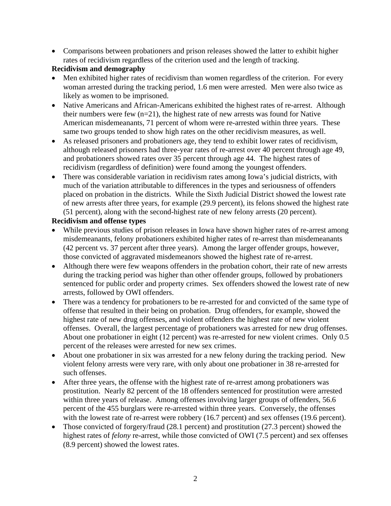• Comparisons between probationers and prison releases showed the latter to exhibit higher rates of recidivism regardless of the criterion used and the length of tracking.

## **Recidivism and demography**

- Men exhibited higher rates of recidivism than women regardless of the criterion. For every woman arrested during the tracking period, 1.6 men were arrested. Men were also twice as likely as women to be imprisoned.
- Native Americans and African-Americans exhibited the highest rates of re-arrest. Although their numbers were few  $(n=21)$ , the highest rate of new arrests was found for Native American misdemeanants, 71 percent of whom were re-arrested within three years. These same two groups tended to show high rates on the other recidivism measures, as well.
- As released prisoners and probationers age, they tend to exhibit lower rates of recidivism, although released prisoners had three-year rates of re-arrest over 40 percent through age 49, and probationers showed rates over 35 percent through age 44. The highest rates of recidivism (regardless of definition) were found among the youngest offenders.
- There was considerable variation in recidivism rates among Iowa's judicial districts, with much of the variation attributable to differences in the types and seriousness of offenders placed on probation in the districts. While the Sixth Judicial District showed the lowest rate of new arrests after three years, for example (29.9 percent), its felons showed the highest rate (51 percent), along with the second-highest rate of new felony arrests (20 percent).

#### **Recidivism and offense types**

- While previous studies of prison releases in Iowa have shown higher rates of re-arrest among misdemeanants, felony probationers exhibited higher rates of re-arrest than misdemeanants (42 percent vs. 37 percent after three years). Among the larger offender groups, however, those convicted of aggravated misdemeanors showed the highest rate of re-arrest.
- Although there were few weapons offenders in the probation cohort, their rate of new arrests during the tracking period was higher than other offender groups, followed by probationers sentenced for public order and property crimes. Sex offenders showed the lowest rate of new arrests, followed by OWI offenders.
- There was a tendency for probationers to be re-arrested for and convicted of the same type of offense that resulted in their being on probation. Drug offenders, for example, showed the highest rate of new drug offenses, and violent offenders the highest rate of new violent offenses. Overall, the largest percentage of probationers was arrested for new drug offenses. About one probationer in eight (12 percent) was re-arrested for new violent crimes. Only 0.5 percent of the releases were arrested for new sex crimes.
- About one probationer in six was arrested for a new felony during the tracking period. New violent felony arrests were very rare, with only about one probationer in 38 re-arrested for such offenses.
- After three years, the offense with the highest rate of re-arrest among probationers was prostitution. Nearly 82 percent of the 18 offenders sentenced for prostitution were arrested within three years of release. Among offenses involving larger groups of offenders, 56.6 percent of the 455 burglars were re-arrested within three years. Conversely, the offenses with the lowest rate of re-arrest were robbery (16.7 percent) and sex offenses (19.6 percent).
- Those convicted of forgery/fraud (28.1 percent) and prostitution (27.3 percent) showed the highest rates of *felony* re-arrest, while those convicted of OWI (7.5 percent) and sex offenses (8.9 percent) showed the lowest rates.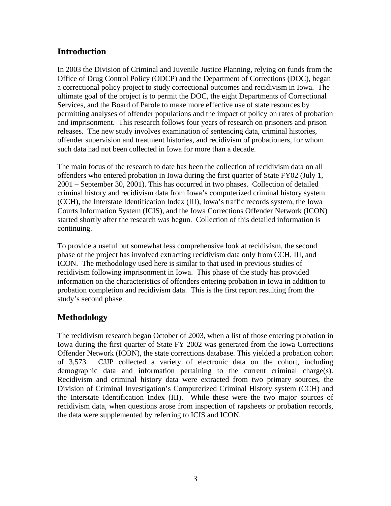## **Introduction**

In 2003 the Division of Criminal and Juvenile Justice Planning, relying on funds from the Office of Drug Control Policy (ODCP) and the Department of Corrections (DOC), began a correctional policy project to study correctional outcomes and recidivism in Iowa. The ultimate goal of the project is to permit the DOC, the eight Departments of Correctional Services, and the Board of Parole to make more effective use of state resources by permitting analyses of offender populations and the impact of policy on rates of probation and imprisonment. This research follows four years of research on prisoners and prison releases. The new study involves examination of sentencing data, criminal histories, offender supervision and treatment histories, and recidivism of probationers, for whom such data had not been collected in Iowa for more than a decade.

The main focus of the research to date has been the collection of recidivism data on all offenders who entered probation in Iowa during the first quarter of State FY02 (July 1, 2001 – September 30, 2001). This has occurred in two phases. Collection of detailed criminal history and recidivism data from Iowa's computerized criminal history system (CCH), the Interstate Identification Index (III), Iowa's traffic records system, the Iowa Courts Information System (ICIS), and the Iowa Corrections Offender Network (ICON) started shortly after the research was begun. Collection of this detailed information is continuing.

To provide a useful but somewhat less comprehensive look at recidivism, the second phase of the project has involved extracting recidivism data only from CCH, III, and ICON. The methodology used here is similar to that used in previous studies of recidivism following imprisonment in Iowa. This phase of the study has provided information on the characteristics of offenders entering probation in Iowa in addition to probation completion and recidivism data. This is the first report resulting from the study's second phase.

## **Methodology**

The recidivism research began October of 2003, when a list of those entering probation in Iowa during the first quarter of State FY 2002 was generated from the Iowa Corrections Offender Network (ICON), the state corrections database. This yielded a probation cohort of 3,573. CJJP collected a variety of electronic data on the cohort, including demographic data and information pertaining to the current criminal charge(s). Recidivism and criminal history data were extracted from two primary sources, the Division of Criminal Investigation's Computerized Criminal History system (CCH) and the Interstate Identification Index (III). While these were the two major sources of recidivism data, when questions arose from inspection of rapsheets or probation records, the data were supplemented by referring to ICIS and ICON.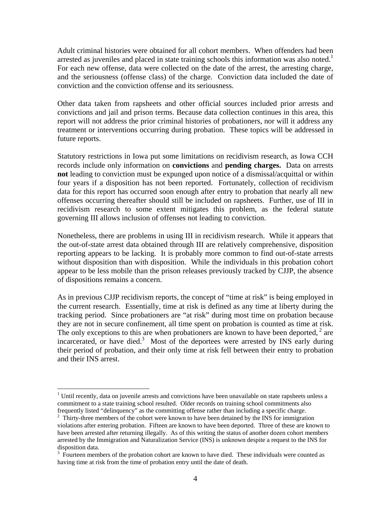Adult criminal histories were obtained for all cohort members. When offenders had been arrested as juveniles and placed in state training schools this information was also noted.<sup>1</sup> For each new offense, data were collected on the date of the arrest, the arresting charge, and the seriousness (offense class) of the charge. Conviction data included the date of conviction and the conviction offense and its seriousness.

Other data taken from rapsheets and other official sources included prior arrests and convictions and jail and prison terms. Because data collection continues in this area, this report will not address the prior criminal histories of probationers, nor will it address any treatment or interventions occurring during probation. These topics will be addressed in future reports.

Statutory restrictions in Iowa put some limitations on recidivism research, as Iowa CCH records include only information on **convictions** and **pending charges.** Data on arrests **not** leading to conviction must be expunged upon notice of a dismissal/acquittal or within four years if a disposition has not been reported. Fortunately, collection of recidivism data for this report has occurred soon enough after entry to probation that nearly all new offenses occurring thereafter should still be included on rapsheets. Further, use of III in recidivism research to some extent mitigates this problem, as the federal statute governing III allows inclusion of offenses not leading to conviction.

Nonetheless, there are problems in using III in recidivism research. While it appears that the out-of-state arrest data obtained through III are relatively comprehensive, disposition reporting appears to be lacking. It is probably more common to find out-of-state arrests without disposition than with disposition. While the individuals in this probation cohort appear to be less mobile than the prison releases previously tracked by CJJP, the absence of dispositions remains a concern.

As in previous CJJP recidivism reports, the concept of "time at risk" is being employed in the current research. Essentially, time at risk is defined as any time at liberty during the tracking period. Since probationers are "at risk" during most time on probation because they are not in secure confinement, all time spent on probation is counted as time at risk. The only exceptions to this are when probationers are known to have been deported,  $2$  are incarcerated, or have died.<sup>3</sup> Most of the deportees were arrested by INS early during their period of probation, and their only time at risk fell between their entry to probation and their INS arrest.

 $<sup>1</sup>$  Until recently, data on juvenile arrests and convictions have been unavailable on state rapsheets unless a</sup> commitment to a state training school resulted. Older records on training school commitments also frequently listed "delinquency" as the committing offense rather than including a specific charge. 2

 $2\degree$  Thirty-three members of the cohort were known to have been detained by the INS for immigration violations after entering probation. Fifteen are known to have been deported. Three of these are known to have been arrested after returning illegally. As of this writing the status of another dozen cohort members arrested by the Immigration and Naturalization Service (INS) is unknown despite a request to the INS for disposition data.

 $3$  Fourteen members of the probation cohort are known to have died. These individuals were counted as having time at risk from the time of probation entry until the date of death.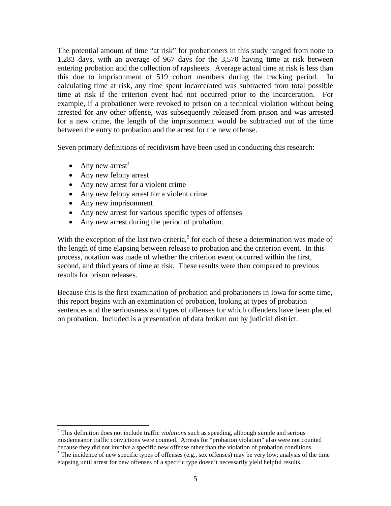The potential amount of time "at risk" for probationers in this study ranged from none to 1,283 days, with an average of 967 days for the 3,570 having time at risk between entering probation and the collection of rapsheets. Average actual time at risk is less than this due to imprisonment of 519 cohort members during the tracking period. In calculating time at risk, any time spent incarcerated was subtracted from total possible time at risk if the criterion event had not occurred prior to the incarceration. For example, if a probationer were revoked to prison on a technical violation without being arrested for any other offense, was subsequently released from prison and was arrested for a new crime, the length of the imprisonment would be subtracted out of the time between the entry to probation and the arrest for the new offense.

Seven primary definitions of recidivism have been used in conducting this research:

• Any new arrest<sup>4</sup>

 $\overline{a}$ 

- Any new felony arrest
- Any new arrest for a violent crime
- Any new felony arrest for a violent crime
- Any new imprisonment
- Any new arrest for various specific types of offenses
- Any new arrest during the period of probation.

With the exception of the last two criteria,<sup>5</sup> for each of these a determination was made of the length of time elapsing between release to probation and the criterion event. In this process, notation was made of whether the criterion event occurred within the first, second, and third years of time at risk. These results were then compared to previous results for prison releases.

Because this is the first examination of probation and probationers in Iowa for some time, this report begins with an examination of probation, looking at types of probation sentences and the seriousness and types of offenses for which offenders have been placed on probation. Included is a presentation of data broken out by judicial district.

<sup>4</sup> This definition does not include traffic *violations* such as speeding, although simple and serious misdemeanor traffic convictions were counted. Arrests for "probation violation" also were not counted because they did not involve a specific new offense other than the violation of probation conditions. 5

 $5$  The incidence of new specific types of offenses (e.g., sex offenses) may be very low; analysis of the time elapsing until arrest for new offenses of a specific type doesn't necessarily yield helpful results.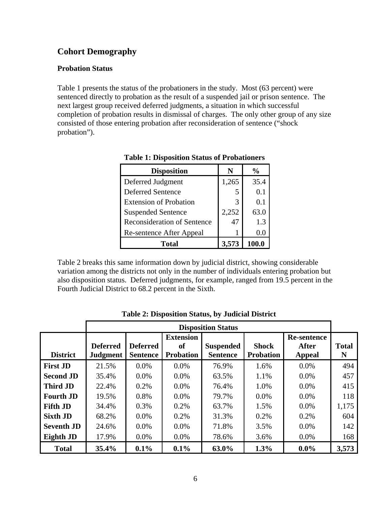## **Cohort Demography**

#### **Probation Status**

Table 1 presents the status of the probationers in the study. Most (63 percent) were sentenced directly to probation as the result of a suspended jail or prison sentence. The next largest group received deferred judgments, a situation in which successful completion of probation results in dismissal of charges. The only other group of any size consisted of those entering probation after reconsideration of sentence ("shock probation").

| <b>Disposition</b>                 | N     | $\frac{6}{10}$ |
|------------------------------------|-------|----------------|
| Deferred Judgment                  | 1,265 | 35.4           |
| <b>Deferred Sentence</b>           | 5     | 0.1            |
| <b>Extension of Probation</b>      | 3     | 0.1            |
| <b>Suspended Sentence</b>          | 2,252 | 63.0           |
| <b>Reconsideration of Sentence</b> | 47    | 1.3            |
| Re-sentence After Appeal           |       | (0.0)          |
| Total                              | 3,573 | 100.0          |

**Table 1: Disposition Status of Probationers** 

Table 2 breaks this same information down by judicial district, showing considerable variation among the districts not only in the number of individuals entering probation but also disposition status. Deferred judgments, for example, ranged from 19.5 percent in the Fourth Judicial District to 68.2 percent in the Sixth.

|                   |                                    |                                    |                                            | <b>Disposition Status</b>           |                                  |                                       |                   |
|-------------------|------------------------------------|------------------------------------|--------------------------------------------|-------------------------------------|----------------------------------|---------------------------------------|-------------------|
| <b>District</b>   | <b>Deferred</b><br><b>Judgment</b> | <b>Deferred</b><br><b>Sentence</b> | <b>Extension</b><br>of<br><b>Probation</b> | <b>Suspended</b><br><b>Sentence</b> | <b>Shock</b><br><b>Probation</b> | Re-sentence<br><b>After</b><br>Appeal | <b>Total</b><br>N |
| <b>First JD</b>   | 21.5%                              | $0.0\%$                            | $0.0\%$                                    | 76.9%                               | 1.6%                             | $0.0\%$                               | 494               |
| <b>Second JD</b>  | 35.4%                              | $0.0\%$                            | $0.0\%$                                    | 63.5%                               | 1.1%                             | $0.0\%$                               | 457               |
| <b>Third JD</b>   | 22.4%                              | 0.2%                               | $0.0\%$                                    | 76.4%                               | 1.0%                             | $0.0\%$                               | 415               |
| <b>Fourth JD</b>  | 19.5%                              | 0.8%                               | $0.0\%$                                    | 79.7%                               | $0.0\%$                          | $0.0\%$                               | 118               |
| <b>Fifth JD</b>   | 34.4%                              | $0.3\%$                            | 0.2%                                       | 63.7%                               | 1.5%                             | $0.0\%$                               | 1,175             |
| <b>Sixth JD</b>   | 68.2%                              | $0.0\%$                            | 0.2%                                       | 31.3%                               | 0.2%                             | 0.2%                                  | 604               |
| <b>Seventh JD</b> | 24.6%                              | $0.0\%$                            | $0.0\%$                                    | 71.8%                               | 3.5%                             | $0.0\%$                               | 142               |
| Eighth JD         | 17.9%                              | $0.0\%$                            | $0.0\%$                                    | 78.6%                               | 3.6%                             | $0.0\%$                               | 168               |
| <b>Total</b>      | 35.4%                              | 0.1%                               | 0.1%                                       | 63.0%                               | 1.3%                             | $0.0\%$                               | 3,573             |

**Table 2: Disposition Status, by Judicial District**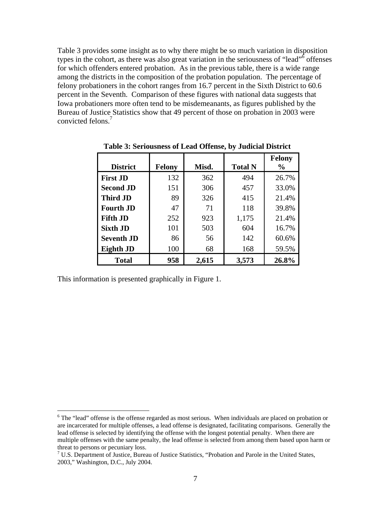Table 3 provides some insight as to why there might be so much variation in disposition types in the cohort, as there was also great variation in the seriousness of "lead" $\delta$  offenses for which offenders entered probation. As in the previous table, there is a wide range among the districts in the composition of the probation population. The percentage of felony probationers in the cohort ranges from 16.7 percent in the Sixth District to 60.6 percent in the Seventh. Comparison of these figures with national data suggests that Iowa probationers more often tend to be misdemeanants, as figures published by the Bureau of Justice Statistics show that 49 percent of those on probation in 2003 were convicted felons.<sup>7</sup>

|                   |               |       |                | <b>Felony</b> |
|-------------------|---------------|-------|----------------|---------------|
| <b>District</b>   | <b>Felony</b> | Misd. | <b>Total N</b> | $\frac{0}{0}$ |
| <b>First JD</b>   | 132           | 362   | 494            | 26.7%         |
| <b>Second JD</b>  | 151           | 306   | 457            | 33.0%         |
| <b>Third JD</b>   | 89            | 326   | 415            | 21.4%         |
| <b>Fourth JD</b>  | 47            | 71    | 118            | 39.8%         |
| <b>Fifth JD</b>   | 252           | 923   | 1,175          | 21.4%         |
| <b>Sixth JD</b>   | 101           | 503   | 604            | 16.7%         |
| <b>Seventh JD</b> | 86            | 56    | 142            | 60.6%         |
| Eighth JD         | 100           | 68    | 168            | 59.5%         |
| <b>Total</b>      | 958           | 2,615 | 3,573          | 26.8%         |

**Table 3: Seriousness of Lead Offense, by Judicial District** 

This information is presented graphically in Figure 1.

 $6$  The "lead" offense is the offense regarded as most serious. When individuals are placed on probation or are incarcerated for multiple offenses, a lead offense is designated, facilitating comparisons. Generally the lead offense is selected by identifying the offense with the longest potential penalty. When there are multiple offenses with the same penalty, the lead offense is selected from among them based upon harm or threat to persons or pecuniary loss.

<sup>&</sup>lt;sup>7</sup> U.S. Department of Justice, Bureau of Justice Statistics, "Probation and Parole in the United States, 2003," Washington, D.C., July 2004.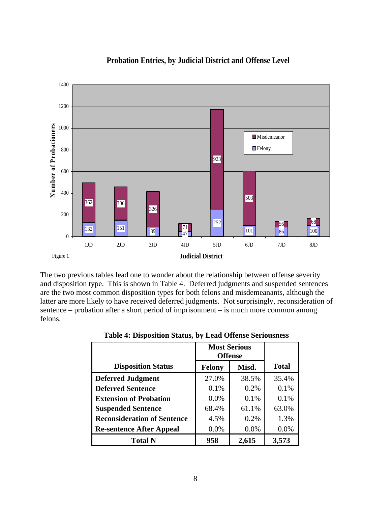

## **Probation Entries, by Judicial District and Offense Level**

The two previous tables lead one to wonder about the relationship between offense severity and disposition type. This is shown in Table 4. Deferred judgments and suspended sentences are the two most common disposition types for both felons and misdemeanants, although the latter are more likely to have received deferred judgments. Not surprisingly, reconsideration of sentence – probation after a short period of imprisonment – is much more common among felons.

|                                    | <b>Most Serious</b><br><b>Offense</b> |       |              |
|------------------------------------|---------------------------------------|-------|--------------|
| <b>Disposition Status</b>          | <b>Felony</b>                         | Misd. | <b>Total</b> |
| <b>Deferred Judgment</b>           | 27.0%                                 | 38.5% | 35.4%        |
| <b>Deferred Sentence</b>           | 0.1%                                  | 0.2%  | 0.1%         |
| <b>Extension of Probation</b>      | 0.0%                                  | 0.1%  | 0.1%         |
| <b>Suspended Sentence</b>          | 68.4%                                 | 61.1% | 63.0%        |
| <b>Reconsideration of Sentence</b> | 4.5%                                  | 0.2%  | 1.3%         |
| <b>Re-sentence After Appeal</b>    | 0.0%                                  | 0.0%  | 0.0%         |
| <b>Total N</b>                     | 958                                   | 2,615 | 3,573        |

#### **Table 4: Disposition Status, by Lead Offense Seriousness**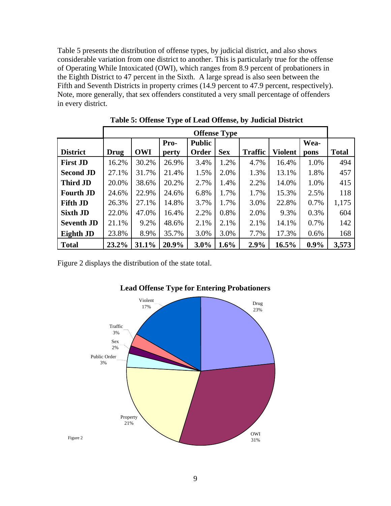Table 5 presents the distribution of offense types, by judicial district, and also shows considerable variation from one district to another. This is particularly true for the offense of Operating While Intoxicated (OWI), which ranges from 8.9 percent of probationers in the Eighth District to 47 percent in the Sixth. A large spread is also seen between the Fifth and Seventh Districts in property crimes (14.9 percent to 47.9 percent, respectively). Note, more generally, that sex offenders constituted a very small percentage of offenders in every district.

|                   | <b>Offense Type</b> |            |       |               |            |                |                |         |              |  |  |  |
|-------------------|---------------------|------------|-------|---------------|------------|----------------|----------------|---------|--------------|--|--|--|
|                   |                     |            | Pro-  | <b>Public</b> |            |                |                | Wea-    |              |  |  |  |
| <b>District</b>   | <b>Drug</b>         | <b>OWI</b> | perty | Order         | <b>Sex</b> | <b>Traffic</b> | <b>Violent</b> | pons    | <b>Total</b> |  |  |  |
| <b>First JD</b>   | 16.2%               | 30.2%      | 26.9% | 3.4%          | 1.2%       | 4.7%           | 16.4%          | 1.0%    | 494          |  |  |  |
| <b>Second JD</b>  | 27.1%               | 31.7%      | 21.4% | 1.5%          | 2.0%       | 1.3%           | 13.1%          | 1.8%    | 457          |  |  |  |
| <b>Third JD</b>   | 20.0%               | 38.6%      | 20.2% | 2.7%          | 1.4%       | 2.2%           | 14.0%          | 1.0%    | 415          |  |  |  |
| <b>Fourth JD</b>  | 24.6%               | 22.9%      | 24.6% | 6.8%          | 1.7%       | 1.7%           | 15.3%          | 2.5%    | 118          |  |  |  |
| <b>Fifth JD</b>   | 26.3%               | 27.1%      | 14.8% | 3.7%          | 1.7%       | 3.0%           | 22.8%          | 0.7%    | 1,175        |  |  |  |
| <b>Sixth JD</b>   | 22.0%               | 47.0%      | 16.4% | 2.2%          | 0.8%       | 2.0%           | 9.3%           | 0.3%    | 604          |  |  |  |
| <b>Seventh JD</b> | 21.1%               | 9.2%       | 48.6% | 2.1%          | 2.1%       | 2.1%           | 14.1%          | 0.7%    | 142          |  |  |  |
| Eighth JD         | 23.8%               | 8.9%       | 35.7% | 3.0%          | 3.0%       | 7.7%           | 17.3%          | 0.6%    | 168          |  |  |  |
| <b>Total</b>      | 23.2%               | 31.1%      | 20.9% | $3.0\%$       | 1.6%       | 2.9%           | 16.5%          | $0.9\%$ | 3,573        |  |  |  |

 **Table 5: Offense Type of Lead Offense, by Judicial District** 

Figure 2 displays the distribution of the state total.



## **Lead Offense Type for Entering Probationers**

Figure 2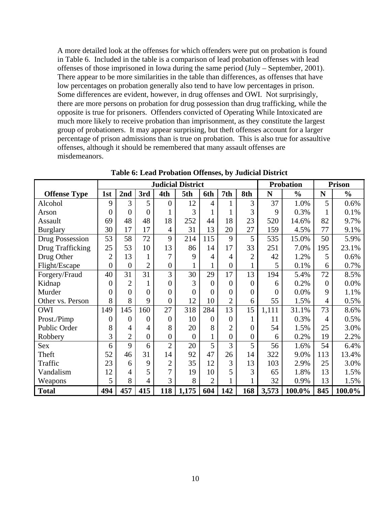A more detailed look at the offenses for which offenders were put on probation is found in Table 6. Included in the table is a comparison of lead probation offenses with lead offenses of those imprisoned in Iowa during the same period (July – September, 2001). There appear to be more similarities in the table than differences, as offenses that have low percentages on probation generally also tend to have low percentages in prison. Some differences are evident, however, in drug offenses and OWI. Not surprisingly, there are more persons on probation for drug possession than drug trafficking, while the opposite is true for prisoners. Offenders convicted of Operating While Intoxicated are much more likely to receive probation than imprisonment, as they constitute the largest group of probationers. It may appear surprising, but theft offenses account for a larger percentage of prison admissions than is true on probation. This is also true for assaultive offenses, although it should be remembered that many assault offenses are misdemeanors.

|                        |                |                |                |                  | <b>Judicial District</b> |                |                  |                  |          | <b>Probation</b> |                  | <b>Prison</b> |
|------------------------|----------------|----------------|----------------|------------------|--------------------------|----------------|------------------|------------------|----------|------------------|------------------|---------------|
| <b>Offense Type</b>    | 1st            | 2nd            | 3rd            | 4th              | 5th                      | 6th            | 7th              | 8th              | N        | $\frac{0}{0}$    | N                | $\frac{0}{0}$ |
| Alcohol                | 9              | 3              | 5              | $\overline{0}$   | 12                       | $\overline{4}$ |                  | 3                | 37       | 1.0%             | 5                | 0.6%          |
| Arson                  | $\overline{0}$ | 0              | $\theta$       |                  | 3                        |                |                  | 3                | 9        | 0.3%             |                  | 0.1%          |
| Assault                | 69             | 48             | 48             | 18               | 252                      | 44             | 18               | 23               | 520      | 14.6%            | 82               | 9.7%          |
| <b>Burglary</b>        | 30             | 17             | 17             | $\overline{4}$   | 31                       | 13             | 20               | 27               | 159      | 4.5%             | 77               | 9.1%          |
| <b>Drug Possession</b> | 53             | 58             | 72             | 9                | 214                      | 115            | 9                | 5                | 535      | 15.0%            | 50               | 5.9%          |
| Drug Trafficking       | 25             | 53             | 10             | 13               | 86                       | 14             | 17               | 33               | 251      | 7.0%             | 195              | 23.1%         |
| Drug Other             | $\overline{2}$ | 13             | $\mathbf{1}$   | 7                | 9                        | $\overline{4}$ | 4                | $\overline{2}$   | 42       | 1.2%             | 5                | 0.6%          |
| Flight/Escape          | $\overline{0}$ | $\overline{0}$ | $\overline{2}$ | $\boldsymbol{0}$ |                          | $\mathbf{1}$   | $\boldsymbol{0}$ | $\mathbf{1}$     | 5        | 0.1%             | 6                | 0.7%          |
| Forgery/Fraud          | 40             | 31             | 31             | 3                | 30                       | 29             | 17               | 13               | 194      | 5.4%             | 72               | 8.5%          |
| Kidnap                 | $\overline{0}$ | $\overline{2}$ | 1              | $\overline{0}$   | 3                        | $\overline{0}$ | $\theta$         | $\theta$         | 6        | 0.2%             | $\boldsymbol{0}$ | 0.0%          |
| Murder                 | $\theta$       | 0              | $\theta$       | $\overline{0}$   | $\overline{0}$           | $\theta$       | $\overline{0}$   | $\theta$         | $\theta$ | 0.0%             | 9                | 1.1%          |
| Other vs. Person       | 8              | 8              | 9              | $\overline{0}$   | 12                       | 10             | $\overline{2}$   | 6                | 55       | 1.5%             | $\overline{4}$   | 0.5%          |
| <b>OWI</b>             | 149            | 145            | 160            | 27               | 318                      | 284            | 13               | 15               | 1,111    | 31.1%            | 73               | 8.6%          |
| Prost./Pimp            | $\overline{0}$ | $\theta$       | $\theta$       | $\overline{0}$   | 10                       | $\overline{0}$ | $\overline{0}$   | $\mathbf{1}$     | 11       | 0.3%             | 4                | 0.5%          |
| Public Order           | 8              | 4              | 4              | 8                | 20                       | 8              | $\overline{2}$   | $\theta$         | 54       | 1.5%             | 25               | 3.0%          |
| Robbery                | 3              | $\overline{2}$ | $\overline{0}$ | $\overline{0}$   | $\overline{0}$           | $\mathbf{1}$   | $\overline{0}$   | $\boldsymbol{0}$ | 6        | 0.2%             | 19               | 2.2%          |
| <b>Sex</b>             | 6              | 9              | 6              | $\overline{2}$   | 20                       | 5              | 3                | 5                | 56       | 1.6%             | 54               | 6.4%          |
| Theft                  | 52             | 46             | 31             | 14               | 92                       | 47             | 26               | 14               | 322      | 9.0%             | 113              | 13.4%         |
| Traffic                | 23             | 6              | 9              | $\overline{2}$   | 35                       | 12             | 3                | 13               | 103      | 2.9%             | 25               | 3.0%          |
| Vandalism              | 12             | 4              | 5              | 7                | 19                       | 10             | 5                | 3                | 65       | 1.8%             | 13               | 1.5%          |
| Weapons                | 5              | 8              | $\overline{4}$ | 3                | 8                        | $\overline{2}$ |                  |                  | 32       | 0.9%             | 13               | 1.5%          |
| <b>Total</b>           | 494            | 457            | 415            | 118              | 1,175                    | 604            | 142              | 168              | 3,573    | 100.0%           | 845              | 100.0%        |

**Table 6: Lead Probation Offenses, by Judicial District**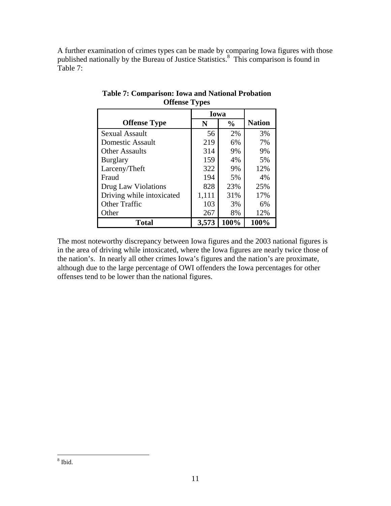A further examination of crimes types can be made by comparing Iowa figures with those published nationally by the Bureau of Justice Statistics.<sup>8</sup> This comparison is found in Table 7:

|                           | Iowa  |               |               |
|---------------------------|-------|---------------|---------------|
| <b>Offense Type</b>       | N     | $\frac{6}{9}$ | <b>Nation</b> |
| Sexual Assault            | 56    | 2%            | 3%            |
| Domestic Assault          | 219   | 6%            | 7%            |
| <b>Other Assaults</b>     | 314   | 9%            | 9%            |
| <b>Burglary</b>           | 159   | 4%            | 5%            |
| Larceny/Theft             | 322   | 9%            | 12%           |
| Fraud                     | 194   | 5%            | 4%            |
| Drug Law Violations       | 828   | 23%           | 25%           |
| Driving while intoxicated | 1,111 | 31%           | 17%           |
| <b>Other Traffic</b>      | 103   | 3%            | 6%            |
| Other                     | 267   | 8%            | 12%           |
| <b>Total</b>              | 3,573 | 100%          | 100%          |

**Table 7: Comparison: Iowa and National Probation Offense Types** 

The most noteworthy discrepancy between Iowa figures and the 2003 national figures is in the area of driving while intoxicated, where the Iowa figures are nearly twice those of the nation's. In nearly all other crimes Iowa's figures and the nation's are proximate, although due to the large percentage of OWI offenders the Iowa percentages for other offenses tend to be lower than the national figures.

 8 Ibid.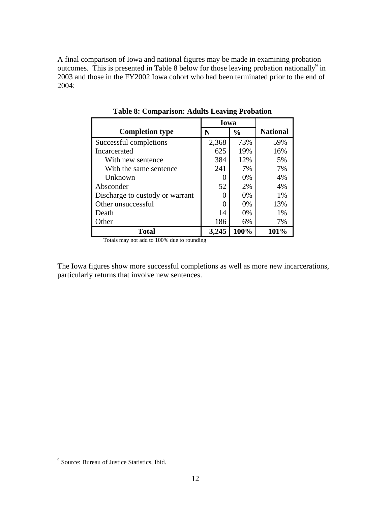A final comparison of Iowa and national figures may be made in examining probation outcomes. This is presented in Table 8 below for those leaving probation nationally<sup>9</sup> in 2003 and those in the FY2002 Iowa cohort who had been terminated prior to the end of 2004:

|                                 | Iowa         |               |                 |
|---------------------------------|--------------|---------------|-----------------|
| <b>Completion type</b>          | N            | $\frac{0}{0}$ | <b>National</b> |
| Successful completions          | 2,368        | 73%           | 59%             |
| Incarcerated                    | 625          | 19%           | 16%             |
| With new sentence               | 384          | 12%           | 5%              |
| With the same sentence          | 241          | 7%            | 7%              |
| Unknown                         | $\mathbf{0}$ | 0%            | 4%              |
| Absconder                       | 52           | 2%            | 4%              |
| Discharge to custody or warrant |              | 0%            | 1%              |
| Other unsuccessful              |              | 0%            | 13%             |
| Death                           | 14           | 0%            | 1%              |
| Other                           | 186          | 6%            | 7%              |
| Total                           | 3,245        | 100%          | 101%            |

**Table 8: Comparison: Adults Leaving Probation** 

Totals may not add to 100% due to rounding

The Iowa figures show more successful completions as well as more new incarcerations, particularly returns that involve new sentences.

 9 Source: Bureau of Justice Statistics, Ibid.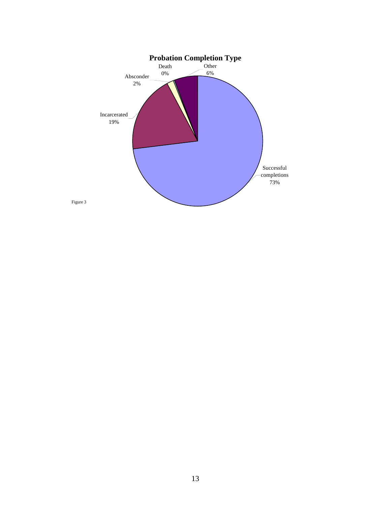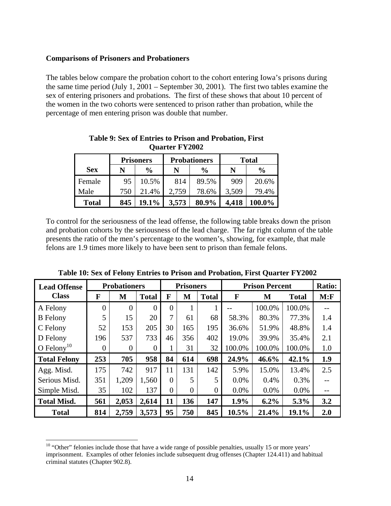#### **Comparisons of Prisoners and Probationers**

The tables below compare the probation cohort to the cohort entering Iowa's prisons during the same time period (July 1, 2001 – September 30, 2001). The first two tables examine the sex of entering prisoners and probations. The first of these shows that about 10 percent of the women in the two cohorts were sentenced to prison rather than probation, while the percentage of men entering prison was double that number.

|              |     | <b>Prisoners</b> |       | <b>Probationers</b> | <b>Total</b> |               |  |
|--------------|-----|------------------|-------|---------------------|--------------|---------------|--|
| <b>Sex</b>   | N   | $\frac{6}{9}$    | N     | $\frac{6}{9}$       | N            | $\frac{0}{0}$ |  |
| Female       | 95  | 10.5%            | 814   | 89.5%               | 909          | 20.6%         |  |
| Male         | 750 | 21.4%            | 2,759 | 78.6%               | 3,509        | 79.4%         |  |
| <b>Total</b> | 845 | 19.1%            | 3,573 | 80.9%               | 4,418        | 100.0%        |  |

**Table 9: Sex of Entries to Prison and Probation, First Quarter FY2002** 

To control for the seriousness of the lead offense, the following table breaks down the prison and probation cohorts by the seriousness of the lead charge. The far right column of the table presents the ratio of the men's percentage to the women's, showing, for example, that male felons are 1.9 times more likely to have been sent to prison than female felons.

| <b>Lead Offense</b>    |          | <b>Probationers</b> |              | <b>Prisoners</b> |                |                | <b>Prison Percent</b> | <b>Ratio:</b> |              |      |
|------------------------|----------|---------------------|--------------|------------------|----------------|----------------|-----------------------|---------------|--------------|------|
| <b>Class</b>           | F        | M                   | <b>Total</b> | F                | M              | <b>Total</b>   | F                     | M             | <b>Total</b> | M: F |
| A Felony               | $\theta$ | $\Omega$            | $\theta$     | $\Omega$         |                | 1              |                       | 100.0%        | 100.0%       |      |
| <b>B</b> Felony        | 5        | 15                  | 20           | 7                | 61             | 68             | 58.3%                 | 80.3%         | 77.3%        | 1.4  |
| C Felony               | 52       | 153                 | 205          | 30               | 165            | 195            | 36.6%                 | 51.9%         | 48.8%        | 1.4  |
| D Felony               | 196      | 537                 | 733          | 46               | 356            | 402            | 19.0%                 | 39.9%         | 35.4%        | 2.1  |
| O Felony <sup>10</sup> | 0        | $\theta$            | $\Omega$     |                  | 31             | 32             | 100.0%                | 100.0%        | 100.0%       | 1.0  |
| <b>Total Felony</b>    | 253      | 705                 | 958          | 84               | 614            | 698            | 24.9%                 | 46.6%         | 42.1%        | 1.9  |
| Agg. Misd.             | 175      | 742                 | 917          | 11               | 131            | 142            | 5.9%                  | 15.0%         | 13.4%        | 2.5  |
| Serious Misd.          | 351      | 1,209               | 1,560        | $\Omega$         | 5              | 5              | 0.0%                  | 0.4%          | 0.3%         |      |
| Simple Misd.           | 35       | 102                 | 137          | $\overline{0}$   | $\overline{0}$ | $\overline{0}$ | $0.0\%$               | 0.0%          | $0.0\%$      |      |
| <b>Total Misd.</b>     | 561      | 2,053               | 2,614        | 11               | 136            | 147            | 1.9%                  | $6.2\%$       | 5.3%         | 3.2  |
| <b>Total</b>           | 814      | 2,759               | 3,573        | 95               | 750            | 845            | 10.5%                 | 21.4%         | 19.1%        | 2.0  |

**Table 10: Sex of Felony Entries to Prison and Probation, First Quarter FY2002** 

 $10$  "Other" felonies include those that have a wide range of possible penalties, usually 15 or more years' imprisonment. Examples of other felonies include subsequent drug offenses (Chapter 124.411) and habitual criminal statutes (Chapter 902.8).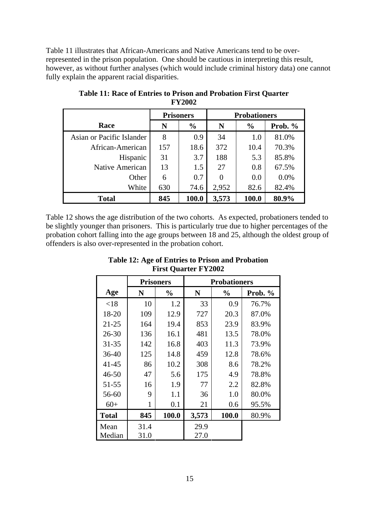Table 11 illustrates that African-Americans and Native Americans tend to be overrepresented in the prison population. One should be cautious in interpreting this result, however, as without further analyses (which would include criminal history data) one cannot fully explain the apparent racial disparities.

|                           | <b>Prisoners</b> |               | <b>Probationers</b> |               |         |  |
|---------------------------|------------------|---------------|---------------------|---------------|---------|--|
| Race                      | N                | $\frac{6}{9}$ | N                   | $\frac{0}{0}$ | Prob. % |  |
| Asian or Pacific Islander | 8                | 0.9           | 34                  | 1.0           | 81.0%   |  |
| African-American          | 157              | 18.6          | 372                 | 10.4          | 70.3%   |  |
| Hispanic                  | 31               | 3.7           | 188                 | 5.3           | 85.8%   |  |
| Native American           | 13               | 1.5           | 27                  | 0.8           | 67.5%   |  |
| Other                     | 6                | 0.7           | $\Omega$            | 0.0           | 0.0%    |  |
| White                     | 630              | 74.6          | 2,952               | 82.6          | 82.4%   |  |
| <b>Total</b>              | 845              | 100.0         | 3,573               | 100.0         | 80.9%   |  |

**Table 11: Race of Entries to Prison and Probation First Quarter FY2002** 

Table 12 shows the age distribution of the two cohorts. As expected, probationers tended to be slightly younger than prisoners. This is particularly true due to higher percentages of the probation cohort falling into the age groups between 18 and 25, although the oldest group of offenders is also over-represented in the probation cohort.

|              |      | <b>Prisoners</b> |       | <b>Probationers</b> |         |  |  |  |
|--------------|------|------------------|-------|---------------------|---------|--|--|--|
| Age          | N    | $\frac{0}{0}$    | N     | $\frac{0}{0}$       | Prob. % |  |  |  |
| < 18         | 10   | 1.2              | 33    | 0.9                 | 76.7%   |  |  |  |
| 18-20        | 109  | 12.9             | 727   | 20.3                | 87.0%   |  |  |  |
| $21 - 25$    | 164  | 19.4             | 853   | 23.9                | 83.9%   |  |  |  |
| 26-30        | 136  | 16.1             | 481   | 13.5                | 78.0%   |  |  |  |
| $31 - 35$    | 142  | 16.8             | 403   | 11.3                | 73.9%   |  |  |  |
| 36-40        | 125  | 14.8             | 459   | 12.8                | 78.6%   |  |  |  |
| $41 - 45$    | 86   | 10.2             | 308   | 8.6                 | 78.2%   |  |  |  |
| $46 - 50$    | 47   | 5.6              | 175   | 4.9                 | 78.8%   |  |  |  |
| 51-55        | 16   | 1.9              | 77    | 2.2                 | 82.8%   |  |  |  |
| 56-60        | 9    | 1.1              | 36    | 1.0                 | 80.0%   |  |  |  |
| $60+$        | 1    | 0.1              | 21    | 0.6                 | 95.5%   |  |  |  |
| <b>Total</b> | 845  | 100.0            | 3,573 | 100.0               | 80.9%   |  |  |  |
| Mean         | 31.4 |                  | 29.9  |                     |         |  |  |  |
| Median       | 31.0 |                  | 27.0  |                     |         |  |  |  |

**Table 12: Age of Entries to Prison and Probation First Quarter FY2002**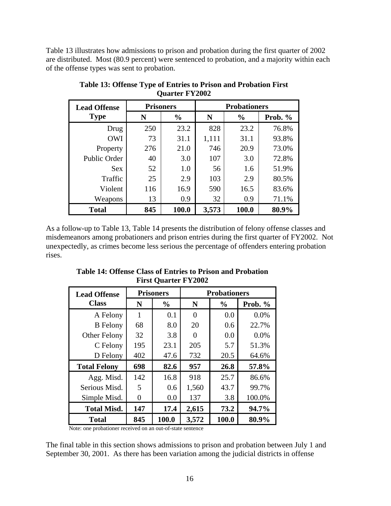Table 13 illustrates how admissions to prison and probation during the first quarter of 2002 are distributed. Most (80.9 percent) were sentenced to probation, and a majority within each of the offense types was sent to probation.

| <b>Lead Offense</b> | <b>Prisoners</b> |               | <b>Probationers</b> |               |           |  |  |
|---------------------|------------------|---------------|---------------------|---------------|-----------|--|--|
| <b>Type</b>         | N                | $\frac{0}{0}$ | N                   | $\frac{0}{0}$ | Prob. $%$ |  |  |
| Drug                | 250              | 23.2          | 828                 | 23.2          | 76.8%     |  |  |
| <b>OWI</b>          | 73               | 31.1          | 1,111               | 31.1          | 93.8%     |  |  |
| Property            | 276              | 21.0          | 746                 | 20.9          | 73.0%     |  |  |
| Public Order        | 40               | 3.0           | 107                 | 3.0           | 72.8%     |  |  |
| <b>Sex</b>          | 52               | 1.0           | 56                  | 1.6           | 51.9%     |  |  |
| Traffic             | 25               | 2.9           | 103                 | 2.9           | 80.5%     |  |  |
| Violent             | 116              | 16.9          | 590                 | 16.5          | 83.6%     |  |  |
| Weapons             | 13               | 0.9           | 32                  | 0.9           | 71.1%     |  |  |
| <b>Total</b>        | 845              | 100.0         | 3,573               | 100.0         | 80.9%     |  |  |

**Table 13: Offense Type of Entries to Prison and Probation First Quarter FY2002** 

As a follow-up to Table 13, Table 14 presents the distribution of felony offense classes and misdemeanors among probationers and prison entries during the first quarter of FY2002. Not unexpectedly, as crimes become less serious the percentage of offenders entering probation rises.

**Table 14: Offense Class of Entries to Prison and Probation First Quarter FY2002** 

| <b>Lead Offense</b> |     | <b>Prisoners</b> | <b>Probationers</b> |               |         |  |  |
|---------------------|-----|------------------|---------------------|---------------|---------|--|--|
| <b>Class</b>        | N   | $\frac{6}{6}$    | N                   | $\frac{6}{9}$ | Prob. % |  |  |
| A Felony            | 1   | 0.1              | 0                   | 0.0           | 0.0%    |  |  |
| <b>B</b> Felony     | 68  | 8.0              | 20                  | 0.6           | 22.7%   |  |  |
| <b>Other Felony</b> | 32  | 3.8              | $\mathbf{\Omega}$   | 0.0           | 0.0%    |  |  |
| C Felony            | 195 | 23.1             | 205                 | 5.7           | 51.3%   |  |  |
| D Felony            | 402 | 47.6             | 732                 | 20.5          | 64.6%   |  |  |
| <b>Total Felony</b> | 698 | 82.6             | 957                 | 26.8          | 57.8%   |  |  |
| Agg. Misd.          | 142 | 16.8             | 918                 | 25.7          | 86.6%   |  |  |
| Serious Misd.       | 5   | 0.6              | 1,560               | 43.7          | 99.7%   |  |  |
| Simple Misd.        | 0   | 0.0              | 137                 | 3.8           | 100.0%  |  |  |
| <b>Total Misd.</b>  | 147 | 17.4             | 2,615               | 73.2          | 94.7%   |  |  |
| <b>Total</b>        | 845 | 100.0            | 3,572               | 100.0         | 80.9%   |  |  |

Note: one probationer received on an out-of-state sentence

The final table in this section shows admissions to prison and probation between July 1 and September 30, 2001. As there has been variation among the judicial districts in offense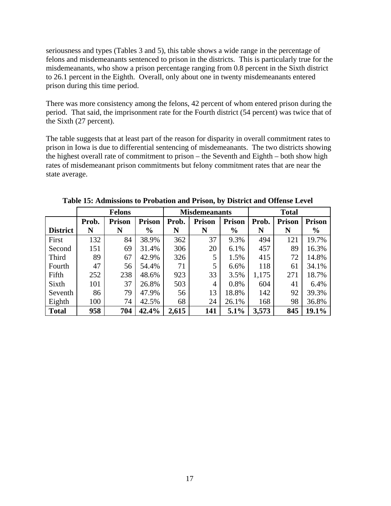seriousness and types (Tables 3 and 5), this table shows a wide range in the percentage of felons and misdemeanants sentenced to prison in the districts. This is particularly true for the misdemeanants, who show a prison percentage ranging from 0.8 percent in the Sixth district to 26.1 percent in the Eighth. Overall, only about one in twenty misdemeanants entered prison during this time period.

There was more consistency among the felons, 42 percent of whom entered prison during the period. That said, the imprisonment rate for the Fourth district (54 percent) was twice that of the Sixth (27 percent).

The table suggests that at least part of the reason for disparity in overall commitment rates to prison in Iowa is due to differential sentencing of misdemeanants. The two districts showing the highest overall rate of commitment to prison – the Seventh and Eighth – both show high rates of misdemeanant prison commitments but felony commitment rates that are near the state average.

|                 |       | <b>Felons</b> |               |       | <b>Misdemeanants</b> |               | <b>Total</b> |               |                |  |
|-----------------|-------|---------------|---------------|-------|----------------------|---------------|--------------|---------------|----------------|--|
|                 | Prob. | <b>Prison</b> | <b>Prison</b> | Prob. | <b>Prison</b>        | <b>Prison</b> | Prob.        | <b>Prison</b> | <b>Prison</b>  |  |
| <b>District</b> | N     | N             | $\frac{6}{9}$ | N     | N                    | $\frac{0}{0}$ | N            | N             | $\frac{6}{10}$ |  |
| First           | 132   | 84            | 38.9%         | 362   | 37                   | 9.3%          | 494          | 121           | 19.7%          |  |
| Second          | 151   | 69            | 31.4%         | 306   | 20                   | 6.1%          | 457          | 89            | 16.3%          |  |
| Third           | 89    | 67            | 42.9%         | 326   | 5                    | 1.5%          | 415          | 72            | 14.8%          |  |
| Fourth          | 47    | 56            | 54.4%         | 71    | 5                    | 6.6%          | 118          | 61            | 34.1%          |  |
| Fifth           | 252   | 238           | 48.6%         | 923   | 33                   | 3.5%          | 1,175        | 271           | 18.7%          |  |
| Sixth           | 101   | 37            | 26.8%         | 503   | 4                    | 0.8%          | 604          | 41            | 6.4%           |  |
| Seventh         | 86    | 79            | 47.9%         | 56    | 13                   | 18.8%         | 142          | 92            | 39.3%          |  |
| Eighth          | 100   | 74            | 42.5%         | 68    | 24                   | 26.1%         | 168          | 98            | 36.8%          |  |
| <b>Total</b>    | 958   | 704           | 42.4%         | 2,615 | 141                  | 5.1%          | 3,573        | 845           | 19.1%          |  |

**Table 15: Admissions to Probation and Prison, by District and Offense Level**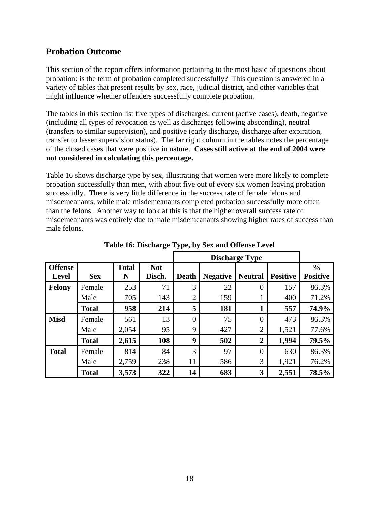## **Probation Outcome**

This section of the report offers information pertaining to the most basic of questions about probation: is the term of probation completed successfully? This question is answered in a variety of tables that present results by sex, race, judicial district, and other variables that might influence whether offenders successfully complete probation.

The tables in this section list five types of discharges: current (active cases), death, negative (including all types of revocation as well as discharges following absconding), neutral (transfers to similar supervision), and positive (early discharge, discharge after expiration, transfer to lesser supervision status). The far right column in the tables notes the percentage of the closed cases that were positive in nature. **Cases still active at the end of 2004 were not considered in calculating this percentage.**

Table 16 shows discharge type by sex, illustrating that women were more likely to complete probation successfully than men, with about five out of every six women leaving probation successfully. There is very little difference in the success rate of female felons and misdemeanants, while male misdemeanants completed probation successfully more often than the felons. Another way to look at this is that the higher overall success rate of misdemeanants was entirely due to male misdemeanants showing higher rates of success than male felons.

|                         |                |                   |                      |                     |                 | <b>Discharge Type</b>            |                 |                                  |
|-------------------------|----------------|-------------------|----------------------|---------------------|-----------------|----------------------------------|-----------------|----------------------------------|
| <b>Offense</b><br>Level | <b>Sex</b>     | <b>Total</b><br>N | <b>Not</b><br>Disch. | <b>Death</b>        | <b>Negative</b> | <b>Neutral</b>                   | <b>Positive</b> | $\frac{0}{0}$<br><b>Positive</b> |
| Felony                  | Female<br>Male | 253<br>705        | 71<br>143            | 3<br>$\overline{2}$ | 22<br>159       | $\overline{0}$                   | 157<br>400      | 86.3%<br>71.2%                   |
|                         | <b>Total</b>   | 958               | 214                  | 5                   | 181             | 1                                | 557             | 74.9%                            |
| <b>Misd</b>             | Female<br>Male | 561<br>2,054      | 13<br>95             | $\overline{0}$<br>9 | 75<br>427       | $\overline{0}$<br>$\overline{2}$ | 473<br>1,521    | 86.3%<br>77.6%                   |
|                         | <b>Total</b>   | 2,615             | 108                  | 9                   | 502             | 2                                | 1,994           | 79.5%                            |
| <b>Total</b>            | Female<br>Male | 814<br>2,759      | 84<br>238            | 3<br>11             | 97<br>586       | $\overline{0}$<br>3              | 630<br>1,921    | 86.3%<br>76.2%                   |
|                         | <b>Total</b>   | 3,573             | 322                  | 14                  | 683             | 3                                | 2,551           | 78.5%                            |

**Table 16: Discharge Type, by Sex and Offense Level**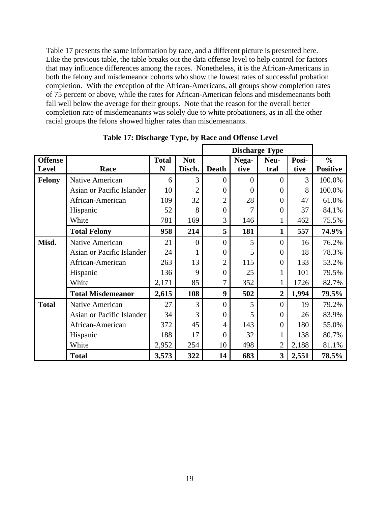Table 17 presents the same information by race, and a different picture is presented here. Like the previous table, the table breaks out the data offense level to help control for factors that may influence differences among the races. Nonetheless, it is the African-Americans in both the felony and misdemeanor cohorts who show the lowest rates of successful probation completion. With the exception of the African-Americans, all groups show completion rates of 75 percent or above, while the rates for African-American felons and misdemeanants both fall well below the average for their groups. Note that the reason for the overall better completion rate of misdemeanants was solely due to white probationers, as in all the other racial groups the felons showed higher rates than misdemeanants.

| <b>Offense</b> |                           | <b>Total</b> | <b>Not</b>     |                | Nega-    | Neu-                    | Posi- | $\frac{0}{0}$   |
|----------------|---------------------------|--------------|----------------|----------------|----------|-------------------------|-------|-----------------|
| <b>Level</b>   | Race                      | N            | Disch.         | <b>Death</b>   | tive     | tral                    | tive  | <b>Positive</b> |
| <b>Felony</b>  | Native American           | 6            | 3              | $\overline{0}$ | $\Omega$ | $\overline{0}$          | 3     | 100.0%          |
|                | Asian or Pacific Islander | 10           | $\overline{2}$ | $\theta$       | $\Omega$ | $\boldsymbol{0}$        | 8     | 100.0%          |
|                | African-American          | 109          | 32             | $\overline{2}$ | 28       | $\theta$                | 47    | 61.0%           |
|                | Hispanic                  | 52           | 8              | $\overline{0}$ | 7        | 0                       | 37    | 84.1%           |
|                | White                     | 781          | 169            | 3              | 146      |                         | 462   | 75.5%           |
|                | <b>Total Felony</b>       | 958          | 214            | 5              | 181      | 1                       | 557   | 74.9%           |
| Misd.          | Native American           | 21           | $\theta$       | $\Omega$       | 5        | $\theta$                | 16    | 76.2%           |
|                | Asian or Pacific Islander | 24           |                | $\theta$       | 5        | $\overline{0}$          | 18    | 78.3%           |
|                | African-American          | 263          | 13             | $\overline{2}$ | 115      | $\boldsymbol{0}$        | 133   | 53.2%           |
|                | Hispanic                  | 136          | 9              | $\overline{0}$ | 25       | 1                       | 101   | 79.5%           |
|                | White                     | 2,171        | 85             | 7              | 352      | 1                       | 1726  | 82.7%           |
|                | <b>Total Misdemeanor</b>  | 2,615        | 108            | 9              | 502      | $\overline{2}$          | 1,994 | 79.5%           |
| <b>Total</b>   | Native American           | 27           | 3              | $\theta$       | 5        | $\Omega$                | 19    | 79.2%           |
|                | Asian or Pacific Islander | 34           | 3              | $\Omega$       | 5        | 0                       | 26    | 83.9%           |
|                | African-American          | 372          | 45             | $\overline{4}$ | 143      | $\theta$                | 180   | 55.0%           |
|                | Hispanic                  | 188          | 17             | $\theta$       | 32       | 1                       | 138   | 80.7%           |
|                | White                     | 2,952        | 254            | 10             | 498      | $\overline{2}$          | 2,188 | 81.1%           |
|                | <b>Total</b>              | 3,573        | 322            | 14             | 683      | $\overline{\mathbf{3}}$ | 2,551 | 78.5%           |

**Table 17: Discharge Type, by Race and Offense Level**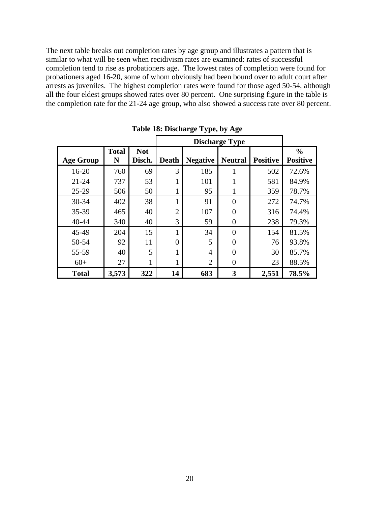The next table breaks out completion rates by age group and illustrates a pattern that is similar to what will be seen when recidivism rates are examined: rates of successful completion tend to rise as probationers age. The lowest rates of completion were found for probationers aged 16-20, some of whom obviously had been bound over to adult court after arrests as juveniles. The highest completion rates were found for those aged 50-54, although all the four eldest groups showed rates over 80 percent. One surprising figure in the table is the completion rate for the 21-24 age group, who also showed a success rate over 80 percent.

|                  |                   |                      |                |                 | <b>Discharge Type</b> |                 |                                  |
|------------------|-------------------|----------------------|----------------|-----------------|-----------------------|-----------------|----------------------------------|
| <b>Age Group</b> | <b>Total</b><br>N | <b>Not</b><br>Disch. | <b>Death</b>   | <b>Negative</b> | <b>Neutral</b>        | <b>Positive</b> | $\frac{0}{0}$<br><b>Positive</b> |
| $16 - 20$        | 760               | 69                   | 3              | 185             |                       | 502             | 72.6%                            |
| $21 - 24$        | 737               | 53                   |                | 101             |                       | 581             | 84.9%                            |
| 25-29            | 506               | 50                   | 1              | 95              |                       | 359             | 78.7%                            |
| 30-34            | 402               | 38                   | 1              | 91              | $\Omega$              | 272             | 74.7%                            |
| 35-39            | 465               | 40                   | $\overline{2}$ | 107             | 0                     | 316             | 74.4%                            |
| $40 - 44$        | 340               | 40                   | 3              | 59              | $\theta$              | 238             | 79.3%                            |
| 45-49            | 204               | 15                   | 1              | 34              | $\Omega$              | 154             | 81.5%                            |
| 50-54            | 92                | 11                   | 0              | 5               | $\theta$              | 76              | 93.8%                            |
| 55-59            | 40                | 5                    |                | 4               | 0                     | 30              | 85.7%                            |
| $60+$            | 27                |                      | 1              | $\overline{2}$  | 0                     | 23              | 88.5%                            |
| <b>Total</b>     | 3,573             | 322                  | 14             | 683             | 3                     | 2,551           | 78.5%                            |

**Table 18: Discharge Type, by Age**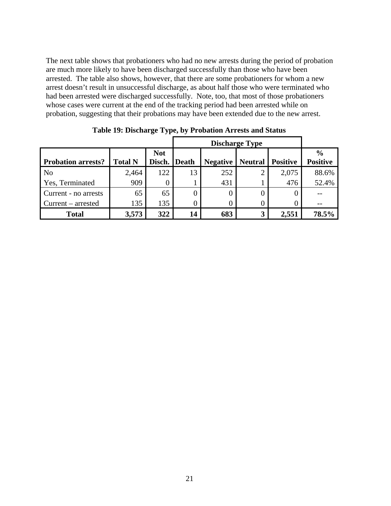The next table shows that probationers who had no new arrests during the period of probation are much more likely to have been discharged successfully than those who have been arrested. The table also shows, however, that there are some probationers for whom a new arrest doesn't result in unsuccessful discharge, as about half those who were terminated who had been arrested were discharged successfully. Note, too, that most of those probationers whose cases were current at the end of the tracking period had been arrested while on probation, suggesting that their probations may have been extended due to the new arrest.

|                           |                |                      |              |                 | <b>Discharge Type</b> |                 |                                  |
|---------------------------|----------------|----------------------|--------------|-----------------|-----------------------|-----------------|----------------------------------|
| <b>Probation arrests?</b> | <b>Total N</b> | <b>Not</b><br>Disch. | <b>Death</b> | <b>Negative</b> | <b>Neutral</b>        | <b>Positive</b> | $\frac{6}{9}$<br><b>Positive</b> |
| N <sub>o</sub>            | 2,464          | 122                  | 13           | 252             |                       | 2,075           | 88.6%                            |
| Yes, Terminated           | 909            | 0                    |              | 431             |                       | 476             | 52.4%                            |
| Current - no arrests      | 65             | 65                   |              | 0               | 0                     |                 |                                  |
| $Current - arrested$      | 135            | 135                  |              | 0               | 0                     |                 |                                  |
| <b>Total</b>              | 3,573          | 322                  | 14           | 683             | $\mathbf{3}$          | 2,551           | 78.5%                            |

**Table 19: Discharge Type, by Probation Arrests and Status**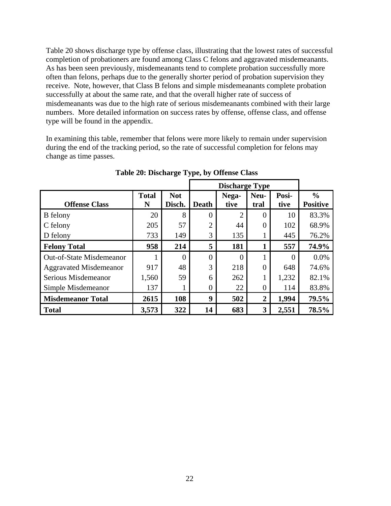Table 20 shows discharge type by offense class, illustrating that the lowest rates of successful completion of probationers are found among Class C felons and aggravated misdemeanants. As has been seen previously, misdemeanants tend to complete probation successfully more often than felons, perhaps due to the generally shorter period of probation supervision they receive. Note, however, that Class B felons and simple misdemeanants complete probation successfully at about the same rate, and that the overall higher rate of success of misdemeanants was due to the high rate of serious misdemeanants combined with their large numbers. More detailed information on success rates by offense, offense class, and offense type will be found in the appendix.

In examining this table, remember that felons were more likely to remain under supervision during the end of the tracking period, so the rate of successful completion for felons may change as time passes.

|                                 |                   |                      |                | <b>Discharge Type</b> |                |               |                                  |
|---------------------------------|-------------------|----------------------|----------------|-----------------------|----------------|---------------|----------------------------------|
| <b>Offense Class</b>            | <b>Total</b><br>N | <b>Not</b><br>Disch. | <b>Death</b>   | Nega-<br>tive         | Neu-<br>tral   | Posi-<br>tive | $\frac{0}{0}$<br><b>Positive</b> |
| <b>B</b> felony                 | 20                | 8                    | $\overline{0}$ | 2                     | $\Omega$       | 10            | 83.3%                            |
| C felony                        | 205               | 57                   | っ              | 44                    | $\Omega$       | 102           | 68.9%                            |
| D felony                        | 733               | 149                  | 3              | 135                   |                | 445           | 76.2%                            |
| <b>Felony Total</b>             | 958               | 214                  | 5              | 181                   |                | 557           | 74.9%                            |
| <b>Out-of-State Misdemeanor</b> |                   | $\theta$             | $\overline{0}$ | 0                     |                | $\Omega$      | 0.0%                             |
| <b>Aggravated Misdemeanor</b>   | 917               | 48                   | 3              | 218                   | $\theta$       | 648           | 74.6%                            |
| Serious Misdemeanor             | 1,560             | 59                   | 6              | 262                   |                | 1,232         | 82.1%                            |
| Simple Misdemeanor              | 137               |                      | 0              | 22                    | $\Omega$       | 114           | 83.8%                            |
| <b>Misdemeanor Total</b>        | 2615              | 108                  | 9              | 502                   | $\overline{2}$ | 1,994         | 79.5%                            |
| <b>Total</b>                    | 3,573             | 322                  | 14             | 683                   | 3              | 2,551         | 78.5%                            |

**Table 20: Discharge Type, by Offense Class**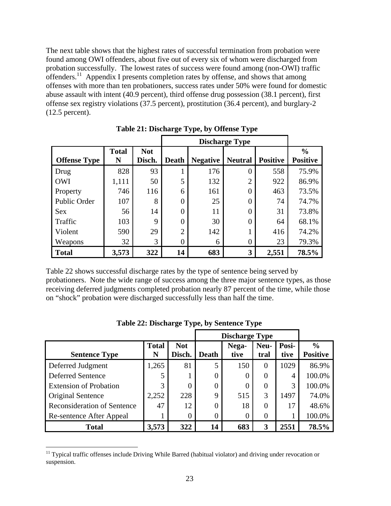The next table shows that the highest rates of successful termination from probation were found among OWI offenders, about five out of every six of whom were discharged from probation successfully. The lowest rates of success were found among (non-OWI) traffic offenders.<sup>11</sup> Appendix I presents completion rates by offense, and shows that among offenses with more than ten probationers, success rates under 50% were found for domestic abuse assault with intent (40.9 percent), third offense drug possession (38.1 percent), first offense sex registry violations (37.5 percent), prostitution (36.4 percent), and burglary-2 (12.5 percent).

|                     |                   |                      |                | <b>Discharge Type</b> |                |                 |                                  |  |  |  |  |
|---------------------|-------------------|----------------------|----------------|-----------------------|----------------|-----------------|----------------------------------|--|--|--|--|
| <b>Offense Type</b> | <b>Total</b><br>N | <b>Not</b><br>Disch. | <b>Death</b>   | <b>Negative</b>       | <b>Neutral</b> | <b>Positive</b> | $\frac{0}{0}$<br><b>Positive</b> |  |  |  |  |
| Drug                | 828               | 93                   | T              | 176                   | $\theta$       | 558             | 75.9%                            |  |  |  |  |
| <b>OWI</b>          | 1,111             | 50                   | 5              | 132                   | $\overline{2}$ | 922             | 86.9%                            |  |  |  |  |
| Property            | 746               | 116                  | 6              | 161                   | $\theta$       | 463             | 73.5%                            |  |  |  |  |
| <b>Public Order</b> | 107               | 8                    | $\overline{0}$ | 25                    | 0              | 74              | 74.7%                            |  |  |  |  |
| <b>Sex</b>          | 56                | 14                   | $\overline{0}$ | 11                    | $\Omega$       | 31              | 73.8%                            |  |  |  |  |
| Traffic             | 103               | $\mathbf Q$          | $\overline{0}$ | 30                    | $\theta$       | 64              | 68.1%                            |  |  |  |  |
| Violent             | 590               | 29                   | $\overline{2}$ | 142                   |                | 416             | 74.2%                            |  |  |  |  |
| Weapons             | 32                | 3                    | $\overline{0}$ | 6                     | $\theta$       | 23              | 79.3%                            |  |  |  |  |
| <b>Total</b>        | 3,573             | 322                  | 14             | 683                   | 3              | 2,551           | 78.5%                            |  |  |  |  |

**Table 21: Discharge Type, by Offense Type** 

Table 22 shows successful discharge rates by the type of sentence being served by probationers. Note the wide range of success among the three major sentence types, as those receiving deferred judgments completed probation nearly 87 percent of the time, while those on "shock" probation were discharged successfully less than half the time.

|                                    |                   |                      |              | <b>Discharge Type</b> |              |               |                                  |
|------------------------------------|-------------------|----------------------|--------------|-----------------------|--------------|---------------|----------------------------------|
| <b>Sentence Type</b>               | <b>Total</b><br>N | <b>Not</b><br>Disch. | <b>Death</b> | Nega-<br>tive         | Neu-<br>tral | Posi-<br>tive | $\frac{0}{0}$<br><b>Positive</b> |
| Deferred Judgment                  | 1,265             | 81                   | 5            | 150                   | $\Omega$     | 1029          | 86.9%                            |
| <b>Deferred Sentence</b>           | 5                 |                      | 0            | 0                     | $\Omega$     | 4             | 100.0%                           |
| <b>Extension of Probation</b>      | 3                 |                      | 0            | 0                     | $\Omega$     | 3             | 100.0%                           |
| Original Sentence                  | 2,252             | 228                  | 9            | 515                   | 3            | 1497          | 74.0%                            |
| <b>Reconsideration of Sentence</b> | 47                | 12                   | 0            | 18                    | $\theta$     | 17            | 48.6%                            |
| Re-sentence After Appeal           |                   |                      | C            | 0                     | $\Omega$     |               | 100.0%                           |
| <b>Total</b>                       | 3,573             | 322                  | 14           | 683                   | 3            | 2551          | 78.5%                            |

**Table 22: Discharge Type, by Sentence Type** 

<sup>&</sup>lt;sup>11</sup> Typical traffic offenses include Driving While Barred (habitual violator) and driving under revocation or suspension.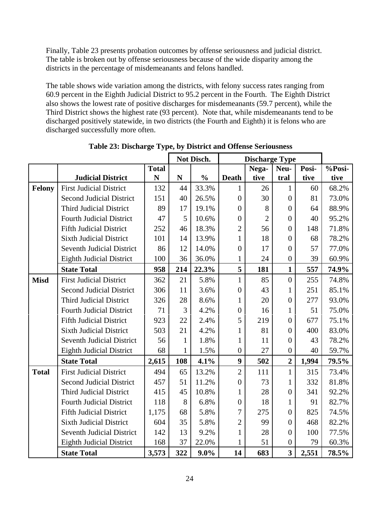Finally, Table 23 presents probation outcomes by offense seriousness and judicial district. The table is broken out by offense seriousness because of the wide disparity among the districts in the percentage of misdemeanants and felons handled.

The table shows wide variation among the districts, with felony success rates ranging from 60.9 percent in the Eighth Judicial District to 95.2 percent in the Fourth. The Eighth District also shows the lowest rate of positive discharges for misdemeanants (59.7 percent), while the Third District shows the highest rate (93 percent). Note that, while misdemeanants tend to be discharged positively statewide, in two districts (the Fourth and Eighth) it is felons who are discharged successfully more often.

|               |                                  |              | Not Disch.   | <b>Discharge Type</b> |                  |                |                         |       |        |
|---------------|----------------------------------|--------------|--------------|-----------------------|------------------|----------------|-------------------------|-------|--------|
|               |                                  | <b>Total</b> |              |                       |                  | Nega-          | Neu-                    | Posi- | %Posi- |
|               | <b>Judicial District</b>         | N            | ${\bf N}$    | $\frac{0}{0}$         | <b>Death</b>     | tive           | tral                    | tive  | tive   |
| <b>Felony</b> | <b>First Judicial District</b>   | 132          | 44           | 33.3%                 | $\mathbf{1}$     | 26             | $\mathbf{1}$            | 60    | 68.2%  |
|               | <b>Second Judicial District</b>  | 151          | 40           | 26.5%                 | $\overline{0}$   | 30             | $\overline{0}$          | 81    | 73.0%  |
|               | <b>Third Judicial District</b>   | 89           | 17           | 19.1%                 | $\overline{0}$   | 8              | $\boldsymbol{0}$        | 64    | 88.9%  |
|               | <b>Fourth Judicial District</b>  | 47           | 5            | 10.6%                 | $\overline{0}$   | $\overline{2}$ | $\boldsymbol{0}$        | 40    | 95.2%  |
|               | <b>Fifth Judicial District</b>   | 252          | 46           | 18.3%                 | $\overline{2}$   | 56             | $\boldsymbol{0}$        | 148   | 71.8%  |
|               | <b>Sixth Judicial District</b>   | 101          | 14           | 13.9%                 | 1                | 18             | $\boldsymbol{0}$        | 68    | 78.2%  |
|               | <b>Seventh Judicial District</b> | 86           | 12           | 14.0%                 | $\overline{0}$   | 17             | $\boldsymbol{0}$        | 57    | 77.0%  |
|               | <b>Eighth Judicial District</b>  | 100          | 36           | 36.0%                 | 1                | 24             | $\boldsymbol{0}$        | 39    | 60.9%  |
|               | <b>State Total</b>               | 958          | 214          | 22.3%                 | 5                | 181            | $\mathbf{1}$            | 557   | 74.9%  |
| <b>Misd</b>   | <b>First Judicial District</b>   | 362          | 21           | 5.8%                  | $\mathbf{1}$     | 85             | $\overline{0}$          | 255   | 74.8%  |
|               | <b>Second Judicial District</b>  | 306          | 11           | 3.6%                  | $\overline{0}$   | 43             | $\mathbf{1}$            | 251   | 85.1%  |
|               | <b>Third Judicial District</b>   | 326          | 28           | 8.6%                  | $\mathbf{1}$     | 20             | $\boldsymbol{0}$        | 277   | 93.0%  |
|               | <b>Fourth Judicial District</b>  | 71           | 3            | 4.2%                  | $\overline{0}$   | 16             | $\mathbf{1}$            | 51    | 75.0%  |
|               | <b>Fifth Judicial District</b>   | 923          | 22           | 2.4%                  | 5                | 219            | $\boldsymbol{0}$        | 677   | 75.1%  |
|               | <b>Sixth Judicial District</b>   | 503          | 21           | 4.2%                  | 1                | 81             | $\boldsymbol{0}$        | 400   | 83.0%  |
|               | <b>Seventh Judicial District</b> | 56           | $\mathbf{1}$ | 1.8%                  | 1                | 11             | $\boldsymbol{0}$        | 43    | 78.2%  |
|               | <b>Eighth Judicial District</b>  | 68           | $\mathbf{1}$ | 1.5%                  | $\boldsymbol{0}$ | 27             | $\boldsymbol{0}$        | 40    | 59.7%  |
|               | <b>State Total</b>               | 2,615        | 108          | 4.1%                  | $\boldsymbol{9}$ | 502            | $\overline{2}$          | 1,994 | 79.5%  |
| <b>Total</b>  | <b>First Judicial District</b>   | 494          | 65           | 13.2%                 | $\overline{2}$   | 111            | $\mathbf{1}$            | 315   | 73.4%  |
|               | <b>Second Judicial District</b>  | 457          | 51           | 11.2%                 | $\overline{0}$   | 73             | $\mathbf{1}$            | 332   | 81.8%  |
|               | <b>Third Judicial District</b>   | 415          | 45           | 10.8%                 | 1                | 28             | $\boldsymbol{0}$        | 341   | 92.2%  |
|               | <b>Fourth Judicial District</b>  | 118          | 8            | 6.8%                  | $\boldsymbol{0}$ | 18             | $\mathbf{1}$            | 91    | 82.7%  |
|               | <b>Fifth Judicial District</b>   | 1,175        | 68           | 5.8%                  | 7                | 275            | $\boldsymbol{0}$        | 825   | 74.5%  |
|               | <b>Sixth Judicial District</b>   | 604          | 35           | 5.8%                  | $\overline{2}$   | 99             | $\boldsymbol{0}$        | 468   | 82.2%  |
|               | <b>Seventh Judicial District</b> | 142          | 13           | 9.2%                  | $\mathbf{1}$     | 28             | $\overline{0}$          | 100   | 77.5%  |
|               | <b>Eighth Judicial District</b>  | 168          | 37           | 22.0%                 | 1                | 51             | $\overline{0}$          | 79    | 60.3%  |
|               | <b>State Total</b>               | 3,573        | 322          | $9.0\%$               | 14               | 683            | $\overline{\mathbf{3}}$ | 2,551 | 78.5%  |

**Table 23: Discharge Type, by District and Offense Seriousness** 

h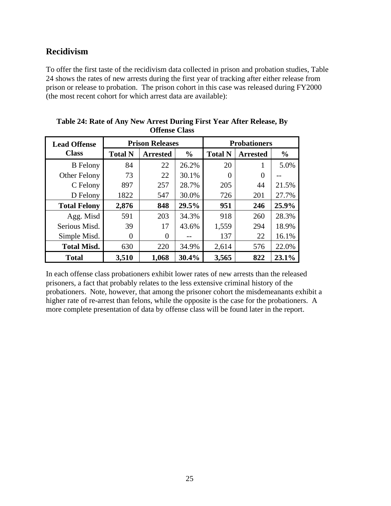## **Recidivism**

To offer the first taste of the recidivism data collected in prison and probation studies, Table 24 shows the rates of new arrests during the first year of tracking after either release from prison or release to probation. The prison cohort in this case was released during FY2000 (the most recent cohort for which arrest data are available):

| <b>Lead Offense</b> |                | <b>Prison Releases</b> |               | <b>Probationers</b> |                 |               |  |  |
|---------------------|----------------|------------------------|---------------|---------------------|-----------------|---------------|--|--|
| <b>Class</b>        | <b>Total N</b> | <b>Arrested</b>        | $\frac{0}{0}$ | <b>Total N</b>      | <b>Arrested</b> | $\frac{0}{0}$ |  |  |
| <b>B</b> Felony     | 84             | 22                     | 26.2%         | 20                  | 1               | 5.0%          |  |  |
| Other Felony        | 73             | 22                     | 30.1%         | 0                   | $\Omega$        |               |  |  |
| C Felony            | 897            | 257                    | 28.7%         | 205                 | 44              | 21.5%         |  |  |
| D Felony            | 1822           | 547                    | 30.0%         | 726                 | 201             | 27.7%         |  |  |
| <b>Total Felony</b> | 2,876          | 848                    | 29.5%         | 951                 | 246             | 25.9%         |  |  |
| Agg. Misd           | 591            | 203                    | 34.3%         | 918                 | 260             | 28.3%         |  |  |
| Serious Misd.       | 39             | 17                     | 43.6%         | 1,559               | 294             | 18.9%         |  |  |
| Simple Misd.        | 0              | 0                      |               | 137                 | 22              | 16.1%         |  |  |
| <b>Total Misd.</b>  | 630            | 220                    | 34.9%         | 2,614               | 576             | 22.0%         |  |  |
| <b>Total</b>        | 3,510          | 1,068                  | 30.4%         | 3,565               | 822             | 23.1%         |  |  |

**Table 24: Rate of Any New Arrest During First Year After Release, By Offense Class** 

In each offense class probationers exhibit lower rates of new arrests than the released prisoners, a fact that probably relates to the less extensive criminal history of the probationers. Note, however, that among the prisoner cohort the misdemeanants exhibit a higher rate of re-arrest than felons, while the opposite is the case for the probationers. A more complete presentation of data by offense class will be found later in the report.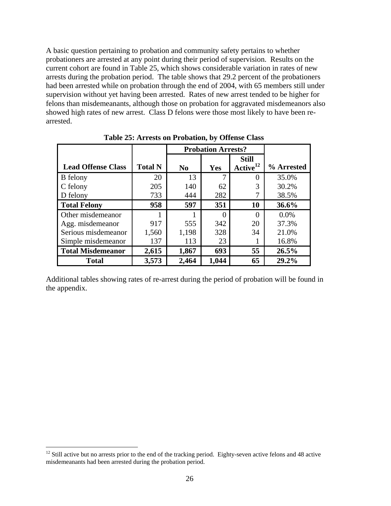A basic question pertaining to probation and community safety pertains to whether probationers are arrested at any point during their period of supervision. Results on the current cohort are found in Table 25, which shows considerable variation in rates of new arrests during the probation period. The table shows that 29.2 percent of the probationers had been arrested while on probation through the end of 2004, with 65 members still under supervision without yet having been arrested. Rates of new arrest tended to be higher for felons than misdemeanants, although those on probation for aggravated misdemeanors also showed high rates of new arrest. Class D felons were those most likely to have been rearrested.

|                           |                | <b>Probation Arrests?</b> |       |                               |            |
|---------------------------|----------------|---------------------------|-------|-------------------------------|------------|
| <b>Lead Offense Class</b> | <b>Total N</b> | N <sub>0</sub>            | Yes   | Still<br>Active <sup>12</sup> | % Arrested |
| <b>B</b> felony           | 20             | 13                        | 7     | 0                             | 35.0%      |
| C felony                  | 205            | 140                       | 62    | 3                             | 30.2%      |
| D felony                  | 733            | 444                       | 282   |                               | 38.5%      |
| <b>Total Felony</b>       | 958            | 597                       | 351   | 10                            | 36.6%      |
| Other misdemeanor         |                |                           |       | 0                             | $0.0\%$    |
| Agg. misdemeanor          | 917            | 555                       | 342   | 20                            | 37.3%      |
| Serious misdemeanor       | 1,560          | 1,198                     | 328   | 34                            | 21.0%      |
| Simple misdemeanor        | 137            | 113                       | 23    |                               | 16.8%      |
| <b>Total Misdemeanor</b>  | 2,615          | 1,867                     | 693   | 55                            | 26.5%      |
| <b>Total</b>              | 3,573          | 2,464                     | 1,044 | 65                            | 29.2%      |

**Table 25: Arrests on Probation, by Offense Class** 

Additional tables showing rates of re-arrest during the period of probation will be found in the appendix.

 $12$  Still active but no arrests prior to the end of the tracking period. Eighty-seven active felons and 48 active misdemeanants had been arrested during the probation period.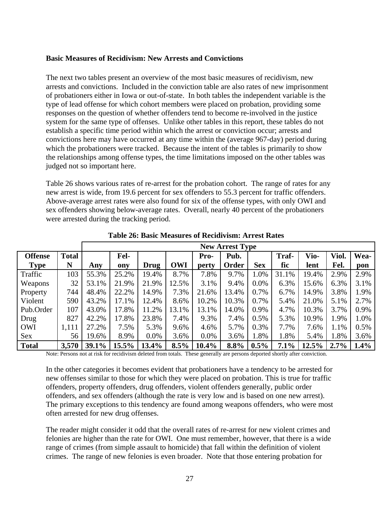#### **Basic Measures of Recidivism: New Arrests and Convictions**

The next two tables present an overview of the most basic measures of recidivism, new arrests and convictions. Included in the conviction table are also rates of new imprisonment of probationers either in Iowa or out-of-state. In both tables the independent variable is the type of lead offense for which cohort members were placed on probation, providing some responses on the question of whether offenders tend to become re-involved in the justice system for the same type of offenses. Unlike other tables in this report, these tables do not establish a specific time period within which the arrest or conviction occur; arrests and convictions here may have occurred at any time within the (average 967-day) period during which the probationers were tracked. Because the intent of the tables is primarily to show the relationships among offense types, the time limitations imposed on the other tables was judged not so important here.

Table 26 shows various rates of re-arrest for the probation cohort. The range of rates for any new arrest is wide, from 19.6 percent for sex offenders to 55.3 percent for traffic offenders. Above-average arrest rates were also found for six of the offense types, with only OWI and sex offenders showing below-average rates. Overall, nearly 40 percent of the probationers were arrested during the tracking period.

|                |              | <b>New Arrest Type</b> |          |         |            |          |       |            |         |       |         |         |
|----------------|--------------|------------------------|----------|---------|------------|----------|-------|------------|---------|-------|---------|---------|
| <b>Offense</b> | <b>Total</b> |                        | Fel-     |         |            | Pro-     | Pub.  |            | Traf-   | Vio-  | Viol.   | Wea-    |
| <b>Type</b>    | N            | Any                    | ony      | Drug    | <b>OWI</b> | perty    | Order | <b>Sex</b> | fic     | lent  | Fel.    | pon     |
| Traffic        | 103          | 55.3%                  | 25.2%    | 19.4%   | 8.7%       | 7.8%     | 9.7%  | 1.0%       | 31.1%   | 19.4% | 2.9%    | 2.9%    |
| Weapons        | 32           | 53.1%                  | 21.9%    | 21.9%   | 12.5%      | 3.1%     | 9.4%  | $0.0\%$    | 6.3%    | 15.6% | 6.3%    | 3.1%    |
| Property       | 744          | 48.4%                  | 22.2%    | 14.9%   | 7.3%       | 21.6%    | 13.4% | 0.7%       | 6.7%    | 14.9% | 3.8%    | 1.9%    |
| Violent        | 590          | 43.2%                  | 17.1%    | 12.4%   | 8.6%       | 10.2%    | 10.3% | 0.7%       | 5.4%    | 21.0% | 5.1%    | 2.7%    |
| Pub.Order      | 107          | 43.0%                  | 17.8%    | 11.2%   | 13.1%      | 13.1%    | 14.0% | 0.9%       | 4.7%    | 10.3% | 3.7%    | 0.9%    |
| Drug           | 827          | 42.2%                  | 17.8%    | 23.8%   | 7.4%       | 9.3%     | 7.4%  | 0.5%       | 5.3%    | 10.9% | 1.9%    | 1.0%    |
| OWI            | 1,111        | 27.2%                  | 7.5%     | 5.3%    | 9.6%       | 4.6%     | 5.7%  | 0.3%       | 7.7%    | 7.6%  | 1.1%    | 0.5%    |
| <b>Sex</b>     | 56           | 19.6%                  | 8.9%     | $0.0\%$ | 3.6%       | $0.0\%$  | 3.6%  | 1.8%       | 1.8%    | 5.4%  | 1.8%    | 3.6%    |
| <b>Total</b>   | 3,570        | 39.1%                  | $15.5\%$ | 13.4%   | $8.5\%$    | $10.4\%$ | 8.8%  | $0.5\%$    | $7.1\%$ | 12.5% | $2.7\%$ | $1.4\%$ |

**Table 26: Basic Measures of Recidivism: Arrest Rates** 

Note: Persons not at risk for recidivism deleted from totals. These generally are persons deported shortly after conviction.

In the other categories it becomes evident that probationers have a tendency to be arrested for new offenses similar to those for which they were placed on probation. This is true for traffic offenders, property offenders, drug offenders, violent offenders generally, public order offenders, and sex offenders (although the rate is very low and is based on one new arrest). The primary exceptions to this tendency are found among weapons offenders, who were most often arrested for new drug offenses.

The reader might consider it odd that the overall rates of re-arrest for new violent crimes and felonies are higher than the rate for OWI. One must remember, however, that there is a wide range of crimes (from simple assault to homicide) that fall within the definition of violent crimes. The range of new felonies is even broader. Note that those entering probation for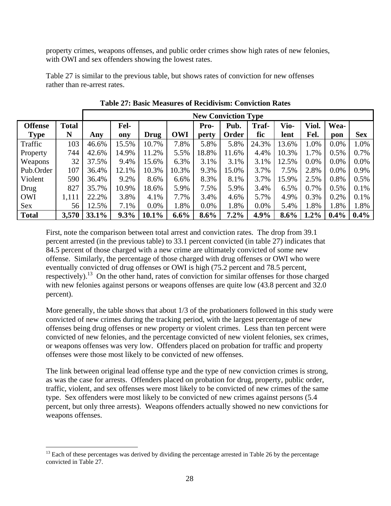property crimes, weapons offenses, and public order crimes show high rates of new felonies, with OWI and sex offenders showing the lowest rates.

Table 27 is similar to the previous table, but shows rates of conviction for new offenses rather than re-arrest rates.

|                |              |       | <b>New Conviction Type</b> |          |         |         |         |         |         |         |         |            |
|----------------|--------------|-------|----------------------------|----------|---------|---------|---------|---------|---------|---------|---------|------------|
| <b>Offense</b> | <b>Total</b> |       | Fel-                       |          |         | Pro-    | Pub.    | Traf-   | Vio-    | Viol.   | Wea-    |            |
| <b>Type</b>    | N            | Any   | ony                        | Drug     | OWI     | perty   | Order   | fic     | lent    | Fel.    | pon     | <b>Sex</b> |
| Traffic        | 103          | 46.6% | 15.5%                      | 10.7%    | 7.8%    | 5.8%    | 5.8%    | 24.3%   | 13.6%   | 1.0%    | 0.0%    | 1.0%       |
| Property       | 744          | 42.6% | 14.9%                      | 11.2%    | 5.5%    | 18.8%   | 11.6%   | 4.4%    | 10.3%   | 1.7%    | 0.5%    | 0.7%       |
| Weapons        | 32           | 37.5% | 9.4%                       | 15.6%    | 6.3%    | 3.1%    | 3.1%    | 3.1%    | 12.5%   | $0.0\%$ | 0.0%    | 0.0%       |
| Pub.Order      | 107          | 36.4% | 12.1%                      | 10.3%    | 10.3%   | 9.3%    | 15.0%   | 3.7%    | 7.5%    | 2.8%    | $0.0\%$ | 0.9%       |
| Violent        | 590          | 36.4% | 9.2%                       | 8.6%     | 6.6%    | 8.3%    | 8.1%    | 3.7%    | 15.9%   | 2.5%    | 0.8%    | 0.5%       |
| Drug           | 827          | 35.7% | 10.9%                      | 18.6%    | 5.9%    | 7.5%    | 5.9%    | 3.4%    | 6.5%    | 0.7%    | 0.5%    | 0.1%       |
| OWI            | 1,111        | 22.2% | 3.8%                       | 4.1%     | 7.7%    | 3.4%    | 4.6%    | 5.7%    | 4.9%    | 0.3%    | 0.2%    | 0.1%       |
| <b>Sex</b>     | 56           | 12.5% | 7.1%                       | 0.0%     | 1.8%    | 0.0%    | 1.8%    | 0.0%    | 5.4%    | 1.8%    | 1.8%    | 1.8%       |
| <b>Total</b>   | 3,570        | 33.1% | $9.3\%$                    | $10.1\%$ | $6.6\%$ | $8.6\%$ | $7.2\%$ | $4.9\%$ | $8.6\%$ | $1.2\%$ | $0.4\%$ | $0.4\%$    |

**Table 27: Basic Measures of Recidivism: Conviction Rates** 

First, note the comparison between total arrest and conviction rates. The drop from 39.1 percent arrested (in the previous table) to 33.1 percent convicted (in table 27) indicates that 84.5 percent of those charged with a new crime are ultimately convicted of some new offense. Similarly, the percentage of those charged with drug offenses or OWI who were eventually convicted of drug offenses or OWI is high (75.2 percent and 78.5 percent, respectively).<sup>13</sup> On the other hand, rates of conviction for similar offenses for those charged with new felonies against persons or weapons offenses are quite low (43.8 percent and 32.0) percent).

More generally, the table shows that about  $1/3$  of the probationers followed in this study were convicted of new crimes during the tracking period, with the largest percentage of new offenses being drug offenses or new property or violent crimes. Less than ten percent were convicted of new felonies, and the percentage convicted of new violent felonies, sex crimes, or weapons offenses was very low. Offenders placed on probation for traffic and property offenses were those most likely to be convicted of new offenses.

The link between original lead offense type and the type of new conviction crimes is strong, as was the case for arrests. Offenders placed on probation for drug, property, public order, traffic, violent, and sex offenses were most likely to be convicted of new crimes of the same type. Sex offenders were most likely to be convicted of new crimes against persons (5.4 percent, but only three arrests). Weapons offenders actually showed no new convictions for weapons offenses.

 $13$  Each of these percentages was derived by dividing the percentage arrested in Table 26 by the percentage convicted in Table 27.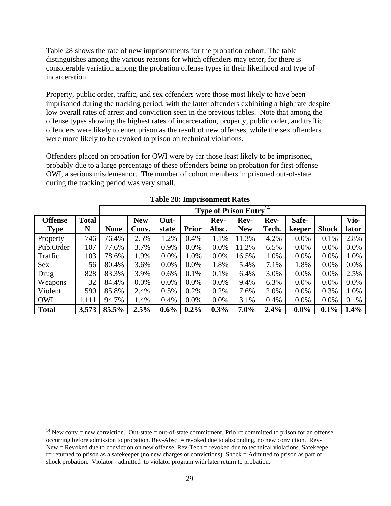Table 28 shows the rate of new imprisonments for the probation cohort. The table distinguishes among the various reasons for which offenders may enter, for there is considerable variation among the probation offense types in their likelihood and type of incarceration.

Property, public order, traffic, and sex offenders were those most likely to have been imprisoned during the tracking period, with the latter offenders exhibiting a high rate despite low overall rates of arrest and conviction seen in the previous tables. Note that among the offense types showing the highest rates of incarceration, property, public order, and traffic offenders were likely to enter prison as the result of new offenses, while the sex offenders were more likely to be revoked to prison on technical violations.

Offenders placed on probation for OWI were by far those least likely to be imprisoned, probably due to a large percentage of these offenders being on probation for first offense OWI, a serious misdemeanor. The number of cohort members imprisoned out-of-state during the tracking period was very small.

|                |              | <b>Type of Prison Entry<sup>14</sup></b> |            |         |              |         |            |       |         |              |         |  |
|----------------|--------------|------------------------------------------|------------|---------|--------------|---------|------------|-------|---------|--------------|---------|--|
| <b>Offense</b> | <b>Total</b> |                                          | <b>New</b> | Out-    |              | Rev-    | Rev-       | Rev-  | Safe-   |              | Vio-    |  |
| <b>Type</b>    | N            | <b>None</b>                              | Conv.      | state   | <b>Prior</b> | Absc.   | <b>New</b> | Tech. | keeper  | <b>Shock</b> | lator   |  |
| Property       | 746          | 76.4%                                    | 2.5%       | 1.2%    | 0.4%         | 1.1%    | 11.3%      | 4.2%  | $0.0\%$ | 0.1%         | 2.8%    |  |
| Pub.Order      | 107          | 77.6%                                    | 3.7%       | 0.9%    | $0.0\%$      | $0.0\%$ | 11.2%      | 6.5%  | $0.0\%$ | $0.0\%$      | $0.0\%$ |  |
| Traffic        | 103          | 78.6%                                    | 1.9%       | $0.0\%$ | 1.0%         | 0.0%    | 16.5%      | 1.0%  | $0.0\%$ | $0.0\%$      | 1.0%    |  |
| <b>Sex</b>     | 56           | 80.4%                                    | 3.6%       | 0.0%    | $0.0\%$      | 1.8%    | 5.4%       | 7.1%  | 1.8%    | $0.0\%$      | $0.0\%$ |  |
| Drug           | 828          | 83.3%                                    | 3.9%       | 0.6%    | 0.1%         | 0.1%    | 6.4%       | 3.0%  | $0.0\%$ | $0.0\%$      | 2.5%    |  |
| Weapons        | 32           | 84.4%                                    | 0.0%       | 0.0%    | $0.0\%$      | $0.0\%$ | 9.4%       | 6.3%  | $0.0\%$ | $0.0\%$      | $0.0\%$ |  |
| Violent        | 590          | 85.8%                                    | 2.4%       | 0.5%    | $0.2\%$      | 0.2%    | 7.6%       | 2.0%  | $0.0\%$ | 0.3%         | 1.0%    |  |
| <b>OWI</b>     | 1,111        | 94.7%                                    | 1.4%       | 0.4%    | $0.0\%$      | $0.0\%$ | 3.1%       | 0.4%  | $0.0\%$ | $0.0\%$      | 0.1%    |  |
| <b>Total</b>   | 3,573        | 85.5%                                    | 2.5%       | $0.6\%$ | $0.2\%$      | $0.3\%$ | $7.0\%$    | 2.4%  | $0.0\%$ | 0.1%         | 1.4%    |  |

|  | <b>Table 28: Imprisonment Rates</b> |  |
|--|-------------------------------------|--|
|--|-------------------------------------|--|

<sup>&</sup>lt;sup>14</sup> New conv.= new conviction. Out-state = out-of-state commitment. Prio  $r =$  committed to prison for an offense occurring before admission to probation. Rev-Absc. = revoked due to absconding, no new conviction. Rev-New = Revoked due to conviction on new offense. Rev-Tech = revoked due to technical violations. Safekeepe r= returned to prison as a safekeeper (no new charges or convictions). Shock = Admitted to prison as part of shock probation. Violator= admitted to violator program with later return to probation.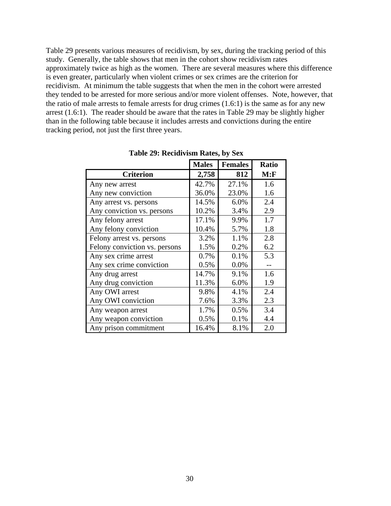Table 29 presents various measures of recidivism, by sex, during the tracking period of this study. Generally, the table shows that men in the cohort show recidivism rates approximately twice as high as the women. There are several measures where this difference is even greater, particularly when violent crimes or sex crimes are the criterion for recidivism. At minimum the table suggests that when the men in the cohort were arrested they tended to be arrested for more serious and/or more violent offenses. Note, however, that the ratio of male arrests to female arrests for drug crimes (1.6:1) is the same as for any new arrest (1.6:1). The reader should be aware that the rates in Table 29 may be slightly higher than in the following table because it includes arrests and convictions during the entire tracking period, not just the first three years.

|                               | <b>Males</b> | <b>Females</b> | <b>Ratio</b> |
|-------------------------------|--------------|----------------|--------------|
| <b>Criterion</b>              | 2,758        | 812            | M: F         |
| Any new arrest                | 42.7%        | 27.1%          | 1.6          |
| Any new conviction            | 36.0%        | 23.0%          | 1.6          |
| Any arrest vs. persons        | 14.5%        | 6.0%           | 2.4          |
| Any conviction vs. persons    | 10.2%        | 3.4%           | 2.9          |
| Any felony arrest             | 17.1%        | 9.9%           | 1.7          |
| Any felony conviction         | 10.4%        | 5.7%           | 1.8          |
| Felony arrest vs. persons     | 3.2%         | 1.1%           | 2.8          |
| Felony conviction vs. persons | 1.5%         | 0.2%           | 6.2          |
| Any sex crime arrest          | 0.7%         | 0.1%           | 5.3          |
| Any sex crime conviction      | 0.5%         | 0.0%           |              |
| Any drug arrest               | 14.7%        | 9.1%           | 1.6          |
| Any drug conviction           | 11.3%        | 6.0%           | 1.9          |
| Any OWI arrest                | 9.8%         | 4.1%           | 2.4          |
| Any OWI conviction            | 7.6%         | 3.3%           | 2.3          |
| Any weapon arrest             | 1.7%         | 0.5%           | 3.4          |
| Any weapon conviction         | 0.5%         | 0.1%           | 4.4          |
| Any prison commitment         | 16.4%        | 8.1%           | 2.0          |

**Table 29: Recidivism Rates, by Sex**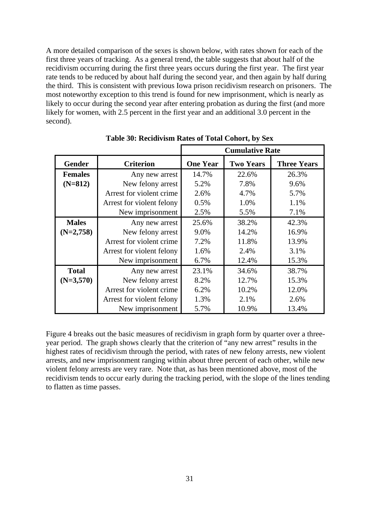A more detailed comparison of the sexes is shown below, with rates shown for each of the first three years of tracking. As a general trend, the table suggests that about half of the recidivism occurring during the first three years occurs during the first year. The first year rate tends to be reduced by about half during the second year, and then again by half during the third. This is consistent with previous Iowa prison recidivism research on prisoners. The most noteworthy exception to this trend is found for new imprisonment, which is nearly as likely to occur during the second year after entering probation as during the first (and more likely for women, with 2.5 percent in the first year and an additional 3.0 percent in the second).

|                |                           | <b>Cumulative Rate</b> |                  |                    |  |  |  |  |
|----------------|---------------------------|------------------------|------------------|--------------------|--|--|--|--|
| <b>Gender</b>  | <b>Criterion</b>          | <b>One Year</b>        | <b>Two Years</b> | <b>Three Years</b> |  |  |  |  |
| <b>Females</b> | Any new arrest            | 14.7%                  | 22.6%            | 26.3%              |  |  |  |  |
| $(N=812)$      | New felony arrest         | 5.2%                   | 7.8%             | 9.6%               |  |  |  |  |
|                | Arrest for violent crime  | 2.6%                   | 4.7%             | 5.7%               |  |  |  |  |
|                | Arrest for violent felony | 0.5%                   | 1.0%             | 1.1%               |  |  |  |  |
|                | New imprisonment          | 2.5%                   | 5.5%             | 7.1%               |  |  |  |  |
| <b>Males</b>   | Any new arrest            | 25.6%                  | 38.2%            | 42.3%              |  |  |  |  |
| $(N=2,758)$    | New felony arrest         | 9.0%                   | 14.2%            | 16.9%              |  |  |  |  |
|                | Arrest for violent crime  | 7.2%                   | 11.8%            | 13.9%              |  |  |  |  |
|                | Arrest for violent felony | 1.6%                   | 2.4%             | 3.1%               |  |  |  |  |
|                | New imprisonment          | 6.7%                   | 12.4%            | 15.3%              |  |  |  |  |
| <b>Total</b>   | Any new arrest            | 23.1%                  | 34.6%            | 38.7%              |  |  |  |  |
| $(N=3,570)$    | New felony arrest         | 8.2%                   | 12.7%            | 15.3%              |  |  |  |  |
|                | Arrest for violent crime  | 6.2%                   | 10.2%            | 12.0%              |  |  |  |  |
|                | Arrest for violent felony | 1.3%                   | 2.1%             | 2.6%               |  |  |  |  |
|                | New imprisonment          | 5.7%                   | 10.9%            | 13.4%              |  |  |  |  |

**Table 30: Recidivism Rates of Total Cohort, by Sex** 

Figure 4 breaks out the basic measures of recidivism in graph form by quarter over a threeyear period. The graph shows clearly that the criterion of "any new arrest" results in the highest rates of recidivism through the period, with rates of new felony arrests, new violent arrests, and new imprisonment ranging within about three percent of each other, while new violent felony arrests are very rare. Note that, as has been mentioned above, most of the recidivism tends to occur early during the tracking period, with the slope of the lines tending to flatten as time passes.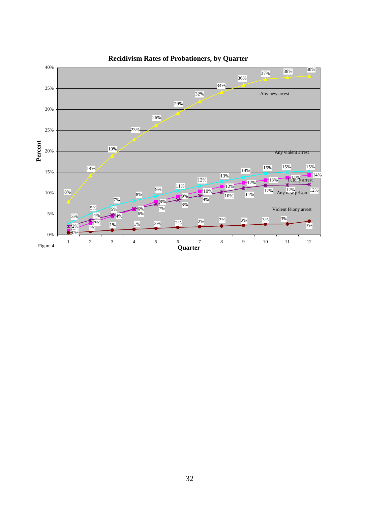

#### **Recidivism Rates of Probationers, by Quarter**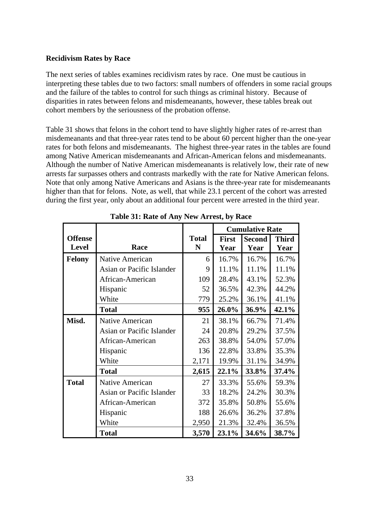## **Recidivism Rates by Race**

The next series of tables examines recidivism rates by race. One must be cautious in interpreting these tables due to two factors: small numbers of offenders in some racial groups and the failure of the tables to control for such things as criminal history. Because of disparities in rates between felons and misdemeanants, however, these tables break out cohort members by the seriousness of the probation offense.

Table 31 shows that felons in the cohort tend to have slightly higher rates of re-arrest than misdemeanants and that three-year rates tend to be about 60 percent higher than the one-year rates for both felons and misdemeanants. The highest three-year rates in the tables are found among Native American misdemeanants and African-American felons and misdemeanants. Although the number of Native American misdemeanants is relatively low, their rate of new arrests far surpasses others and contrasts markedly with the rate for Native American felons. Note that only among Native Americans and Asians is the three-year rate for misdemeanants higher than that for felons. Note, as well, that while 23.1 percent of the cohort was arrested during the first year, only about an additional four percent were arrested in the third year.

|                |                           |              |              | <b>Cumulative Rate</b> |              |
|----------------|---------------------------|--------------|--------------|------------------------|--------------|
| <b>Offense</b> |                           | <b>Total</b> | <b>First</b> | <b>Second</b>          | <b>Third</b> |
| <b>Level</b>   | Race                      | N            | Year         | Year                   | Year         |
| <b>Felony</b>  | Native American           | 6            | 16.7%        | 16.7%                  | 16.7%        |
|                | Asian or Pacific Islander | 9            | 11.1%        | 11.1%                  | 11.1%        |
|                | African-American          | 109          | 28.4%        | 43.1%                  | 52.3%        |
|                | Hispanic                  | 52           | 36.5%        | 42.3%                  | 44.2%        |
|                | White                     | 779          | 25.2%        | 36.1%                  | 41.1%        |
|                | <b>Total</b>              | 955          | 26.0%        | 36.9%                  | 42.1%        |
| Misd.          | Native American           | 21           | 38.1%        | 66.7%                  | 71.4%        |
|                | Asian or Pacific Islander | 24           | 20.8%        | 29.2%                  | 37.5%        |
|                | African-American          | 263          | 38.8%        | 54.0%                  | 57.0%        |
|                | Hispanic                  | 136          | 22.8%        | 33.8%                  | 35.3%        |
|                | White                     | 2,171        | 19.9%        | 31.1%                  | 34.9%        |
|                | <b>Total</b>              | 2,615        | 22.1%        | 33.8%                  | 37.4%        |
| <b>Total</b>   | Native American           | 27           | 33.3%        | 55.6%                  | 59.3%        |
|                | Asian or Pacific Islander | 33           | 18.2%        | 24.2%                  | 30.3%        |
|                | African-American          | 372          | 35.8%        | 50.8%                  | 55.6%        |
|                | Hispanic                  | 188          | 26.6%        | 36.2%                  | 37.8%        |
|                | White                     | 2,950        | 21.3%        | 32.4%                  | 36.5%        |
|                | <b>Total</b>              | 3,570        | 23.1%        | 34.6%                  | 38.7%        |

**Table 31: Rate of Any New Arrest, by Race**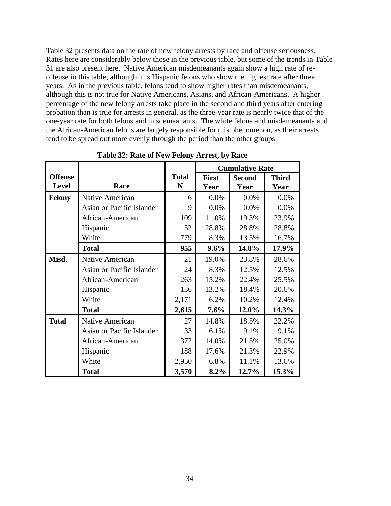Table 32 presents data on the rate of new felony arrests by race and offense seriousness. Rates here are considerably below those in the previous table, but some of the trends in Table 31 are also present here. Native American misdemeanants again show a high rate of reoffense in this table, although it is Hispanic felons who show the highest rate after three years. As in the previous table, felons tend to show higher rates than misdemeanants, although this is not true for Native Americans, Asians, and African-Americans. A higher percentage of the new felony arrests take place in the second and third years after entering probation than is true for arrests in general, as the three-year rate is nearly twice that of the one-year rate for both felons and misdemeanants. The white felons and misdemeanants and the African-American felons are largely responsible for this phenomenon, as their arrests tend to be spread out more evenly through the period than the other groups.

|                |                           |              | <b>Cumulative Rate</b> |               |              |  |  |
|----------------|---------------------------|--------------|------------------------|---------------|--------------|--|--|
| <b>Offense</b> |                           | <b>Total</b> | <b>First</b>           | <b>Second</b> | <b>Third</b> |  |  |
| <b>Level</b>   | Race                      | N            | Year                   | Year          | Year         |  |  |
| <b>Felony</b>  | Native American           | 6            | 0.0%                   | 0.0%          | 0.0%         |  |  |
|                | Asian or Pacific Islander | 9            | 0.0%                   | 0.0%          | 0.0%         |  |  |
|                | African-American          | 109          | 11.0%                  | 19.3%         | 23.9%        |  |  |
|                | Hispanic                  | 52           | 28.8%                  | 28.8%         | 28.8%        |  |  |
|                | White                     | 779          | 8.3%                   | 13.5%         | 16.7%        |  |  |
|                | <b>Total</b>              | 955          | 9.6%                   | 14.8%         | 17.9%        |  |  |
| Misd.          | <b>Native American</b>    | 21           | 19.0%                  | 23.8%         | 28.6%        |  |  |
|                | Asian or Pacific Islander | 24           | 8.3%                   | 12.5%         | 12.5%        |  |  |
|                | African-American          | 263          | 15.2%                  | 22.4%         | 25.5%        |  |  |
|                | Hispanic                  | 136          | 13.2%                  | 18.4%         | 20.6%        |  |  |
|                | White                     | 2,171        | 6.2%                   | 10.2%         | 12.4%        |  |  |
|                | <b>Total</b>              | 2,615        | 7.6%                   | 12.0%         | 14.3%        |  |  |
| <b>Total</b>   | Native American           | 27           | 14.8%                  | 18.5%         | 22.2%        |  |  |
|                | Asian or Pacific Islander | 33           | 6.1%                   | 9.1%          | 9.1%         |  |  |
|                | African-American          | 372          | 14.0%                  | 21.5%         | 25.0%        |  |  |
|                | Hispanic                  | 188          | 17.6%                  | 21.3%         | 22.9%        |  |  |
|                | White                     | 2,950        | 6.8%                   | 11.1%         | 13.6%        |  |  |
|                | <b>Total</b>              | 3,570        | 8.2%                   | 12.7%         | 15.3%        |  |  |

**Table 32: Rate of New Felony Arrest, by Race**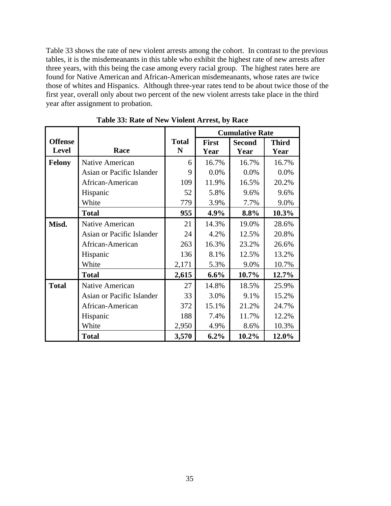Table 33 shows the rate of new violent arrests among the cohort. In contrast to the previous tables, it is the misdemeanants in this table who exhibit the highest rate of new arrests after three years, with this being the case among every racial group. The highest rates here are found for Native American and African-American misdemeanants, whose rates are twice those of whites and Hispanics. Although three-year rates tend to be about twice those of the first year, overall only about two percent of the new violent arrests take place in the third year after assignment to probation.

|                |                           |              |              | <b>Cumulative Rate</b> |              |
|----------------|---------------------------|--------------|--------------|------------------------|--------------|
| <b>Offense</b> |                           | <b>Total</b> | <b>First</b> | <b>Second</b>          | <b>Third</b> |
| <b>Level</b>   | Race                      | N            | Year         | Year                   | Year         |
| <b>Felony</b>  | Native American           | 6            | 16.7%        | 16.7%                  | 16.7%        |
|                | Asian or Pacific Islander | 9            | 0.0%         | 0.0%                   | 0.0%         |
|                | African-American          | 109          | 11.9%        | 16.5%                  | 20.2%        |
|                | Hispanic                  | 52           | 5.8%         | 9.6%                   | 9.6%         |
|                | White                     | 779          | 3.9%         | 7.7%                   | 9.0%         |
|                | <b>Total</b>              | 955          | 4.9%         | 8.8%                   | 10.3%        |
| Misd.          | <b>Native American</b>    | 21           | 14.3%        | 19.0%                  | 28.6%        |
|                | Asian or Pacific Islander | 24           | 4.2%         | 12.5%                  | 20.8%        |
|                | African-American          | 263          | 16.3%        | 23.2%                  | 26.6%        |
|                | Hispanic                  | 136          | 8.1%         | 12.5%                  | 13.2%        |
|                | White                     | 2,171        | 5.3%         | 9.0%                   | 10.7%        |
|                | <b>Total</b>              | 2,615        | 6.6%         | 10.7%                  | 12.7%        |
| <b>Total</b>   | <b>Native American</b>    | 27           | 14.8%        | 18.5%                  | 25.9%        |
|                | Asian or Pacific Islander | 33           | 3.0%         | 9.1%                   | 15.2%        |
|                | African-American          | 372          | 15.1%        | 21.2%                  | 24.7%        |
|                | Hispanic                  | 188          | 7.4%         | 11.7%                  | 12.2%        |
|                | White                     | 2,950        | 4.9%         | 8.6%                   | 10.3%        |
|                | <b>Total</b>              | 3,570        | $6.2\%$      | 10.2%                  | 12.0%        |

**Table 33: Rate of New Violent Arrest, by Race**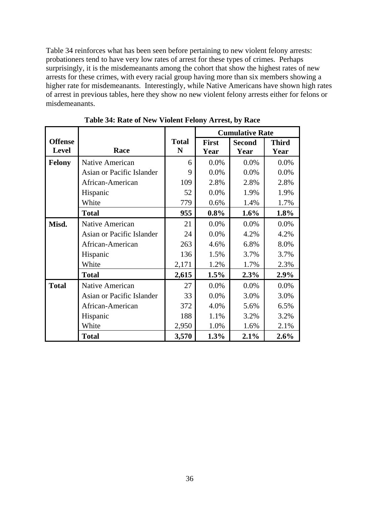Table 34 reinforces what has been seen before pertaining to new violent felony arrests: probationers tend to have very low rates of arrest for these types of crimes. Perhaps surprisingly, it is the misdemeanants among the cohort that show the highest rates of new arrests for these crimes, with every racial group having more than six members showing a higher rate for misdemeanants. Interestingly, while Native Americans have shown high rates of arrest in previous tables, here they show no new violent felony arrests either for felons or misdemeanants.

|                |                           |              |              | <b>Cumulative Rate</b> |              |
|----------------|---------------------------|--------------|--------------|------------------------|--------------|
| <b>Offense</b> |                           | <b>Total</b> | <b>First</b> | <b>Second</b>          | <b>Third</b> |
| <b>Level</b>   | Race                      | N            | Year         | Year                   | Year         |
| <b>Felony</b>  | Native American           | 6            | 0.0%         | 0.0%                   | 0.0%         |
|                | Asian or Pacific Islander | 9            | 0.0%         | 0.0%                   | 0.0%         |
|                | African-American          | 109          | 2.8%         | 2.8%                   | 2.8%         |
|                | Hispanic                  | 52           | 0.0%         | 1.9%                   | 1.9%         |
|                | White                     | 779          | 0.6%         | 1.4%                   | 1.7%         |
|                | <b>Total</b>              | 955          | 0.8%         | 1.6%                   | 1.8%         |
| Misd.          | <b>Native American</b>    | 21           | 0.0%         | 0.0%                   | 0.0%         |
|                | Asian or Pacific Islander | 24           | 0.0%         | 4.2%                   | 4.2%         |
|                | African-American          | 263          | 4.6%         | 6.8%                   | 8.0%         |
|                | Hispanic                  | 136          | 1.5%         | 3.7%                   | 3.7%         |
|                | White                     | 2,171        | 1.2%         | 1.7%                   | 2.3%         |
|                | <b>Total</b>              | 2,615        | 1.5%         | 2.3%                   | 2.9%         |
| <b>Total</b>   | <b>Native American</b>    | 27           | 0.0%         | 0.0%                   | 0.0%         |
|                | Asian or Pacific Islander | 33           | 0.0%         | 3.0%                   | 3.0%         |
|                | African-American          | 372          | 4.0%         | 5.6%                   | 6.5%         |
|                | Hispanic                  | 188          | 1.1%         | 3.2%                   | 3.2%         |
|                | White                     | 2,950        | 1.0%         | 1.6%                   | 2.1%         |
|                | <b>Total</b>              | 3,570        | 1.3%         | 2.1%                   | $2.6\%$      |

**Table 34: Rate of New Violent Felony Arrest, by Race**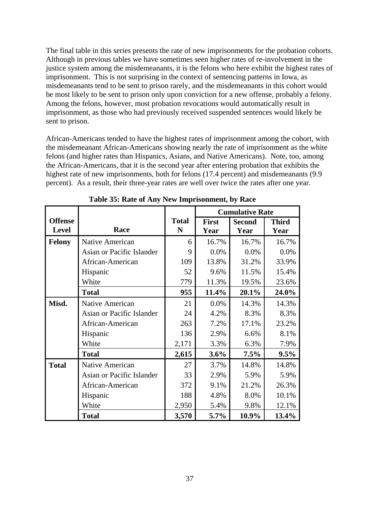The final table in this series presents the rate of new imprisonments for the probation cohorts. Although in previous tables we have sometimes seen higher rates of re-involvement in the justice system among the misdemeanants, it is the felons who here exhibit the highest rates of imprisonment. This is not surprising in the context of sentencing patterns in Iowa, as misdemeanants tend to be sent to prison rarely, and the misdemeanants in this cohort would be most likely to be sent to prison only upon conviction for a new offense, probably a felony. Among the felons, however, most probation revocations would automatically result in imprisonment, as those who had previously received suspended sentences would likely be sent to prison.

African-Americans tended to have the highest rates of imprisonment among the cohort, with the misdemeanant African-Americans showing nearly the rate of imprisonment as the white felons (and higher rates than Hispanics, Asians, and Native Americans). Note, too, among the African-Americans, that it is the second year after entering probation that exhibits the highest rate of new imprisonments, both for felons (17.4 percent) and misdemeanants (9.9 percent). As a result, their three-year rates are well over twice the rates after one year.

|                |                           |              |              | <b>Cumulative Rate</b> |              |
|----------------|---------------------------|--------------|--------------|------------------------|--------------|
| <b>Offense</b> |                           | <b>Total</b> | <b>First</b> | <b>Second</b>          | <b>Third</b> |
| <b>Level</b>   | Race                      | N            | Year         | Year                   | Year         |
| <b>Felony</b>  | Native American           | 6            | 16.7%        | 16.7%                  | 16.7%        |
|                | Asian or Pacific Islander | 9            | 0.0%         | 0.0%                   | 0.0%         |
|                | African-American          | 109          | 13.8%        | 31.2%                  | 33.9%        |
|                | Hispanic                  | 52           | 9.6%         | 11.5%                  | 15.4%        |
|                | White                     | 779          | 11.3%        | 19.5%                  | 23.6%        |
|                | <b>Total</b>              | 955          | 11.4%        | 20.1%                  | 24.0%        |
| Misd.          | <b>Native American</b>    | 21           | 0.0%         | 14.3%                  | 14.3%        |
|                | Asian or Pacific Islander | 24           | 4.2%         | 8.3%                   | 8.3%         |
|                | African-American          | 263          | 7.2%         | 17.1%                  | 23.2%        |
|                | Hispanic                  | 136          | 2.9%         | 6.6%                   | 8.1%         |
|                | White                     | 2,171        | 3.3%         | 6.3%                   | 7.9%         |
|                | <b>Total</b>              | 2,615        | $3.6\%$      | $7.5\%$                | $9.5\%$      |
| <b>Total</b>   | Native American           | 27           | 3.7%         | 14.8%                  | 14.8%        |
|                | Asian or Pacific Islander | 33           | 2.9%         | 5.9%                   | 5.9%         |
|                | African-American          | 372          | 9.1%         | 21.2%                  | 26.3%        |
|                | Hispanic                  | 188          | 4.8%         | 8.0%                   | 10.1%        |
|                | White                     | 2,950        | 5.4%         | 9.8%                   | 12.1%        |
|                | <b>Total</b>              | 3,570        | 5.7%         | 10.9%                  | 13.4%        |

**Table 35: Rate of Any New Imprisonment, by Race**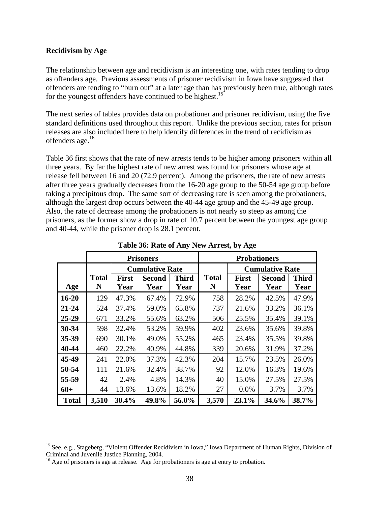#### **Recidivism by Age**

 $\overline{a}$ 

The relationship between age and recidivism is an interesting one, with rates tending to drop as offenders age. Previous assessments of prisoner recidivism in Iowa have suggested that offenders are tending to "burn out" at a later age than has previously been true, although rates for the youngest offenders have continued to be highest.<sup>15</sup>

The next series of tables provides data on probationer and prisoner recidivism, using the five standard definitions used throughout this report. Unlike the previous section, rates for prison releases are also included here to help identify differences in the trend of recidivism as offenders age.<sup>16</sup>

Table 36 first shows that the rate of new arrests tends to be higher among prisoners within all three years. By far the highest rate of new arrest was found for prisoners whose age at release fell between 16 and 20 (72.9 percent). Among the prisoners, the rate of new arrests after three years gradually decreases from the 16-20 age group to the 50-54 age group before taking a precipitous drop. The same sort of decreasing rate is seen among the probationers, although the largest drop occurs between the 40-44 age group and the 45-49 age group. Also, the rate of decrease among the probationers is not nearly so steep as among the prisoners, as the former show a drop in rate of 10.7 percent between the youngest age group and 40-44, while the prisoner drop is 28.1 percent.

|              |                   |                                               | <b>Prisoners</b>       |                      |                   | <b>Probationers</b>  |                        |                      |
|--------------|-------------------|-----------------------------------------------|------------------------|----------------------|-------------------|----------------------|------------------------|----------------------|
|              |                   |                                               | <b>Cumulative Rate</b> |                      |                   |                      | <b>Cumulative Rate</b> |                      |
| Age          | <b>Total</b><br>N | <b>First</b><br><b>Second</b><br>Year<br>Year |                        | <b>Third</b><br>Year | <b>Total</b><br>N | <b>First</b><br>Year | <b>Second</b><br>Year  | <b>Third</b><br>Year |
|              |                   |                                               |                        |                      |                   |                      |                        |                      |
| $16 - 20$    | 129               | 47.3%                                         | 67.4%                  | 72.9%                | 758               | 28.2%                | 42.5%                  | 47.9%                |
| $21 - 24$    | 524               | 37.4%                                         | 59.0%                  | 65.8%                | 737               | 21.6%                | 33.2%                  | 36.1%                |
| 25-29        | 671               | 33.2%                                         | 55.6%                  | 63.2%                | 506               | 25.5%                | 35.4%                  | 39.1%                |
| 30-34        | 598               | 32.4%                                         | 53.2%                  | 59.9%                | 402               | 23.6%                | 35.6%                  | 39.8%                |
| 35-39        | 690               | 30.1%                                         | 49.0%                  | 55.2%                | 465               | 23.4%                | 35.5%                  | 39.8%                |
| 40-44        | 460               | 22.2%                                         | 40.9%                  | 44.8%                | 339               | 20.6%                | 31.9%                  | 37.2%                |
| 45-49        | 241               | 22.0%                                         | 37.3%                  | 42.3%                | 204               | 15.7%                | 23.5%                  | 26.0%                |
| 50-54        | 111               | 21.6%                                         | 32.4%                  | 38.7%                | 92                | 12.0%                | 16.3%                  | 19.6%                |
| 55-59        | 42                | 2.4%                                          | 4.8%                   | 14.3%                | 40                | 15.0%                | 27.5%                  | 27.5%                |
| $60+$        | 44                | 13.6%                                         | 13.6%                  | 18.2%                | 27                | 0.0%                 | 3.7%                   | 3.7%                 |
| <b>Total</b> | 3,510             | 30.4%                                         | 49.8%                  | 56.0%                | 3,570             | 23.1%                | 34.6%                  | 38.7%                |

**Table 36: Rate of Any New Arrest, by Age** 

<sup>&</sup>lt;sup>15</sup> See, e.g., Stageberg, "Violent Offender Recidivism in Iowa," Iowa Department of Human Rights, Division of Criminal and Juvenile Justice Planning, 2004.

 $16$  Age of prisoners is age at release. Age for probationers is age at entry to probation.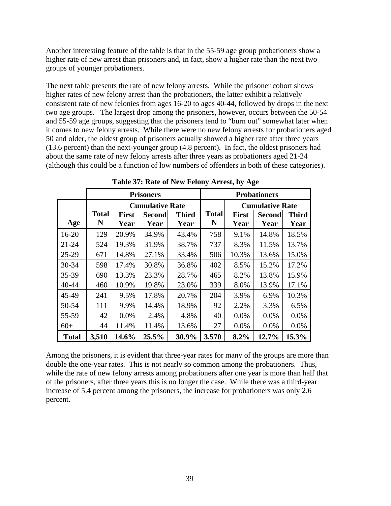Another interesting feature of the table is that in the 55-59 age group probationers show a higher rate of new arrest than prisoners and, in fact, show a higher rate than the next two groups of younger probationers.

The next table presents the rate of new felony arrests. While the prisoner cohort shows higher rates of new felony arrest than the probationers, the latter exhibit a relatively consistent rate of new felonies from ages 16-20 to ages 40-44, followed by drops in the next two age groups. The largest drop among the prisoners, however, occurs between the 50-54 and 55-59 age groups, suggesting that the prisoners tend to "burn out" somewhat later when it comes to new felony arrests. While there were no new felony arrests for probationers aged 50 and older, the oldest group of prisoners actually showed a higher rate after three years (13.6 percent) than the next-younger group (4.8 percent). In fact, the oldest prisoners had about the same rate of new felony arrests after three years as probationers aged 21-24 (although this could be a function of low numbers of offenders in both of these categories).

|              |                   |              | <b>Prisoners</b>       |              | <b>Probationers</b> |                        |               |              |  |
|--------------|-------------------|--------------|------------------------|--------------|---------------------|------------------------|---------------|--------------|--|
|              |                   |              | <b>Cumulative Rate</b> |              |                     | <b>Cumulative Rate</b> |               |              |  |
|              | <b>Total</b><br>N | <b>First</b> | <b>Second</b>          | <b>Third</b> | <b>Total</b>        | <b>First</b>           | <b>Second</b> | <b>Third</b> |  |
| Age          |                   | Year         | Year                   | Year         | N                   | Year                   | Year          | Year         |  |
| $16 - 20$    | 129               | 20.9%        | 34.9%                  | 43.4%        | 758                 | 9.1%                   | 14.8%         | 18.5%        |  |
| $21 - 24$    | 524               | 19.3%        | 31.9%                  | 38.7%        | 737                 | 8.3%                   | 11.5%         | 13.7%        |  |
| $25-29$      | 671               | 14.8%        | 27.1%                  | 33.4%        | 506                 | 10.3%                  | 13.6%         | 15.0%        |  |
| 30-34        | 598               | 17.4%        | 30.8%                  | 36.8%        | 402                 | 8.5%                   | 15.2%         | 17.2%        |  |
| $35 - 39$    | 690               | 13.3%        | 23.3%                  | 28.7%        | 465                 | 8.2%                   | 13.8%         | 15.9%        |  |
| 40-44        | 460               | 10.9%        | 19.8%                  | 23.0%        | 339                 | 8.0%                   | 13.9%         | 17.1%        |  |
| 45-49        | 241               | 9.5%         | 17.8%                  | 20.7%        | 204                 | 3.9%                   | 6.9%          | 10.3%        |  |
| 50-54        | 111               | 9.9%         | 14.4%                  | 18.9%        | 92                  | 2.2%                   | 3.3%          | 6.5%         |  |
| 55-59        | 42                | $0.0\%$      | 2.4%                   | 4.8%         | 40                  | $0.0\%$                | $0.0\%$       | 0.0%         |  |
| $60+$        | 44                | 11.4%        | 11.4%                  | 13.6%        | 27                  | 0.0%                   | 0.0%          | 0.0%         |  |
| <b>Total</b> | 3,510             | 14.6%        | 25.5%                  | 30.9%        | 3,570               | 8.2%                   | 12.7%         | 15.3%        |  |

**Table 37: Rate of New Felony Arrest, by Age** 

Among the prisoners, it is evident that three-year rates for many of the groups are more than double the one-year rates. This is not nearly so common among the probationers. Thus, while the rate of new felony arrests among probationers after one year is more than half that of the prisoners, after three years this is no longer the case. While there was a third-year increase of 5.4 percent among the prisoners, the increase for probationers was only 2.6 percent.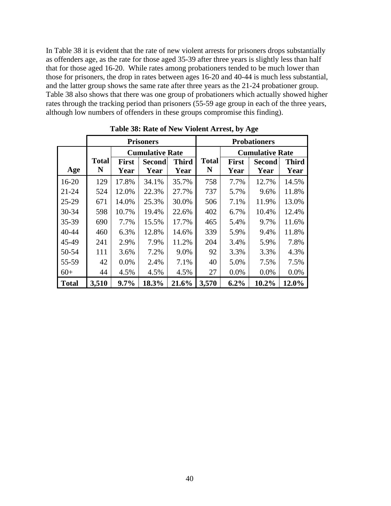In Table 38 it is evident that the rate of new violent arrests for prisoners drops substantially as offenders age, as the rate for those aged 35-39 after three years is slightly less than half that for those aged 16-20. While rates among probationers tended to be much lower than those for prisoners, the drop in rates between ages 16-20 and 40-44 is much less substantial, and the latter group shows the same rate after three years as the 21-24 probationer group. Table 38 also shows that there was one group of probationers which actually showed higher rates through the tracking period than prisoners (55-59 age group in each of the three years, although low numbers of offenders in these groups compromise this finding).

|              |              |                      |                        |              |              |              | o                      |              |
|--------------|--------------|----------------------|------------------------|--------------|--------------|--------------|------------------------|--------------|
|              |              |                      | <b>Prisoners</b>       |              |              |              | <b>Probationers</b>    |              |
|              |              |                      | <b>Cumulative Rate</b> |              |              |              | <b>Cumulative Rate</b> |              |
|              | <b>Total</b> | <b>First</b>         | <b>Second</b>          | <b>Third</b> | <b>Total</b> | <b>First</b> | <b>Second</b>          | <b>Third</b> |
| Age          | N            | Year                 | Year                   | Year         | N            | Year         | Year                   | Year         |
| $16 - 20$    | 129          | 17.8%                | 34.1%                  | 35.7%        | 758          | 7.7%         | 12.7%                  | 14.5%        |
| $21 - 24$    | 524          | 12.0%                | 22.3%                  | 27.7%        | 737          | 5.7%         | 9.6%                   | 11.8%        |
| $25-29$      | 671          | 14.0%                | 25.3%                  | 30.0%        | 506          | 7.1%         | 11.9%                  | 13.0%        |
| 30-34        | 598          | 10.7%                | 19.4%                  | 22.6%        | 402          | 6.7%         | 10.4%                  | 12.4%        |
| 35-39        | 690          | 7.7%                 | 15.5%                  | 17.7%        | 465          | 5.4%         | 9.7%                   | 11.6%        |
| 40-44        | 460          | 6.3%                 | 12.8%                  | 14.6%        | 339          | 5.9%         | 9.4%                   | 11.8%        |
| 45-49        | 241          | 2.9%                 | 7.9%                   | 11.2%        | 204          | 3.4%         | 5.9%                   | 7.8%         |
| 50-54        | 111          | 3.6%                 | 7.2%                   | 9.0%         | 92           | 3.3%         | 3.3%                   | 4.3%         |
| 55-59        | 42           | 0.0%                 | 2.4%                   | 7.1%         | 40           | 5.0%         | 7.5%                   | 7.5%         |
| $60+$        | 44           | 4.5%<br>4.5%<br>4.5% |                        |              | 27           | 0.0%         | 0.0%                   | 0.0%         |
| <b>Total</b> | 3,510        | 9.7%                 | 18.3%                  | 21.6%        | 3,570        | 6.2%         | 10.2%                  | 12.0%        |

**Table 38: Rate of New Violent Arrest, by Age**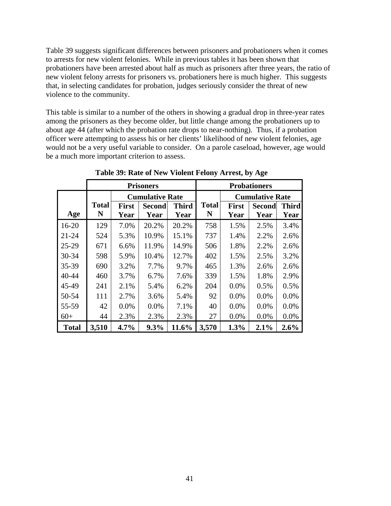Table 39 suggests significant differences between prisoners and probationers when it comes to arrests for new violent felonies. While in previous tables it has been shown that probationers have been arrested about half as much as prisoners after three years, the ratio of new violent felony arrests for prisoners vs. probationers here is much higher. This suggests that, in selecting candidates for probation, judges seriously consider the threat of new violence to the community.

This table is similar to a number of the others in showing a gradual drop in three-year rates among the prisoners as they become older, but little change among the probationers up to about age 44 (after which the probation rate drops to near-nothing). Thus, if a probation officer were attempting to assess his or her clients' likelihood of new violent felonies, age would not be a very useful variable to consider. On a parole caseload, however, age would be a much more important criterion to assess.

|              |              |              | <b>Prisoners</b>       |              |              |              | <b>Probationers</b>    |              |
|--------------|--------------|--------------|------------------------|--------------|--------------|--------------|------------------------|--------------|
|              |              |              | <b>Cumulative Rate</b> |              |              |              | <b>Cumulative Rate</b> |              |
|              | <b>Total</b> | <b>First</b> | <b>Second</b>          | <b>Third</b> | <b>Total</b> | <b>First</b> | <b>Second</b>          | <b>Third</b> |
| Age          | N            | Year         | Year                   | Year         | N            | Year         | Year                   | Year         |
| $16 - 20$    | 129          | 7.0%         | 20.2%                  | 20.2%        | 758          | 1.5%         | 2.5%                   | 3.4%         |
| $21 - 24$    | 524          | 5.3%         | 10.9%                  | 15.1%        | 737          | 1.4%         | 2.2%                   | 2.6%         |
| $25-29$      | 671          | 6.6%         | 11.9%                  | 14.9%        | 506          | 1.8%         | 2.2%                   | 2.6%         |
| 30-34        | 598          | 5.9%         | 10.4%                  | 12.7%        | 402          | 1.5%         | 2.5%                   | 3.2%         |
| 35-39        | 690          | 3.2%         | 7.7%                   | 9.7%         | 465          | 1.3%         | 2.6%                   | 2.6%         |
| 40-44        | 460          | 3.7%         | 6.7%                   | 7.6%         | 339          | 1.5%         | 1.8%                   | 2.9%         |
| 45-49        | 241          | 2.1%         | 5.4%                   | 6.2%         | 204          | 0.0%         | 0.5%                   | 0.5%         |
| 50-54        | 111          | 2.7%         | 3.6%                   | 5.4%         | 92           | 0.0%         | 0.0%                   | 0.0%         |
| 55-59        | 42           | $0.0\%$      | $0.0\%$                | 7.1%         | 40           | 0.0%         | 0.0%                   | 0.0%         |
| $60+$        | 44           | 2.3%         | 2.3%                   | 2.3%         | 27           | 0.0%         | 0.0%                   | 0.0%         |
| <b>Total</b> | 3,510        | 4.7%         | 9.3%                   | 11.6%        | 3,570        | 1.3%         | 2.1%                   | 2.6%         |

**Table 39: Rate of New Violent Felony Arrest, by Age**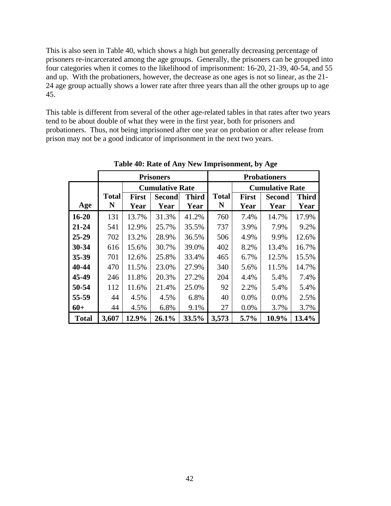This is also seen in Table 40, which shows a high but generally decreasing percentage of prisoners re-incarcerated among the age groups. Generally, the prisoners can be grouped into four categories when it comes to the likelihood of imprisonment: 16-20, 21-39, 40-54, and 55 and up. With the probationers, however, the decrease as one ages is not so linear, as the 21- 24 age group actually shows a lower rate after three years than all the other groups up to age 45.

This table is different from several of the other age-related tables in that rates after two years tend to be about double of what they were in the first year, both for prisoners and probationers. Thus, not being imprisoned after one year on probation or after release from prison may not be a good indicator of imprisonment in the next two years.

|              |              |              | <b>Prisoners</b>       |              | <b>Probationers</b> |              |                        |              |  |
|--------------|--------------|--------------|------------------------|--------------|---------------------|--------------|------------------------|--------------|--|
|              |              |              | <b>Cumulative Rate</b> |              |                     |              | <b>Cumulative Rate</b> |              |  |
|              | <b>Total</b> | <b>First</b> | <b>Second</b>          | <b>Third</b> | <b>Total</b>        | <b>First</b> | <b>Second</b>          | <b>Third</b> |  |
| Age          | N            | Year         | Year                   | Year         | N                   | Year         | Year                   | Year         |  |
| $16 - 20$    | 131          | 13.7%        | 31.3%                  | 41.2%        | 760                 | 7.4%         | 14.7%                  | 17.9%        |  |
| $21 - 24$    | 541          | 12.9%        | 25.7%                  | 35.5%        | 737                 | 3.9%         | 7.9%                   | 9.2%         |  |
| $25 - 29$    | 702          | 13.2%        | 28.9%                  | 36.5%        | 506                 | 4.9%         | 9.9%                   | 12.6%        |  |
| $30 - 34$    | 616          | 15.6%        | 30.7%                  | 39.0%        | 402                 | 8.2%         | 13.4%                  | 16.7%        |  |
| 35-39        | 701          | 12.6%        | 25.8%                  | 33.4%        | 465                 | 6.7%         | 12.5%                  | 15.5%        |  |
| 40-44        | 470          | 11.5%        | 23.0%                  | 27.9%        | 340                 | 5.6%         | 11.5%                  | 14.7%        |  |
| 45-49        | 246          | 11.8%        | 20.3%                  | 27.2%        | 204                 | 4.4%         | 5.4%                   | 7.4%         |  |
| 50-54        | 112          | 11.6%        | 21.4%                  | 25.0%        | 92                  | 2.2%         | 5.4%                   | 5.4%         |  |
| 55-59        | 44           | 4.5%         | 4.5%                   | 6.8%         | 40                  | 0.0%         | 0.0%                   | 2.5%         |  |
| $60+$        | 44           | 4.5%         | 6.8%                   | 9.1%         | 27                  | 0.0%         | 3.7%                   | 3.7%         |  |
| <b>Total</b> | 3,607        | 12.9%        | 26.1%                  | 33.5%        | 3,573               | 5.7%         | 10.9%                  | 13.4%        |  |

**Table 40: Rate of Any New Imprisonment, by Age**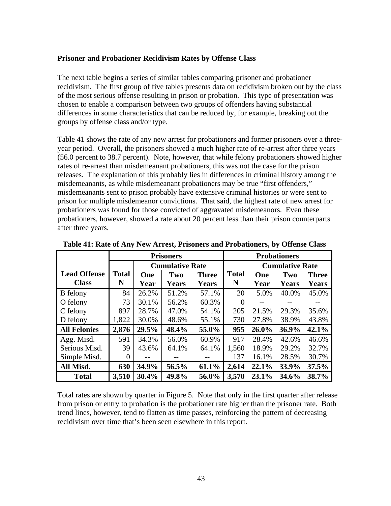## **Prisoner and Probationer Recidivism Rates by Offense Class**

The next table begins a series of similar tables comparing prisoner and probationer recidivism. The first group of five tables presents data on recidivism broken out by the class of the most serious offense resulting in prison or probation. This type of presentation was chosen to enable a comparison between two groups of offenders having substantial differences in some characteristics that can be reduced by, for example, breaking out the groups by offense class and/or type.

Table 41 shows the rate of any new arrest for probationers and former prisoners over a threeyear period. Overall, the prisoners showed a much higher rate of re-arrest after three years (56.0 percent to 38.7 percent). Note, however, that while felony probationers showed higher rates of re-arrest than misdemeanant probationers, this was not the case for the prison releases. The explanation of this probably lies in differences in criminal history among the misdemeanants, as while misdemeanant probationers may be true "first offenders," misdemeanants sent to prison probably have extensive criminal histories or were sent to prison for multiple misdemeanor convictions. That said, the highest rate of new arrest for probationers was found for those convicted of aggravated misdemeanors. Even these probationers, however, showed a rate about 20 percent less than their prison counterparts after three years.

|                     |              |       | <b>Prisoners</b>       |              | <b>Probationers</b> |       |                        |              |  |
|---------------------|--------------|-------|------------------------|--------------|---------------------|-------|------------------------|--------------|--|
|                     |              |       | <b>Cumulative Rate</b> |              |                     |       | <b>Cumulative Rate</b> |              |  |
| <b>Lead Offense</b> | <b>Total</b> | One   | Two                    | <b>Three</b> | <b>Total</b>        | One   | Two                    | <b>Three</b> |  |
| <b>Class</b>        | N            | Year  | <b>Years</b>           | <b>Years</b> | N                   | Year  | <b>Years</b>           | <b>Years</b> |  |
| <b>B</b> felony     | 84           | 26.2% | 51.2%                  | 57.1%        | 20                  | 5.0%  | 40.0%                  | 45.0%        |  |
| O felony            | 73           | 30.1% | 56.2%                  | 60.3%        | $\left( \right)$    |       |                        |              |  |
| C felony            | 897          | 28.7% | 47.0%                  | 54.1%        | 205                 | 21.5% | 29.3%                  | 35.6%        |  |
| D felony            | 1,822        | 30.0% | 48.6%                  | 55.1%        | 730                 | 27.8% | 38.9%                  | 43.8%        |  |
| <b>All Felonies</b> | 2,876        | 29.5% | 48.4%                  | 55.0%        | 955                 | 26.0% | 36.9%                  | 42.1%        |  |
| Agg. Misd.          | 591          | 34.3% | 56.0%                  | 60.9%        | 917                 | 28.4% | 42.6%                  | 46.6%        |  |
| Serious Misd.       | 39           | 43.6% | 64.1%                  | 64.1%        | 1,560               | 18.9% | 29.2%                  | 32.7%        |  |
| Simple Misd.        | 0            |       |                        |              | 137                 | 16.1% | 28.5%                  | 30.7%        |  |
| All Misd.           | 630          | 34.9% | 56.5%                  | 61.1%        | 2,614               | 22.1% | 33.9%                  | 37.5%        |  |
| <b>Total</b>        | 3,510        | 30.4% | 49.8%                  | 56.0%        | 3,570               | 23.1% | 34.6%                  | 38.7%        |  |

**Table 41: Rate of Any New Arrest, Prisoners and Probationers, by Offense Class** 

Total rates are shown by quarter in Figure 5. Note that only in the first quarter after release from prison or entry to probation is the probationer rate higher than the prisoner rate. Both trend lines, however, tend to flatten as time passes, reinforcing the pattern of decreasing recidivism over time that's been seen elsewhere in this report.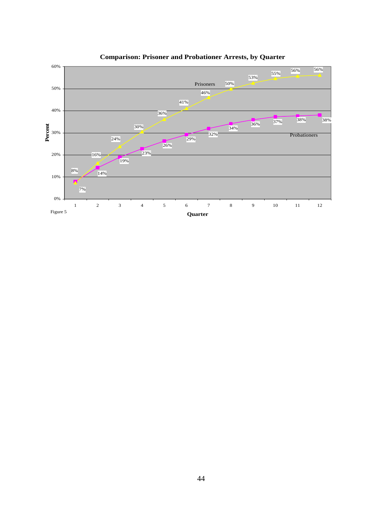

**Comparison: Prisoner and Probationer Arrests, by Quarter**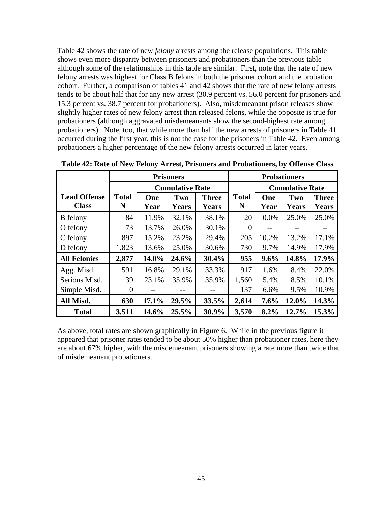Table 42 shows the rate of new *felony* arrests among the release populations. This table shows even more disparity between prisoners and probationers than the previous table although some of the relationships in this table are similar. First, note that the rate of new felony arrests was highest for Class B felons in both the prisoner cohort and the probation cohort. Further, a comparison of tables 41 and 42 shows that the rate of new felony arrests tends to be about half that for any new arrest (30.9 percent vs. 56.0 percent for prisoners and 15.3 percent vs. 38.7 percent for probationers). Also, misdemeanant prison releases show slightly higher rates of new felony arrest than released felons, while the opposite is true for probationers (although aggravated misdemeanants show the second-highest rate among probationers). Note, too, that while more than half the new arrests of prisoners in Table 41 occurred during the first year, this is not the case for the prisoners in Table 42. Even among probationers a higher percentage of the new felony arrests occurred in later years.

|                                     | <b>Probationers</b><br><b>Prisoners</b> |             |                        |                              |                   |             |                        |                              |
|-------------------------------------|-----------------------------------------|-------------|------------------------|------------------------------|-------------------|-------------|------------------------|------------------------------|
|                                     |                                         |             | <b>Cumulative Rate</b> |                              |                   |             | <b>Cumulative Rate</b> |                              |
| <b>Lead Offense</b><br><b>Class</b> | <b>Total</b><br>N                       | One<br>Year | Two<br><b>Years</b>    | <b>Three</b><br><b>Years</b> | <b>Total</b><br>N | One<br>Year | Two<br>Years           | <b>Three</b><br><b>Years</b> |
| <b>B</b> felony                     | 84                                      | 11.9%       | 32.1%                  | 38.1%                        | 20                | 0.0%        | 25.0%                  | 25.0%                        |
| O felony                            | 73                                      | 13.7%       | 26.0%                  | 30.1%                        | $\Omega$          |             |                        |                              |
| C felony                            | 897                                     | 15.2%       | 23.2%                  | 29.4%                        | 205               | 10.2%       | 13.2%                  | 17.1%                        |
| D felony                            | 1,823                                   | 13.6%       | 25.0%                  | 30.6%                        | 730               | 9.7%        | 14.9%                  | 17.9%                        |
| <b>All Felonies</b>                 | 2,877                                   | 14.0%       | 24.6%                  | 30.4%                        | 955               | 9.6%        | 14.8%                  | 17.9%                        |
| Agg. Misd.                          | 591                                     | 16.8%       | 29.1%                  | 33.3%                        | 917               | 11.6%       | 18.4%                  | 22.0%                        |
| Serious Misd.                       | 39                                      | 23.1%       | 35.9%                  | 35.9%                        | 1,560             | 5.4%        | 8.5%                   | 10.1%                        |
| Simple Misd.                        | $\theta$                                |             |                        |                              | 137               | 6.6%        | 9.5%                   | 10.9%                        |
| All Misd.                           | 630                                     | 17.1%       | 29.5%                  | 33.5%                        | 2,614             | $7.6\%$     | 12.0%                  | 14.3%                        |
| <b>Total</b>                        | 3,511                                   | 14.6%       | 25.5%                  | 30.9%                        | 3,570             | 8.2%        | 12.7%                  | 15.3%                        |

**Table 42: Rate of New Felony Arrest, Prisoners and Probationers, by Offense Class** 

As above, total rates are shown graphically in Figure 6. While in the previous figure it appeared that prisoner rates tended to be about 50% higher than probationer rates, here they are about 67% higher, with the misdemeanant prisoners showing a rate more than twice that of misdemeanant probationers.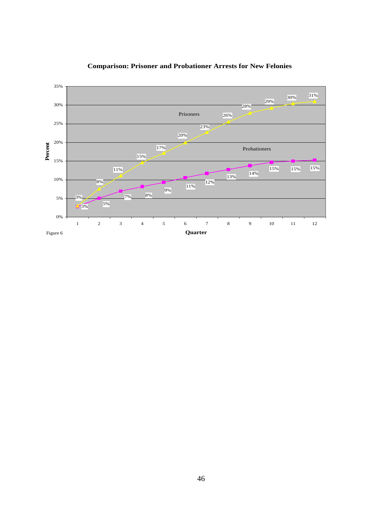

## **Comparison: Prisoner and Probationer Arrests for New Felonies**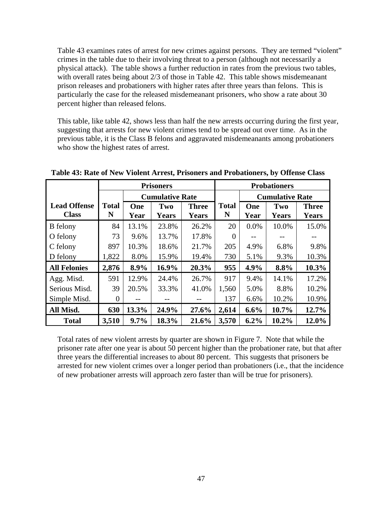Table 43 examines rates of arrest for new crimes against persons. They are termed "violent" crimes in the table due to their involving threat to a person (although not necessarily a physical attack). The table shows a further reduction in rates from the previous two tables, with overall rates being about 2/3 of those in Table 42. This table shows misdemeanant prison releases and probationers with higher rates after three years than felons. This is particularly the case for the released misdemeanant prisoners, who show a rate about 30 percent higher than released felons.

This table, like table 42, shows less than half the new arrests occurring during the first year, suggesting that arrests for new violent crimes tend to be spread out over time. As in the previous table, it is the Class B felons and aggravated misdemeanants among probationers who show the highest rates of arrest.

|                     |              | <b>Prisoners</b> |                        |              |              | <b>Probationers</b> |                        |              |  |
|---------------------|--------------|------------------|------------------------|--------------|--------------|---------------------|------------------------|--------------|--|
|                     |              |                  | <b>Cumulative Rate</b> |              |              |                     | <b>Cumulative Rate</b> |              |  |
| <b>Lead Offense</b> | <b>Total</b> | One              | Two                    | <b>Three</b> | <b>Total</b> | One                 | Two                    | <b>Three</b> |  |
| <b>Class</b>        | N            | Year             | <b>Years</b>           | Years        | N            | Year                | <b>Years</b>           | <b>Years</b> |  |
| <b>B</b> felony     | 84           | 13.1%            | 23.8%                  | 26.2%        | 20           | 0.0%                | 10.0%                  | 15.0%        |  |
| O felony            | 73           | 9.6%             | 13.7%                  | 17.8%        | $\Omega$     |                     |                        |              |  |
| C felony            | 897          | 10.3%            | 18.6%                  | 21.7%        | 205          | 4.9%                | 6.8%                   | 9.8%         |  |
| D felony            | 1,822        | 8.0%             | 15.9%                  | 19.4%        | 730          | 5.1%                | 9.3%                   | 10.3%        |  |
| <b>All Felonies</b> | 2,876        | 8.9%             | $16.9\%$               | 20.3%        | 955          | 4.9%                | 8.8%                   | $10.3\%$     |  |
| Agg. Misd.          | 591          | 12.9%            | 24.4%                  | 26.7%        | 917          | 9.4%                | 14.1%                  | 17.2%        |  |
| Serious Misd.       | 39           | 20.5%            | 33.3%                  | 41.0%        | 1,560        | 5.0%                | 8.8%                   | 10.2%        |  |
| Simple Misd.        | $\theta$     |                  |                        |              | 137          | 6.6%                | 10.2%                  | 10.9%        |  |
| All Misd.           | 630          | 13.3%            | 24.9%                  | 27.6%        | 2,614        | 6.6%                | 10.7%                  | 12.7%        |  |
| <b>Total</b>        | 3,510        | 9.7%             | 18.3%                  | 21.6%        | 3,570        | 6.2%                | 10.2%                  | 12.0%        |  |

**Table 43: Rate of New Violent Arrest, Prisoners and Probationers, by Offense Class** 

Total rates of new violent arrests by quarter are shown in Figure 7. Note that while the prisoner rate after one year is about 50 percent higher than the probationer rate, but that after three years the differential increases to about 80 percent. This suggests that prisoners be arrested for new violent crimes over a longer period than probationers (i.e., that the incidence of new probationer arrests will approach zero faster than will be true for prisoners).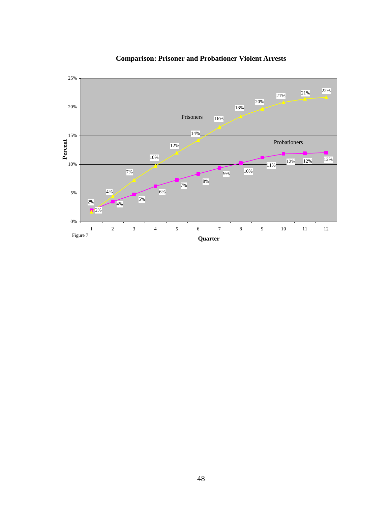

**Comparison: Prisoner and Probationer Violent Arrests**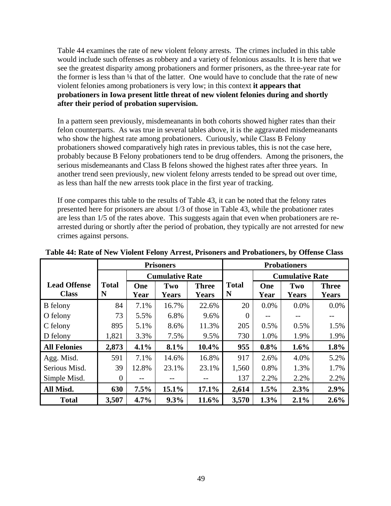Table 44 examines the rate of new violent felony arrests. The crimes included in this table would include such offenses as robbery and a variety of felonious assaults. It is here that we see the greatest disparity among probationers and former prisoners, as the three-year rate for the former is less than  $\frac{1}{4}$  that of the latter. One would have to conclude that the rate of new violent felonies among probationers is very low; in this context **it appears that probationers in Iowa present little threat of new violent felonies during and shortly after their period of probation supervision.** 

In a pattern seen previously, misdemeanants in both cohorts showed higher rates than their felon counterparts. As was true in several tables above, it is the aggravated misdemeanants who show the highest rate among probationers. Curiously, while Class B Felony probationers showed comparatively high rates in previous tables, this is not the case here, probably because B Felony probationers tend to be drug offenders. Among the prisoners, the serious misdemeanants and Class B felons showed the highest rates after three years. In another trend seen previously, new violent felony arrests tended to be spread out over time, as less than half the new arrests took place in the first year of tracking.

If one compares this table to the results of Table 43, it can be noted that the felony rates presented here for prisoners are about 1/3 of those in Table 43, while the probationer rates are less than 1/5 of the rates above. This suggests again that even when probationers are rearrested during or shortly after the period of probation, they typically are not arrested for new crimes against persons.

|                                     | <b>Prisoners</b>  |       |                        |              | <b>Probationers</b> |                        |              |              |  |
|-------------------------------------|-------------------|-------|------------------------|--------------|---------------------|------------------------|--------------|--------------|--|
|                                     |                   |       | <b>Cumulative Rate</b> |              |                     | <b>Cumulative Rate</b> |              |              |  |
| <b>Lead Offense</b><br><b>Class</b> | <b>Total</b><br>N | One   | Two                    | <b>Three</b> | <b>Total</b><br>N   | One                    | Two          | <b>Three</b> |  |
|                                     |                   | Year  | <b>Years</b>           | <b>Years</b> |                     | Year                   | <b>Years</b> | <b>Years</b> |  |
| <b>B</b> felony                     | 84                | 7.1%  | 16.7%                  | 22.6%        | 20                  | 0.0%                   | 0.0%         | 0.0%         |  |
| O felony                            | 73                | 5.5%  | 6.8%                   | 9.6%         | $\overline{0}$      | $-$                    |              |              |  |
| C felony                            | 895               | 5.1%  | 8.6%                   | 11.3%        | 205                 | 0.5%                   | 0.5%         | 1.5%         |  |
| D felony                            | 1,821             | 3.3%  | 7.5%                   | 9.5%         | 730                 | 1.0%                   | 1.9%         | 1.9%         |  |
| <b>All Felonies</b>                 | 2,873             | 4.1%  | 8.1%                   | 10.4%        | 955                 | 0.8%                   | 1.6%         | 1.8%         |  |
| Agg. Misd.                          | 591               | 7.1%  | 14.6%                  | 16.8%        | 917                 | 2.6%                   | 4.0%         | 5.2%         |  |
| Serious Misd.                       | 39                | 12.8% | 23.1%                  | 23.1%        | 1,560               | 0.8%                   | 1.3%         | 1.7%         |  |
| Simple Misd.                        | 0                 | $- -$ |                        |              | 137                 | 2.2%                   | 2.2%         | 2.2%         |  |
| All Misd.                           | 630               | 7.5%  | 15.1%                  | 17.1%        | 2,614               | 1.5%                   | 2.3%         | 2.9%         |  |
| <b>Total</b>                        | 3,507             | 4.7%  | 9.3%                   | 11.6%        | 3,570               | 1.3%                   | 2.1%         | 2.6%         |  |

**Table 44: Rate of New Violent Felony Arrest, Prisoners and Probationers, by Offense Class**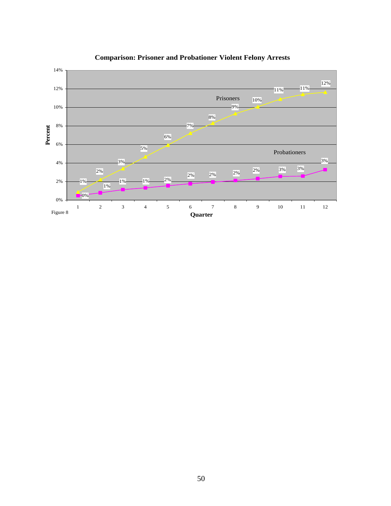

# **Comparison: Prisoner and Probationer Violent Felony Arrests**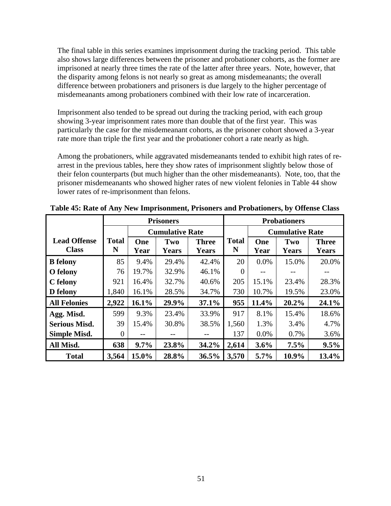The final table in this series examines imprisonment during the tracking period. This table also shows large differences between the prisoner and probationer cohorts, as the former are imprisoned at nearly three times the rate of the latter after three years. Note, however, that the disparity among felons is not nearly so great as among misdemeanants; the overall difference between probationers and prisoners is due largely to the higher percentage of misdemeanants among probationers combined with their low rate of incarceration.

Imprisonment also tended to be spread out during the tracking period, with each group showing 3-year imprisonment rates more than double that of the first year. This was particularly the case for the misdemeanant cohorts, as the prisoner cohort showed a 3-year rate more than triple the first year and the probationer cohort a rate nearly as high.

Among the probationers, while aggravated misdemeanants tended to exhibit high rates of rearrest in the previous tables, here they show rates of imprisonment slightly below those of their felon counterparts (but much higher than the other misdemeanants). Note, too, that the prisoner misdemeanants who showed higher rates of new violent felonies in Table 44 show lower rates of re-imprisonment than felons.

|                      |              | <b>Prisoners</b> |                        |              |              | <b>Probationers</b> |                        |              |  |
|----------------------|--------------|------------------|------------------------|--------------|--------------|---------------------|------------------------|--------------|--|
|                      |              |                  | <b>Cumulative Rate</b> |              |              |                     | <b>Cumulative Rate</b> |              |  |
| <b>Lead Offense</b>  | <b>Total</b> | One              | Two                    | <b>Three</b> | <b>Total</b> | One                 | Two                    | <b>Three</b> |  |
| <b>Class</b>         | N            | Year             | <b>Years</b>           | <b>Years</b> | N            | Year                | <b>Years</b>           | Years        |  |
| <b>B</b> felony      | 85           | 9.4%             | 29.4%                  | 42.4%        | 20           | 0.0%                | 15.0%                  | 20.0%        |  |
| O felony             | 76           | 19.7%            | 32.9%                  | 46.1%        |              |                     |                        |              |  |
| C felony             | 921          | 16.4%            | 32.7%                  | 40.6%        | 205          | 15.1%               | 23.4%                  | 28.3%        |  |
| D felony             | 1,840        | 16.1%            | 28.5%                  | 34.7%        | 730          | 10.7%               | 19.5%                  | 23.0%        |  |
| <b>All Felonies</b>  | 2,922        | 16.1%            | 29.9%                  | 37.1%        | 955          | 11.4%               | 20.2%                  | 24.1%        |  |
| Agg. Misd.           | 599          | 9.3%             | 23.4%                  | 33.9%        | 917          | 8.1%                | 15.4%                  | 18.6%        |  |
| <b>Serious Misd.</b> | 39           | 15.4%            | 30.8%                  | 38.5%        | 1,560        | 1.3%                | 3.4%                   | 4.7%         |  |
| <b>Simple Misd.</b>  | 0            | --               |                        |              | 137          | 0.0%                | 0.7%                   | 3.6%         |  |
| All Misd.            | 638          | 9.7%             | 23.8%                  | 34.2%        | 2,614        | 3.6%                | 7.5%                   | 9.5%         |  |
| <b>Total</b>         | 3,564        | 15.0%            | 28.8%                  | 36.5%        | 3,570        | 5.7%                | 10.9%                  | 13.4%        |  |

**Table 45: Rate of Any New Imprisonment, Prisoners and Probationers, by Offense Class**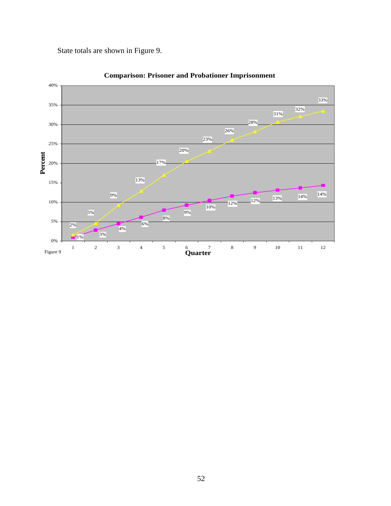State totals are shown in Figure 9.



**Comparison: Prisoner and Probationer Imprisonment**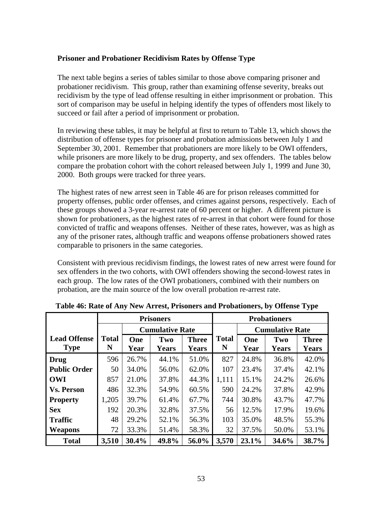## **Prisoner and Probationer Recidivism Rates by Offense Type**

The next table begins a series of tables similar to those above comparing prisoner and probationer recidivism. This group, rather than examining offense severity, breaks out recidivism by the type of lead offense resulting in either imprisonment or probation. This sort of comparison may be useful in helping identify the types of offenders most likely to succeed or fail after a period of imprisonment or probation.

In reviewing these tables, it may be helpful at first to return to Table 13, which shows the distribution of offense types for prisoner and probation admissions between July 1 and September 30, 2001. Remember that probationers are more likely to be OWI offenders, while prisoners are more likely to be drug, property, and sex offenders. The tables below compare the probation cohort with the cohort released between July 1, 1999 and June 30, 2000. Both groups were tracked for three years.

The highest rates of new arrest seen in Table 46 are for prison releases committed for property offenses, public order offenses, and crimes against persons, respectively. Each of these groups showed a 3-year re-arrest rate of 60 percent or higher. A different picture is shown for probationers, as the highest rates of re-arrest in that cohort were found for those convicted of traffic and weapons offenses. Neither of these rates, however, was as high as any of the prisoner rates, although traffic and weapons offense probationers showed rates comparable to prisoners in the same categories.

Consistent with previous recidivism findings, the lowest rates of new arrest were found for sex offenders in the two cohorts, with OWI offenders showing the second-lowest rates in each group. The low rates of the OWI probationers, combined with their numbers on probation, are the main source of the low overall probation re-arrest rate.

|                     |              |       | <b>Prisoners</b>       |              |              |       | <b>Probationers</b>    |              |
|---------------------|--------------|-------|------------------------|--------------|--------------|-------|------------------------|--------------|
|                     |              |       | <b>Cumulative Rate</b> |              |              |       | <b>Cumulative Rate</b> |              |
| <b>Lead Offense</b> | <b>Total</b> | One   | Two                    | <b>Three</b> | <b>Total</b> | One   | Two                    | <b>Three</b> |
| <b>Type</b>         | N            | Year  | <b>Years</b>           | <b>Years</b> | N            | Year  | <b>Years</b>           | <b>Years</b> |
| <b>Drug</b>         | 596          | 26.7% | 44.1%                  | 51.0%        | 827          | 24.8% | 36.8%                  | 42.0%        |
| <b>Public Order</b> | 50           | 34.0% | 56.0%                  | 62.0%        | 107          | 23.4% | 37.4%                  | 42.1%        |
| <b>OWI</b>          | 857          | 21.0% | 37.8%                  | 44.3%        | 1,111        | 15.1% | 24.2%                  | 26.6%        |
| <b>Vs. Person</b>   | 486          | 32.3% | 54.9%                  | 60.5%        | 590          | 24.2% | 37.8%                  | 42.9%        |
| <b>Property</b>     | 1,205        | 39.7% | 61.4%                  | 67.7%        | 744          | 30.8% | 43.7%                  | 47.7%        |
| <b>Sex</b>          | 192          | 20.3% | 32.8%                  | 37.5%        | 56           | 12.5% | 17.9%                  | 19.6%        |
| <b>Traffic</b>      | 48           | 29.2% | 52.1%                  | 56.3%        | 103          | 35.0% | 48.5%                  | 55.3%        |
| <b>Weapons</b>      | 72           | 33.3% | 51.4%                  | 58.3%        | 32           | 37.5% | 50.0%                  | 53.1%        |
| <b>Total</b>        | 3,510        | 30.4% | 49.8%                  | 56.0%        | 3,570        | 23.1% | 34.6%                  | 38.7%        |

**Table 46: Rate of Any New Arrest, Prisoners and Probationers, by Offense Type**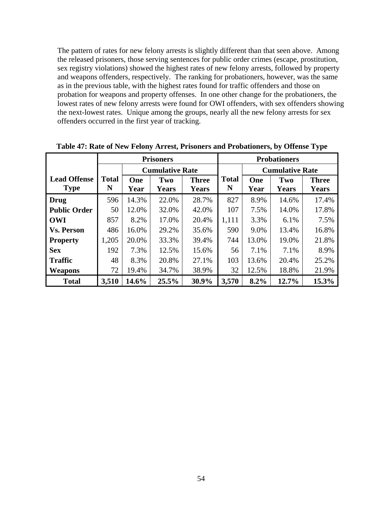The pattern of rates for new felony arrests is slightly different than that seen above. Among the released prisoners, those serving sentences for public order crimes (escape, prostitution, sex registry violations) showed the highest rates of new felony arrests, followed by property and weapons offenders, respectively. The ranking for probationers, however, was the same as in the previous table, with the highest rates found for traffic offenders and those on probation for weapons and property offenses. In one other change for the probationers, the lowest rates of new felony arrests were found for OWI offenders, with sex offenders showing the next-lowest rates. Unique among the groups, nearly all the new felony arrests for sex offenders occurred in the first year of tracking.

|                     | <b>Prisoners</b> |       |                        |              | <b>Probationers</b> |                        |       |              |
|---------------------|------------------|-------|------------------------|--------------|---------------------|------------------------|-------|--------------|
|                     |                  |       | <b>Cumulative Rate</b> |              |                     | <b>Cumulative Rate</b> |       |              |
| <b>Lead Offense</b> | <b>Total</b>     | One   | Two                    | <b>Three</b> | <b>Total</b>        | One                    | Two   | <b>Three</b> |
| <b>Type</b>         | N                | Year  | <b>Years</b>           | <b>Years</b> | N                   | Year                   | Years | <b>Years</b> |
| <b>Drug</b>         | 596              | 14.3% | 22.0%                  | 28.7%        | 827                 | 8.9%                   | 14.6% | 17.4%        |
| <b>Public Order</b> | 50               | 12.0% | 32.0%                  | 42.0%        | 107                 | 7.5%                   | 14.0% | 17.8%        |
| <b>OWI</b>          | 857              | 8.2%  | 17.0%                  | 20.4%        | 1,111               | 3.3%                   | 6.1%  | 7.5%         |
| <b>Vs. Person</b>   | 486              | 16.0% | 29.2%                  | 35.6%        | 590                 | 9.0%                   | 13.4% | 16.8%        |
| <b>Property</b>     | 1,205            | 20.0% | 33.3%                  | 39.4%        | 744                 | 13.0%                  | 19.0% | 21.8%        |
| <b>Sex</b>          | 192              | 7.3%  | 12.5%                  | 15.6%        | 56                  | 7.1%                   | 7.1%  | 8.9%         |
| <b>Traffic</b>      | 48               | 8.3%  | 20.8%                  | 27.1%        | 103                 | 13.6%                  | 20.4% | 25.2%        |
| <b>Weapons</b>      | 72               | 19.4% | 34.7%                  | 38.9%        | 32                  | 12.5%                  | 18.8% | 21.9%        |
| <b>Total</b>        | 3,510            | 14.6% | 25.5%                  | 30.9%        | 3,570               | 8.2%                   | 12.7% | 15.3%        |

**Table 47: Rate of New Felony Arrest, Prisoners and Probationers, by Offense Type**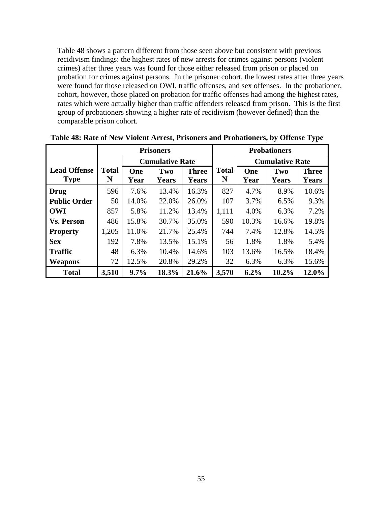Table 48 shows a pattern different from those seen above but consistent with previous recidivism findings: the highest rates of new arrests for crimes against persons (violent crimes) after three years was found for those either released from prison or placed on probation for crimes against persons. In the prisoner cohort, the lowest rates after three years were found for those released on OWI, traffic offenses, and sex offenses. In the probationer, cohort, however, those placed on probation for traffic offenses had among the highest rates, rates which were actually higher than traffic offenders released from prison. This is the first group of probationers showing a higher rate of recidivism (however defined) than the comparable prison cohort.

|                     | <b>Prisoners</b> |       |                        |              | <b>Probationers</b> |                        |              |              |
|---------------------|------------------|-------|------------------------|--------------|---------------------|------------------------|--------------|--------------|
|                     |                  |       | <b>Cumulative Rate</b> |              |                     | <b>Cumulative Rate</b> |              |              |
| <b>Lead Offense</b> | <b>Total</b>     | One   | Two                    | <b>Three</b> | <b>Total</b>        | One                    | Two          | <b>Three</b> |
| <b>Type</b>         | N                | Year  | <b>Years</b>           | <b>Years</b> | N                   | Year                   | <b>Years</b> | <b>Years</b> |
| Drug                | 596              | 7.6%  | 13.4%                  | 16.3%        | 827                 | 4.7%                   | 8.9%         | 10.6%        |
| <b>Public Order</b> | 50               | 14.0% | 22.0%                  | 26.0%        | 107                 | 3.7%                   | 6.5%         | 9.3%         |
| <b>OWI</b>          | 857              | 5.8%  | 11.2%                  | 13.4%        | 1,111               | 4.0%                   | 6.3%         | 7.2%         |
| <b>Vs. Person</b>   | 486              | 15.8% | 30.7%                  | 35.0%        | 590                 | 10.3%                  | 16.6%        | 19.8%        |
| <b>Property</b>     | 1,205            | 11.0% | 21.7%                  | 25.4%        | 744                 | 7.4%                   | 12.8%        | 14.5%        |
| <b>Sex</b>          | 192              | 7.8%  | 13.5%                  | 15.1%        | 56                  | 1.8%                   | 1.8%         | 5.4%         |
| <b>Traffic</b>      | 48               | 6.3%  | 10.4%                  | 14.6%        | 103                 | 13.6%                  | 16.5%        | 18.4%        |
| <b>Weapons</b>      | 72               | 12.5% | 20.8%                  | 29.2%        | 32                  | 6.3%                   | 6.3%         | 15.6%        |
| <b>Total</b>        | 3,510            | 9.7%  | 18.3%                  | 21.6%        | 3,570               | 6.2%                   | 10.2%        | 12.0%        |

**Table 48: Rate of New Violent Arrest, Prisoners and Probationers, by Offense Type**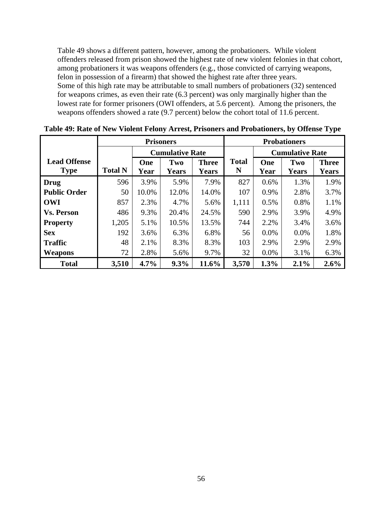Table 49 shows a different pattern, however, among the probationers. While violent offenders released from prison showed the highest rate of new violent felonies in that cohort, among probationers it was weapons offenders (e.g., those convicted of carrying weapons, felon in possession of a firearm) that showed the highest rate after three years. Some of this high rate may be attributable to small numbers of probationers (32) sentenced for weapons crimes, as even their rate (6.3 percent) was only marginally higher than the lowest rate for former prisoners (OWI offenders, at 5.6 percent). Among the prisoners, the weapons offenders showed a rate (9.7 percent) below the cohort total of 11.6 percent.

|                     |                |       | <b>Prisoners</b>       |              | <b>Probationers</b> |      |                        |              |
|---------------------|----------------|-------|------------------------|--------------|---------------------|------|------------------------|--------------|
|                     |                |       | <b>Cumulative Rate</b> |              |                     |      | <b>Cumulative Rate</b> |              |
| <b>Lead Offense</b> |                | One   | Two                    | <b>Three</b> | <b>Total</b>        | One  | Two                    | <b>Three</b> |
| <b>Type</b>         | <b>Total N</b> | Year  | <b>Years</b>           | <b>Years</b> | N                   | Year | <b>Years</b>           | <b>Years</b> |
| <b>Drug</b>         | 596            | 3.9%  | 5.9%                   | 7.9%         | 827                 | 0.6% | 1.3%                   | 1.9%         |
| <b>Public Order</b> | 50             | 10.0% | 12.0%                  | 14.0%        | 107                 | 0.9% | 2.8%                   | 3.7%         |
| <b>OWI</b>          | 857            | 2.3%  | 4.7%                   | 5.6%         | 1,111               | 0.5% | 0.8%                   | 1.1%         |
| <b>Vs. Person</b>   | 486            | 9.3%  | 20.4%                  | 24.5%        | 590                 | 2.9% | 3.9%                   | 4.9%         |
| <b>Property</b>     | 1,205          | 5.1%  | 10.5%                  | 13.5%        | 744                 | 2.2% | 3.4%                   | 3.6%         |
| <b>Sex</b>          | 192            | 3.6%  | 6.3%                   | 6.8%         | 56                  | 0.0% | 0.0%                   | 1.8%         |
| <b>Traffic</b>      | 48             | 2.1%  | 8.3%                   | 8.3%         | 103                 | 2.9% | 2.9%                   | 2.9%         |
| Weapons             | 72             | 2.8%  | 5.6%                   | 9.7%         | 32                  | 0.0% | 3.1%                   | 6.3%         |
| <b>Total</b>        | 3,510          | 4.7%  | 9.3%                   | 11.6%        | 3,570               | 1.3% | 2.1%                   | 2.6%         |

**Table 49: Rate of New Violent Felony Arrest, Prisoners and Probationers, by Offense Type**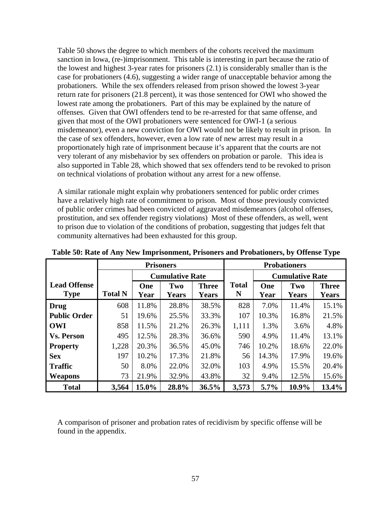Table 50 shows the degree to which members of the cohorts received the maximum sanction in Iowa, (re-)imprisonment. This table is interesting in part because the ratio of the lowest and highest 3-year rates for prisoners (2.1) is considerably smaller than is the case for probationers (4.6), suggesting a wider range of unacceptable behavior among the probationers. While the sex offenders released from prison showed the lowest 3-year return rate for prisoners (21.8 percent), it was those sentenced for OWI who showed the lowest rate among the probationers. Part of this may be explained by the nature of offenses. Given that OWI offenders tend to be re-arrested for that same offense, and given that most of the OWI probationers were sentenced for OWI-1 (a serious misdemeanor), even a new conviction for OWI would not be likely to result in prison. In the case of sex offenders, however, even a low rate of new arrest may result in a proportionately high rate of imprisonment because it's apparent that the courts are not very tolerant of any misbehavior by sex offenders on probation or parole. This idea is also supported in Table 28, which showed that sex offenders tend to be revoked to prison on technical violations of probation without any arrest for a new offense.

A similar rationale might explain why probationers sentenced for public order crimes have a relatively high rate of commitment to prison. Most of those previously convicted of public order crimes had been convicted of aggravated misdemeanors (alcohol offenses, prostitution, and sex offender registry violations) Most of these offenders, as well, went to prison due to violation of the conditions of probation, suggesting that judges felt that community alternatives had been exhausted for this group.

|                     | <b>Prisoners</b> |       |                        |              | <b>Probationers</b> |         |                        |              |
|---------------------|------------------|-------|------------------------|--------------|---------------------|---------|------------------------|--------------|
|                     |                  |       | <b>Cumulative Rate</b> |              |                     |         | <b>Cumulative Rate</b> |              |
| <b>Lead Offense</b> |                  | One   | Two                    | <b>Three</b> | <b>Total</b>        | One     | Two                    | <b>Three</b> |
| <b>Type</b>         | <b>Total N</b>   | Year  | <b>Years</b>           | <b>Years</b> | N                   | Year    | <b>Years</b>           | <b>Years</b> |
| <b>Drug</b>         | 608              | 11.8% | 28.8%                  | 38.5%        | 828                 | 7.0%    | 11.4%                  | 15.1%        |
| <b>Public Order</b> | 51               | 19.6% | 25.5%                  | 33.3%        | 107                 | 10.3%   | 16.8%                  | 21.5%        |
| <b>OWI</b>          | 858              | 11.5% | 21.2%                  | 26.3%        | 1,111               | 1.3%    | 3.6%                   | 4.8%         |
| <b>Vs. Person</b>   | 495              | 12.5% | 28.3%                  | 36.6%        | 590                 | 4.9%    | 11.4%                  | 13.1%        |
| <b>Property</b>     | 1,228            | 20.3% | 36.5%                  | 45.0%        | 746                 | 10.2%   | 18.6%                  | 22.0%        |
| <b>Sex</b>          | 197              | 10.2% | 17.3%                  | 21.8%        | 56                  | 14.3%   | 17.9%                  | 19.6%        |
| <b>Traffic</b>      | 50               | 8.0%  | 22.0%                  | 32.0%        | 103                 | 4.9%    | 15.5%                  | 20.4%        |
| <b>Weapons</b>      | 73               | 21.9% | 32.9%                  | 43.8%        | 32                  | 9.4%    | 12.5%                  | 15.6%        |
| <b>Total</b>        | 3,564            | 15.0% | 28.8%                  | 36.5%        | 3,573               | $5.7\%$ | 10.9%                  | 13.4%        |

**Table 50: Rate of Any New Imprisonment, Prisoners and Probationers, by Offense Type** 

A comparison of prisoner and probation rates of recidivism by specific offense will be found in the appendix.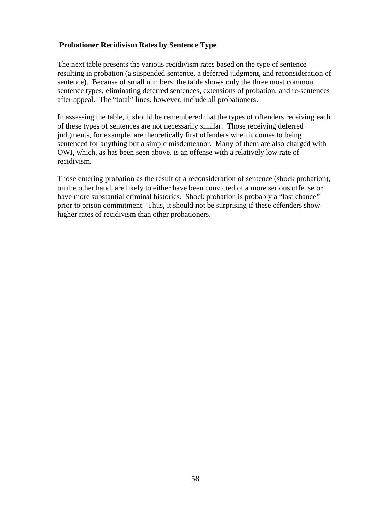# **Probationer Recidivism Rates by Sentence Type**

The next table presents the various recidivism rates based on the type of sentence resulting in probation (a suspended sentence, a deferred judgment, and reconsideration of sentence). Because of small numbers, the table shows only the three most common sentence types, eliminating deferred sentences, extensions of probation, and re-sentences after appeal. The "total" lines, however, include all probationers.

In assessing the table, it should be remembered that the types of offenders receiving each of these types of sentences are not necessarily similar. Those receiving deferred judgments, for example, are theoretically first offenders when it comes to being sentenced for anything but a simple misdemeanor. Many of them are also charged with OWI, which, as has been seen above, is an offense with a relatively low rate of recidivism.

Those entering probation as the result of a reconsideration of sentence (shock probation), on the other hand, are likely to either have been convicted of a more serious offense or have more substantial criminal histories. Shock probation is probably a "last chance" prior to prison commitment. Thus, it should not be surprising if these offenders show higher rates of recidivism than other probationers.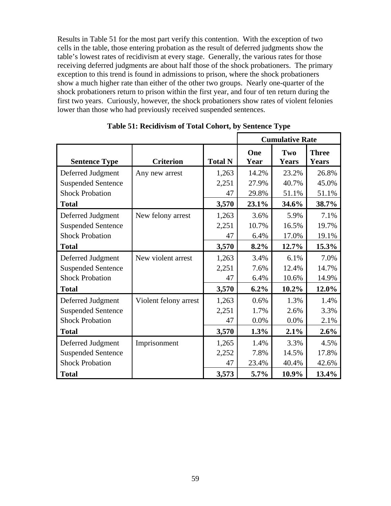Results in Table 51 for the most part verify this contention. With the exception of two cells in the table, those entering probation as the result of deferred judgments show the table's lowest rates of recidivism at every stage. Generally, the various rates for those receiving deferred judgments are about half those of the shock probationers. The primary exception to this trend is found in admissions to prison, where the shock probationers show a much higher rate than either of the other two groups. Nearly one-quarter of the shock probationers return to prison within the first year, and four of ten return during the first two years. Curiously, however, the shock probationers show rates of violent felonies lower than those who had previously received suspended sentences.

|                           |                       |                | <b>Cumulative Rate</b> |                     |                              |  |
|---------------------------|-----------------------|----------------|------------------------|---------------------|------------------------------|--|
| <b>Sentence Type</b>      | <b>Criterion</b>      | <b>Total N</b> | One<br>Year            | Two<br><b>Years</b> | <b>Three</b><br><b>Years</b> |  |
| Deferred Judgment         | Any new arrest        | 1,263          | 14.2%                  | 23.2%               | 26.8%                        |  |
| <b>Suspended Sentence</b> |                       | 2,251          | 27.9%                  | 40.7%               | 45.0%                        |  |
| <b>Shock Probation</b>    |                       | 47             | 29.8%                  | 51.1%               | 51.1%                        |  |
| <b>Total</b>              |                       | 3,570          | 23.1%                  | 34.6%               | 38.7%                        |  |
| Deferred Judgment         | New felony arrest     | 1,263          | 3.6%                   | 5.9%                | 7.1%                         |  |
| <b>Suspended Sentence</b> |                       | 2,251          | 10.7%                  | 16.5%               | 19.7%                        |  |
| <b>Shock Probation</b>    |                       | 47             | 6.4%                   | 17.0%               | 19.1%                        |  |
| <b>Total</b>              |                       | 3,570          | 8.2%                   | 12.7%               | 15.3%                        |  |
| Deferred Judgment         | New violent arrest    | 1,263          | 3.4%                   | 6.1%                | 7.0%                         |  |
| <b>Suspended Sentence</b> |                       | 2,251          | 7.6%                   | 12.4%               | 14.7%                        |  |
| <b>Shock Probation</b>    |                       | 47             | 6.4%                   | 10.6%               | 14.9%                        |  |
| <b>Total</b>              |                       | 3,570          | 6.2%                   | 10.2%               | 12.0%                        |  |
| Deferred Judgment         | Violent felony arrest | 1,263          | 0.6%                   | 1.3%                | 1.4%                         |  |
| <b>Suspended Sentence</b> |                       | 2,251          | 1.7%                   | 2.6%                | 3.3%                         |  |
| <b>Shock Probation</b>    |                       | 47             | 0.0%                   | 0.0%                | 2.1%                         |  |
| <b>Total</b>              |                       | 3,570          | 1.3%                   | 2.1%                | 2.6%                         |  |
| Deferred Judgment         | Imprisonment          | 1,265          | 1.4%                   | 3.3%                | 4.5%                         |  |
| <b>Suspended Sentence</b> |                       | 2,252          | 7.8%                   | 14.5%               | 17.8%                        |  |
| <b>Shock Probation</b>    |                       | 47             | 23.4%                  | 40.4%               | 42.6%                        |  |
| <b>Total</b>              |                       | 3,573          | $5.7\%$                | 10.9%               | 13.4%                        |  |

**Table 51: Recidivism of Total Cohort, by Sentence Type**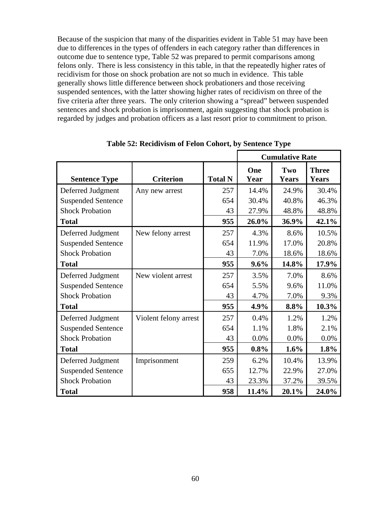Because of the suspicion that many of the disparities evident in Table 51 may have been due to differences in the types of offenders in each category rather than differences in outcome due to sentence type, Table 52 was prepared to permit comparisons among felons only. There is less consistency in this table, in that the repeatedly higher rates of recidivism for those on shock probation are not so much in evidence. This table generally shows little difference between shock probationers and those receiving suspended sentences, with the latter showing higher rates of recidivism on three of the five criteria after three years. The only criterion showing a "spread" between suspended sentences and shock probation is imprisonment, again suggesting that shock probation is regarded by judges and probation officers as a last resort prior to commitment to prison.

|                           |                       |                |             | <b>Cumulative Rate</b> |                              |
|---------------------------|-----------------------|----------------|-------------|------------------------|------------------------------|
| <b>Sentence Type</b>      | <b>Criterion</b>      | <b>Total N</b> | One<br>Year | Two<br><b>Years</b>    | <b>Three</b><br><b>Years</b> |
| Deferred Judgment         | Any new arrest        | 257            | 14.4%       | 24.9%                  | 30.4%                        |
| <b>Suspended Sentence</b> |                       | 654            | 30.4%       | 40.8%                  | 46.3%                        |
| <b>Shock Probation</b>    |                       | 43             | 27.9%       | 48.8%                  | 48.8%                        |
| <b>Total</b>              |                       | 955            | 26.0%       | 36.9%                  | 42.1%                        |
| Deferred Judgment         | New felony arrest     | 257            | 4.3%        | 8.6%                   | 10.5%                        |
| <b>Suspended Sentence</b> |                       | 654            | 11.9%       | 17.0%                  | 20.8%                        |
| <b>Shock Probation</b>    |                       | 43             | 7.0%        | 18.6%                  | 18.6%                        |
| <b>Total</b>              |                       | 955            | 9.6%        | 14.8%                  | 17.9%                        |
| Deferred Judgment         | New violent arrest    | 257            | 3.5%        | 7.0%                   | 8.6%                         |
| <b>Suspended Sentence</b> |                       | 654            | 5.5%        | 9.6%                   | 11.0%                        |
| <b>Shock Probation</b>    |                       | 43             | 4.7%        | 7.0%                   | 9.3%                         |
| <b>Total</b>              |                       | 955            | 4.9%        | 8.8%                   | 10.3%                        |
| Deferred Judgment         | Violent felony arrest | 257            | 0.4%        | 1.2%                   | 1.2%                         |
| <b>Suspended Sentence</b> |                       | 654            | 1.1%        | 1.8%                   | 2.1%                         |
| <b>Shock Probation</b>    |                       | 43             | 0.0%        | 0.0%                   | 0.0%                         |
| <b>Total</b>              |                       | 955            | $0.8\%$     | 1.6%                   | 1.8%                         |
| Deferred Judgment         | Imprisonment          | 259            | 6.2%        | 10.4%                  | 13.9%                        |
| <b>Suspended Sentence</b> |                       | 655            | 12.7%       | 22.9%                  | 27.0%                        |
| <b>Shock Probation</b>    |                       | 43             | 23.3%       | 37.2%                  | 39.5%                        |
| <b>Total</b>              |                       | 958            | 11.4%       | 20.1%                  | 24.0%                        |

**Table 52: Recidivism of Felon Cohort, by Sentence Type**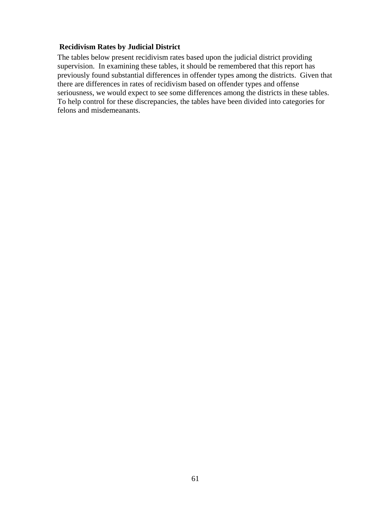## **Recidivism Rates by Judicial District**

The tables below present recidivism rates based upon the judicial district providing supervision. In examining these tables, it should be remembered that this report has previously found substantial differences in offender types among the districts. Given that there are differences in rates of recidivism based on offender types and offense seriousness, we would expect to see some differences among the districts in these tables. To help control for these discrepancies, the tables have been divided into categories for felons and misdemeanants.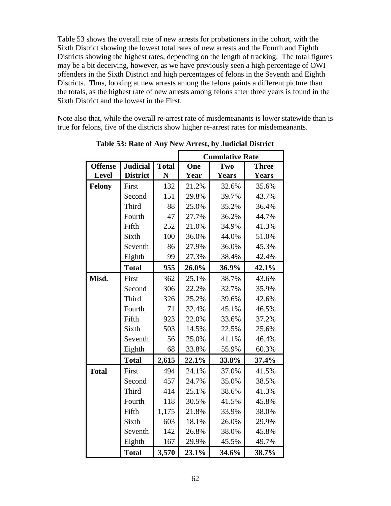Table 53 shows the overall rate of new arrests for probationers in the cohort, with the Sixth District showing the lowest total rates of new arrests and the Fourth and Eighth Districts showing the highest rates, depending on the length of tracking. The total figures may be a bit deceiving, however, as we have previously seen a high percentage of OWI offenders in the Sixth District and high percentages of felons in the Seventh and Eighth Districts. Thus, looking at new arrests among the felons paints a different picture than the totals, as the highest rate of new arrests among felons after three years is found in the Sixth District and the lowest in the First.

Note also that, while the overall re-arrest rate of misdemeanants is lower statewide than is true for felons, five of the districts show higher re-arrest rates for misdemeanants.

|                |                 |              |       | <b>Cumulative Rate</b> |              |
|----------------|-----------------|--------------|-------|------------------------|--------------|
| <b>Offense</b> | <b>Judicial</b> | <b>Total</b> | One   | Two                    | <b>Three</b> |
| <b>Level</b>   | <b>District</b> | N            | Year  | <b>Years</b>           | <b>Years</b> |
| <b>Felony</b>  | First           | 132          | 21.2% | 32.6%                  | 35.6%        |
|                | Second          | 151          | 29.8% | 39.7%                  | 43.7%        |
|                | Third           | 88           | 25.0% | 35.2%                  | 36.4%        |
|                | Fourth          | 47           | 27.7% | 36.2%                  | 44.7%        |
|                | Fifth           | 252          | 21.0% | 34.9%                  | 41.3%        |
|                | Sixth           | 100          | 36.0% | 44.0%                  | 51.0%        |
|                | Seventh         | 86           | 27.9% | 36.0%                  | 45.3%        |
|                | Eighth          | 99           | 27.3% | 38.4%                  | 42.4%        |
|                | <b>Total</b>    | 955          | 26.0% | 36.9%                  | 42.1%        |
| Misd.          | First           | 362          | 25.1% | 38.7%                  | 43.6%        |
|                | Second          | 306          | 22.2% | 32.7%                  | 35.9%        |
|                | Third           | 326          | 25.2% | 39.6%                  | 42.6%        |
|                | Fourth          | 71           | 32.4% | 45.1%                  | 46.5%        |
|                | Fifth           | 923          | 22.0% | 33.6%                  | 37.2%        |
|                | Sixth           | 503          | 14.5% | 22.5%                  | 25.6%        |
|                | Seventh         | 56           | 25.0% | 41.1%                  | 46.4%        |
|                | Eighth          | 68           | 33.8% | 55.9%                  | 60.3%        |
|                | <b>Total</b>    | 2,615        | 22.1% | 33.8%                  | 37.4%        |
| <b>Total</b>   | First           | 494          | 24.1% | 37.0%                  | 41.5%        |
|                | Second          | 457          | 24.7% | 35.0%                  | 38.5%        |
|                | Third           | 414          | 25.1% | 38.6%                  | 41.3%        |
|                | Fourth          | 118          | 30.5% | 41.5%                  | 45.8%        |
|                | Fifth           | 1,175        | 21.8% | 33.9%                  | 38.0%        |
|                | Sixth           | 603          | 18.1% | 26.0%                  | 29.9%        |
|                | Seventh         | 142          | 26.8% | 38.0%                  | 45.8%        |
|                | Eighth          | 167          | 29.9% | 45.5%                  | 49.7%        |
|                | <b>Total</b>    | 3,570        | 23.1% | 34.6%                  | 38.7%        |

**Table 53: Rate of Any New Arrest, by Judicial District**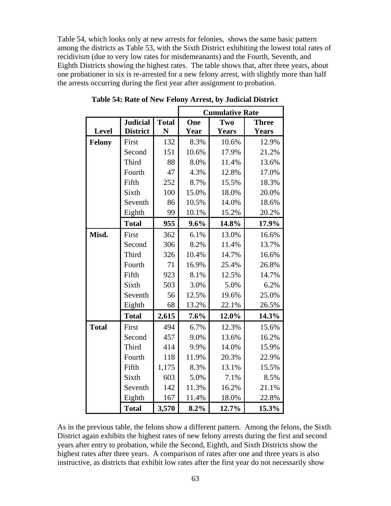Table 54, which looks only at new arrests for felonies, shows the same basic pattern among the districts as Table 53, with the Sixth District exhibiting the lowest total rates of recidivism (due to very low rates for misdemeanants) and the Fourth, Seventh, and Eighth Districts showing the highest rates. The table shows that, after three years, about one probationer in six is re-arrested for a new felony arrest, with slightly more than half the arrests occurring during the first year after assignment to probation.

|              |                 |              | <b>Cumulative Rate</b> |              |              |  |  |  |
|--------------|-----------------|--------------|------------------------|--------------|--------------|--|--|--|
|              | <b>Judicial</b> | <b>Total</b> | One                    | Two          | <b>Three</b> |  |  |  |
| Level        | <b>District</b> | N            | Year                   | <b>Years</b> | <b>Years</b> |  |  |  |
| Felony       | First           | 132          | 8.3%                   | 10.6%        | 12.9%        |  |  |  |
|              | Second          | 151          | 10.6%                  | 17.9%        | 21.2%        |  |  |  |
|              | Third           | 88           | 8.0%                   | 11.4%        | 13.6%        |  |  |  |
|              | Fourth          | 47           | 4.3%                   | 12.8%        | 17.0%        |  |  |  |
|              | Fifth           | 252          | 8.7%                   | 15.5%        | 18.3%        |  |  |  |
|              | Sixth           | 100          | 15.0%                  | 18.0%        | 20.0%        |  |  |  |
|              | Seventh         | 86           | 10.5%                  | 14.0%        | 18.6%        |  |  |  |
|              | Eighth          | 99           | 10.1%                  | 15.2%        | 20.2%        |  |  |  |
|              | <b>Total</b>    | 955          | 9.6%                   | 14.8%        | 17.9%        |  |  |  |
| Misd.        | First           | 362          | 6.1%                   | 13.0%        | 16.6%        |  |  |  |
|              | Second          | 306          | 8.2%                   | 11.4%        | 13.7%        |  |  |  |
|              | Third           | 326          | 10.4%                  | 14.7%        | 16.6%        |  |  |  |
|              | Fourth          | 71           | 16.9%                  | 25.4%        | 26.8%        |  |  |  |
|              | Fifth           | 923          | 8.1%                   | 12.5%        | 14.7%        |  |  |  |
|              | Sixth           | 503          | 3.0%                   | 5.0%         | 6.2%         |  |  |  |
|              | Seventh         | 56           | 12.5%                  | 19.6%        | 25.0%        |  |  |  |
|              | Eighth          | 68           | 13.2%                  | 22.1%        | 26.5%        |  |  |  |
|              | <b>Total</b>    | 2,615        | 7.6%                   | 12.0%        | 14.3%        |  |  |  |
| <b>Total</b> | First           | 494          | 6.7%                   | 12.3%        | 15.6%        |  |  |  |
|              | Second          | 457          | 9.0%                   | 13.6%        | 16.2%        |  |  |  |
|              | Third           | 414          | 9.9%                   | 14.0%        | 15.9%        |  |  |  |
|              | Fourth          | 118          | 11.9%                  | 20.3%        | 22.9%        |  |  |  |
|              | Fifth           | 1,175        | 8.3%                   | 13.1%        | 15.5%        |  |  |  |
|              | Sixth           | 603          | 5.0%                   | 7.1%         | 8.5%         |  |  |  |
|              | Seventh         | 142          | 11.3%                  | 16.2%        | 21.1%        |  |  |  |
|              | Eighth          | 167          | 11.4%                  | 18.0%        | 22.8%        |  |  |  |
|              | <b>Total</b>    | 3,570        | 8.2%                   | 12.7%        | 15.3%        |  |  |  |

**Table 54: Rate of New Felony Arrest, by Judicial District** 

As in the previous table, the felons show a different pattern. Among the felons, the Sixth District again exhibits the highest rates of new felony arrests during the first and second years after entry to probation, while the Second, Eighth, and Sixth Districts show the highest rates after three years. A comparison of rates after one and three years is also instructive, as districts that exhibit low rates after the first year do not necessarily show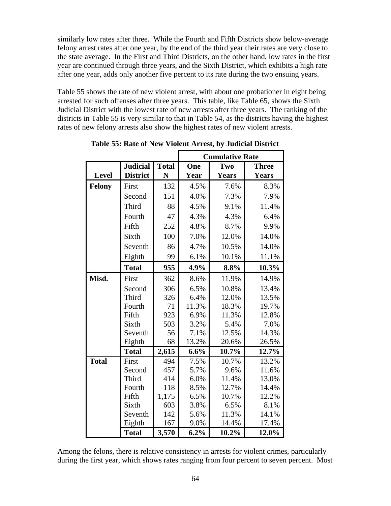similarly low rates after three. While the Fourth and Fifth Districts show below-average felony arrest rates after one year, by the end of the third year their rates are very close to the state average. In the First and Third Districts, on the other hand, low rates in the first year are continued through three years, and the Sixth District, which exhibits a high rate after one year, adds only another five percent to its rate during the two ensuing years.

Table 55 shows the rate of new violent arrest, with about one probationer in eight being arrested for such offenses after three years. This table, like Table 65, shows the Sixth Judicial District with the lowest rate of new arrests after three years. The ranking of the districts in Table 55 is very similar to that in Table 54, as the districts having the highest rates of new felony arrests also show the highest rates of new violent arrests.

|               |                 |              | <b>Cumulative Rate</b> |              |              |  |  |  |
|---------------|-----------------|--------------|------------------------|--------------|--------------|--|--|--|
|               | <b>Judicial</b> | <b>Total</b> | One                    | Two          | <b>Three</b> |  |  |  |
| <b>Level</b>  | <b>District</b> | N            | Year                   | <b>Years</b> | <b>Years</b> |  |  |  |
| <b>Felony</b> | First           | 132          | 4.5%                   | 7.6%         | 8.3%         |  |  |  |
|               | Second          | 151          | 4.0%                   | 7.3%         | 7.9%         |  |  |  |
|               | Third           | 88           | 4.5%                   | 9.1%         | 11.4%        |  |  |  |
|               | Fourth          | 47           | 4.3%                   | 4.3%         | 6.4%         |  |  |  |
|               | Fifth           | 252          | 4.8%                   | 8.7%         | 9.9%         |  |  |  |
|               | Sixth           | 100          | 7.0%                   | 12.0%        | 14.0%        |  |  |  |
|               | Seventh         | 86           | 4.7%                   | 10.5%        | 14.0%        |  |  |  |
|               | Eighth          | 99           | 6.1%                   | 10.1%        | 11.1%        |  |  |  |
|               | <b>Total</b>    | 955          | 4.9%                   | 8.8%         | 10.3%        |  |  |  |
| Misd.         | First           | 362          | 8.6%                   | 11.9%        | 14.9%        |  |  |  |
|               | Second          | 306          | 6.5%                   | 10.8%        | 13.4%        |  |  |  |
|               | Third           | 326          | 6.4%                   | 12.0%        | 13.5%        |  |  |  |
|               | Fourth          | 71           | 11.3%                  | 18.3%        | 19.7%        |  |  |  |
|               | Fifth           | 923          | 6.9%                   | 11.3%        | 12.8%        |  |  |  |
|               | Sixth           | 503          | 3.2%                   | 5.4%         | 7.0%         |  |  |  |
|               | Seventh         | 56           | 7.1%                   | 12.5%        | 14.3%        |  |  |  |
|               | Eighth          | 68           | 13.2%                  | 20.6%        | 26.5%        |  |  |  |
|               | <b>Total</b>    | 2,615        | 6.6%                   | 10.7%        | 12.7%        |  |  |  |
| <b>Total</b>  | First           | 494          | 7.5%                   | 10.7%        | 13.2%        |  |  |  |
|               | Second          | 457          | 5.7%                   | 9.6%         | 11.6%        |  |  |  |
|               | Third           | 414          | 6.0%                   | 11.4%        | 13.0%        |  |  |  |
|               | Fourth          | 118          | 8.5%                   | 12.7%        | 14.4%        |  |  |  |
|               | Fifth           | 1,175        | 6.5%                   | 10.7%        | 12.2%        |  |  |  |
|               | Sixth           | 603          | 3.8%                   | 6.5%         | 8.1%         |  |  |  |
|               | Seventh         | 142          | 5.6%                   | 11.3%        | 14.1%        |  |  |  |
|               | Eighth          | 167          | 9.0%                   | 14.4%        | 17.4%        |  |  |  |
|               | <b>Total</b>    | 3,570        | 6.2%                   | 10.2%        | 12.0%        |  |  |  |

**Table 55: Rate of New Violent Arrest, by Judicial District** 

Among the felons, there is relative consistency in arrests for violent crimes, particularly during the first year, which shows rates ranging from four percent to seven percent. Most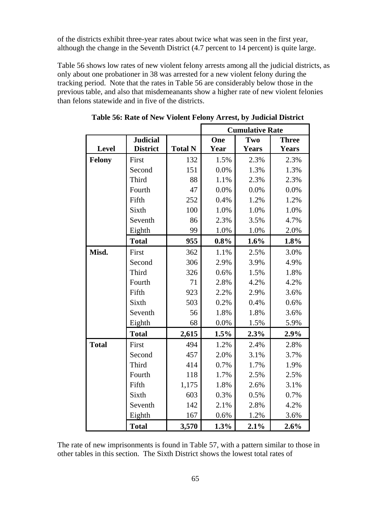of the districts exhibit three-year rates about twice what was seen in the first year, although the change in the Seventh District (4.7 percent to 14 percent) is quite large.

Table 56 shows low rates of new violent felony arrests among all the judicial districts, as only about one probationer in 38 was arrested for a new violent felony during the tracking period. Note that the rates in Table 56 are considerably below those in the previous table, and also that misdemeanants show a higher rate of new violent felonies than felons statewide and in five of the districts.

|               |                 |                | <b>Cumulative Rate</b> |              |              |  |  |  |
|---------------|-----------------|----------------|------------------------|--------------|--------------|--|--|--|
|               | <b>Judicial</b> |                | One                    | Two          | <b>Three</b> |  |  |  |
| Level         | <b>District</b> | <b>Total N</b> | Year                   | <b>Years</b> | <b>Years</b> |  |  |  |
| <b>Felony</b> | First           | 132            | 1.5%                   | 2.3%         | 2.3%         |  |  |  |
|               | Second          | 151            | 0.0%                   | 1.3%         | 1.3%         |  |  |  |
|               | Third           | 88             | 1.1%                   | 2.3%         | 2.3%         |  |  |  |
|               | Fourth          | 47             | 0.0%                   | 0.0%         | 0.0%         |  |  |  |
|               | Fifth           | 252            | 0.4%                   | 1.2%         | 1.2%         |  |  |  |
|               | Sixth           | 100            | 1.0%                   | 1.0%         | 1.0%         |  |  |  |
|               | Seventh         | 86             | 2.3%                   | 3.5%         | 4.7%         |  |  |  |
|               | Eighth          | 99             | 1.0%                   | 1.0%         | 2.0%         |  |  |  |
|               | <b>Total</b>    | 955            | 0.8%                   | 1.6%         | 1.8%         |  |  |  |
| Misd.         | First           | 362            | 1.1%                   | 2.5%         | 3.0%         |  |  |  |
|               | Second          | 306            | 2.9%                   | 3.9%         | 4.9%         |  |  |  |
|               | Third           | 326            | 0.6%                   | 1.5%         | 1.8%         |  |  |  |
|               | Fourth          | 71             | 2.8%                   | 4.2%         | 4.2%         |  |  |  |
|               | Fifth           | 923            | 2.2%                   | 2.9%         | 3.6%         |  |  |  |
|               | Sixth           | 503            | 0.2%                   | 0.4%         | 0.6%         |  |  |  |
|               | Seventh         | 56             | 1.8%                   | 1.8%         | 3.6%         |  |  |  |
|               | Eighth          | 68             | 0.0%                   | 1.5%         | 5.9%         |  |  |  |
|               | <b>Total</b>    | 2,615          | 1.5%                   | 2.3%         | 2.9%         |  |  |  |
| <b>Total</b>  | First           | 494            | 1.2%                   | 2.4%         | 2.8%         |  |  |  |
|               | Second          | 457            | 2.0%                   | 3.1%         | 3.7%         |  |  |  |
|               | Third           | 414            | 0.7%                   | 1.7%         | 1.9%         |  |  |  |
|               | Fourth          | 118            | 1.7%                   | 2.5%         | 2.5%         |  |  |  |
|               | Fifth           | 1,175          | 1.8%                   | 2.6%         | 3.1%         |  |  |  |
|               | Sixth           | 603            | 0.3%                   | 0.5%         | 0.7%         |  |  |  |
|               | Seventh         | 142            | 2.1%                   | 2.8%         | 4.2%         |  |  |  |
|               | Eighth          | 167            | 0.6%                   | 1.2%         | 3.6%         |  |  |  |
|               | <b>Total</b>    | 3,570          | 1.3%                   | 2.1%         | 2.6%         |  |  |  |

**Table 56: Rate of New Violent Felony Arrest, by Judicial District** 

The rate of new imprisonments is found in Table 57, with a pattern similar to those in other tables in this section. The Sixth District shows the lowest total rates of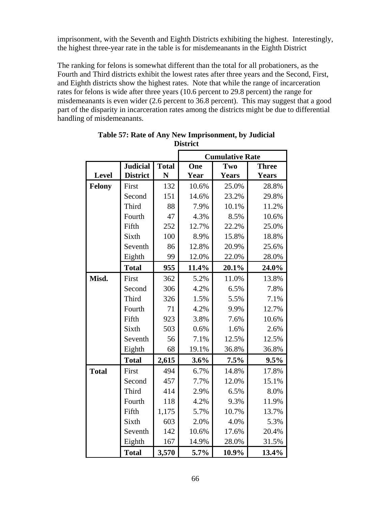imprisonment, with the Seventh and Eighth Districts exhibiting the highest. Interestingly, the highest three-year rate in the table is for misdemeanants in the Eighth District

The ranking for felons is somewhat different than the total for all probationers, as the Fourth and Third districts exhibit the lowest rates after three years and the Second, First, and Eighth districts show the highest rates. Note that while the range of incarceration rates for felons is wide after three years (10.6 percent to 29.8 percent) the range for misdemeanants is even wider (2.6 percent to 36.8 percent). This may suggest that a good part of the disparity in incarceration rates among the districts might be due to differential handling of misdemeanants.

|               |                 |              | <b>Cumulative Rate</b> |              |              |  |  |  |
|---------------|-----------------|--------------|------------------------|--------------|--------------|--|--|--|
|               | <b>Judicial</b> | <b>Total</b> | One                    | Two          | <b>Three</b> |  |  |  |
| <b>Level</b>  | <b>District</b> | N            | Year                   | <b>Years</b> | <b>Years</b> |  |  |  |
| <b>Felony</b> | First           | 132          | 10.6%                  | 25.0%        | 28.8%        |  |  |  |
|               | Second          | 151          | 14.6%                  | 23.2%        | 29.8%        |  |  |  |
|               | Third           | 88           | 7.9%                   | 10.1%        | 11.2%        |  |  |  |
|               | Fourth          | 47           | 4.3%                   | 8.5%         | 10.6%        |  |  |  |
|               | Fifth           | 252          | 12.7%                  | 22.2%        | 25.0%        |  |  |  |
|               | Sixth           | 100          | 8.9%                   | 15.8%        | 18.8%        |  |  |  |
|               | Seventh         | 86           | 12.8%                  | 20.9%        | 25.6%        |  |  |  |
|               | Eighth          | 99           | 12.0%                  | 22.0%        | 28.0%        |  |  |  |
|               | <b>Total</b>    | 955          | 11.4%                  | 20.1%        | 24.0%        |  |  |  |
| Misd.         | First           | 362          | 5.2%                   | 11.0%        | 13.8%        |  |  |  |
|               | Second          | 306          | 4.2%                   | 6.5%         | 7.8%         |  |  |  |
|               | Third           | 326          | 1.5%                   | 5.5%         | 7.1%         |  |  |  |
|               | Fourth          | 71           | 4.2%                   | 9.9%         | 12.7%        |  |  |  |
|               | Fifth           | 923          | 3.8%                   | 7.6%         | 10.6%        |  |  |  |
|               | Sixth           | 503          | 0.6%                   | 1.6%         | 2.6%         |  |  |  |
|               | Seventh         | 56           | 7.1%                   | 12.5%        | 12.5%        |  |  |  |
|               | Eighth          | 68           | 19.1%                  | 36.8%        | 36.8%        |  |  |  |
|               | <b>Total</b>    | 2,615        | 3.6%                   | 7.5%         | 9.5%         |  |  |  |
| <b>Total</b>  | First           | 494          | 6.7%                   | 14.8%        | 17.8%        |  |  |  |
|               | Second          | 457          | 7.7%                   | 12.0%        | 15.1%        |  |  |  |
|               | Third           | 414          | 2.9%                   | 6.5%         | 8.0%         |  |  |  |
|               | Fourth          | 118          | 4.2%                   | 9.3%         | 11.9%        |  |  |  |
|               | Fifth           | 1,175        | 5.7%                   | 10.7%        | 13.7%        |  |  |  |
|               | Sixth           | 603          | 2.0%                   | 4.0%         | 5.3%         |  |  |  |
|               | Seventh         | 142          | 10.6%                  | 17.6%        | 20.4%        |  |  |  |
|               | Eighth          | 167          | 14.9%                  | 28.0%        | 31.5%        |  |  |  |
|               | <b>Total</b>    | 3,570        | 5.7%                   | 10.9%        | 13.4%        |  |  |  |

**Table 57: Rate of Any New Imprisonment, by Judicial District**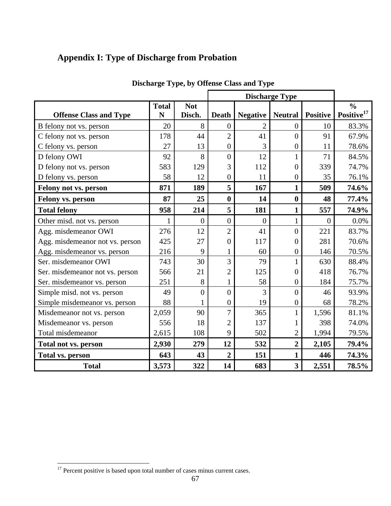# **Appendix I: Type of Discharge from Probation**

|                                 |                   |                      | <b>Discharge Type</b> |                 |                  |                 |                                         |
|---------------------------------|-------------------|----------------------|-----------------------|-----------------|------------------|-----------------|-----------------------------------------|
| <b>Offense Class and Type</b>   | <b>Total</b><br>N | <b>Not</b><br>Disch. | <b>Death</b>          | <b>Negative</b> | <b>Neutral</b>   | <b>Positive</b> | $\frac{0}{0}$<br>Positive <sup>17</sup> |
| B felony not vs. person         | 20                | 8                    | $\theta$              | 2               | $\theta$         | 10              | 83.3%                                   |
| C felony not vs. person         | 178               | 44                   | $\overline{2}$        | 41              | $\overline{0}$   | 91              | 67.9%                                   |
| C felony vs. person             | 27                | 13                   | $\overline{0}$        | 3               | $\boldsymbol{0}$ | 11              | 78.6%                                   |
| D felony OWI                    | 92                | 8                    | $\theta$              | 12              |                  | 71              | 84.5%                                   |
| D felony not vs. person         | 583               | 129                  | 3                     | 112             | $\overline{0}$   | 339             | 74.7%                                   |
| D felony vs. person             | 58                | 12                   | $\theta$              | 11              | $\boldsymbol{0}$ | 35              | 76.1%                                   |
| Felony not vs. person           | 871               | 189                  | 5                     | 167             | $\mathbf{1}$     | 509             | 74.6%                                   |
| Felony vs. person               | 87                | 25                   | $\bf{0}$              | 14              | $\bf{0}$         | 48              | 77.4%                                   |
| <b>Total felony</b>             | 958               | 214                  | 5                     | 181             | 1                | 557             | 74.9%                                   |
| Other misd. not vs. person      |                   | $\overline{0}$       | $\overline{0}$        | $\theta$        | $\mathbf{1}$     | $\theta$        | 0.0%                                    |
| Agg. misdemeanor OWI            | 276               | 12                   | $\overline{2}$        | 41              | $\overline{0}$   | 221             | 83.7%                                   |
| Agg. misdemeanor not vs. person | 425               | 27                   | 0                     | 117             | 0                | 281             | 70.6%                                   |
| Agg. misdemeanor vs. person     | 216               | 9                    | 1                     | 60              | $\boldsymbol{0}$ | 146             | 70.5%                                   |
| Ser. misdemeanor OWI            | 743               | 30                   | 3                     | 79              | 1                | 630             | 88.4%                                   |
| Ser. misdemeanor not vs. person | 566               | 21                   | $\overline{2}$        | 125             | $\overline{0}$   | 418             | 76.7%                                   |
| Ser. misdemeanor vs. person     | 251               | 8                    | 1                     | 58              | $\boldsymbol{0}$ | 184             | 75.7%                                   |
| Simple misd. not vs. person     | 49                | $\overline{0}$       | $\overline{0}$        | 3               | $\boldsymbol{0}$ | 46              | 93.9%                                   |
| Simple misdemeanor vs. person   | 88                | 1                    | $\overline{0}$        | 19              | $\overline{0}$   | 68              | 78.2%                                   |
| Misdemeanor not vs. person      | 2,059             | 90                   | 7                     | 365             | 1                | 1,596           | 81.1%                                   |
| Misdemeanor vs. person          | 556               | 18                   | $\overline{2}$        | 137             | 1                | 398             | 74.0%                                   |
| Total misdemeanor               | 2,615             | 108                  | 9                     | 502             | $\overline{2}$   | 1,994           | 79.5%                                   |
| Total not vs. person            | 2,930             | 279                  | 12                    | 532             | $\overline{2}$   | 2,105           | 79.4%                                   |
| <b>Total vs. person</b>         | 643               | 43                   | $\overline{2}$        | 151             | 1                | 446             | 74.3%                                   |
| <b>Total</b>                    | 3,573             | 322                  | 14                    | 683             | 3                | 2,551           | 78.5%                                   |

# **Discharge Type, by Offense Class and Type**

 $\overline{a}$ 

 $17$  Percent positive is based upon total number of cases minus current cases.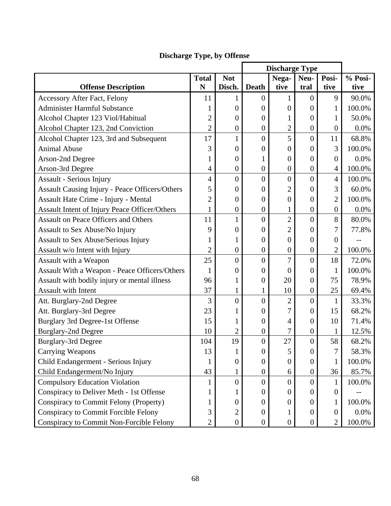|                                                      |                |                  | <b>Discharge Type</b> |                  |                  |                  |        |
|------------------------------------------------------|----------------|------------------|-----------------------|------------------|------------------|------------------|--------|
| <b>Total</b><br><b>Not</b><br>Nega-<br>Neu-          |                |                  | Posi-                 | % Posi-          |                  |                  |        |
| <b>Offense Description</b>                           | N              | Disch.           | <b>Death</b>          | tive             | tral             | tive             | tive   |
| <b>Accessory After Fact, Felony</b>                  | 11             | 1                | $\boldsymbol{0}$      | 1                | $\mathbf{0}$     | 9                | 90.0%  |
| <b>Administer Harmful Substance</b>                  | 1              | $\boldsymbol{0}$ | $\overline{0}$        | $\overline{0}$   | $\overline{0}$   | 1                | 100.0% |
| Alcohol Chapter 123 Viol/Habitual                    | $\overline{c}$ | $\overline{0}$   | $\overline{0}$        | 1                | $\overline{0}$   | 1                | 50.0%  |
| Alcohol Chapter 123, 2nd Conviction                  | $\overline{2}$ | $\boldsymbol{0}$ | $\boldsymbol{0}$      | $\overline{c}$   | $\mathbf{0}$     | $\overline{0}$   | 0.0%   |
| Alcohol Chapter 123, 3rd and Subsequent              | 17             | $\mathbf{1}$     | $\overline{0}$        | 5                | $\overline{0}$   | 11               | 68.8%  |
| <b>Animal Abuse</b>                                  | 3              | $\overline{0}$   | $\boldsymbol{0}$      | $\theta$         | $\mathbf{0}$     | 3                | 100.0% |
| Arson-2nd Degree                                     | 1              | $\boldsymbol{0}$ | 1                     | $\boldsymbol{0}$ | $\overline{0}$   | $\overline{0}$   | 0.0%   |
| Arson-3rd Degree                                     | 4              | $\boldsymbol{0}$ | $\boldsymbol{0}$      | $\boldsymbol{0}$ | $\boldsymbol{0}$ | $\overline{4}$   | 100.0% |
| <b>Assault - Serious Injury</b>                      | 4              | $\boldsymbol{0}$ | $\overline{0}$        | $\overline{0}$   | $\overline{0}$   | $\overline{4}$   | 100.0% |
| Assault Causing Injury - Peace Officers/Others       | 5              | $\theta$         | $\overline{0}$        | $\overline{2}$   | $\overline{0}$   | 3                | 60.0%  |
| Assault Hate Crime - Injury - Mental                 | $\overline{2}$ | $\boldsymbol{0}$ | $\overline{0}$        | $\overline{0}$   | $\overline{0}$   | $\overline{2}$   | 100.0% |
| <b>Assault Intent of Injury Peace Officer/Others</b> | $\mathbf{1}$   | $\boldsymbol{0}$ | $\boldsymbol{0}$      | $\mathbf{1}$     | $\mathbf{0}$     | $\overline{0}$   | 0.0%   |
| <b>Assault on Peace Officers and Others</b>          | 11             | 1                | $\overline{0}$        | $\overline{c}$   | $\overline{0}$   | 8                | 80.0%  |
| Assault to Sex Abuse/No Injury                       | 9              | $\mathbf{0}$     | $\overline{0}$        | $\overline{2}$   | $\overline{0}$   | 7                | 77.8%  |
| <b>Assault to Sex Abuse/Serious Injury</b>           | 1              | 1                | $\boldsymbol{0}$      | $\overline{0}$   | $\overline{0}$   | $\boldsymbol{0}$ |        |
| Assault w/o Intent with Injury                       | $\overline{2}$ | $\boldsymbol{0}$ | $\boldsymbol{0}$      | $\boldsymbol{0}$ | $\boldsymbol{0}$ | $\overline{c}$   | 100.0% |
| Assault with a Weapon                                | 25             | $\boldsymbol{0}$ | $\overline{0}$        | 7                | $\overline{0}$   | 18               | 72.0%  |
| Assault With a Weapon - Peace Officers/Others        | 1              | $\boldsymbol{0}$ | $\boldsymbol{0}$      | $\overline{0}$   | $\overline{0}$   | $\mathbf{1}$     | 100.0% |
| Assault with bodily injury or mental illness         | 96             | $\mathbf{1}$     | $\boldsymbol{0}$      | 20               | $\overline{0}$   | 75               | 78.9%  |
| <b>Assault with Intent</b>                           | 37             | $\mathbf{1}$     | $\mathbf{1}$          | 10               | $\boldsymbol{0}$ | 25               | 69.4%  |
| Att. Burglary-2nd Degree                             | 3              | $\overline{0}$   | $\overline{0}$        | $\overline{c}$   | $\overline{0}$   | $\mathbf{1}$     | 33.3%  |
| Att. Burglary-3rd Degree                             | 23             | 1                | $\overline{0}$        | 7                | $\mathbf{0}$     | 15               | 68.2%  |
| Burglary 3rd Degree-1st Offense                      | 15             | 1                | $\boldsymbol{0}$      | 4                | $\overline{0}$   | 10               | 71.4%  |
| <b>Burglary-2nd Degree</b>                           | 10             | $\overline{c}$   | $\boldsymbol{0}$      | 7                | $\overline{0}$   | $\mathbf{1}$     | 12.5%  |
| <b>Burglary-3rd Degree</b>                           | 104            | 19               | $\boldsymbol{0}$      | 27               | $\overline{0}$   | 58               | 68.2%  |
| <b>Carrying Weapons</b>                              | 13             | 1                | $\boldsymbol{0}$      | 5                | $\overline{0}$   | 7                | 58.3%  |
| Child Endangerment - Serious Injury                  | 1              | $\boldsymbol{0}$ | 0                     | $\boldsymbol{0}$ | $\overline{0}$   | $\mathbf{1}$     | 100.0% |
| Child Endangerment/No Injury                         | 43             | $\mathbf 1$      | $\boldsymbol{0}$      | 6                | $\boldsymbol{0}$ | 36               | 85.7%  |
| <b>Compulsory Education Violation</b>                | 1              | $\boldsymbol{0}$ | $\boldsymbol{0}$      | $\mathbf{0}$     | $\overline{0}$   | $\mathbf{1}$     | 100.0% |
| Conspiracy to Deliver Meth - 1st Offense             | 1              | 1                | 0                     | $\theta$         | $\overline{0}$   | 0                |        |
| Conspiracy to Commit Felony (Property)               | 1              | $\boldsymbol{0}$ | $\boldsymbol{0}$      | $\boldsymbol{0}$ | $\overline{0}$   | 1                | 100.0% |
| <b>Conspiracy to Commit Forcible Felony</b>          | 3              | $\overline{c}$   | $\boldsymbol{0}$      | 1                | $\overline{0}$   | $\boldsymbol{0}$ | 0.0%   |
| Conspiracy to Commit Non-Forcible Felony             | $\overline{2}$ | $\boldsymbol{0}$ | $\boldsymbol{0}$      | $\boldsymbol{0}$ | $\overline{0}$   | $\overline{2}$   | 100.0% |

# **Discharge Type, by Offense**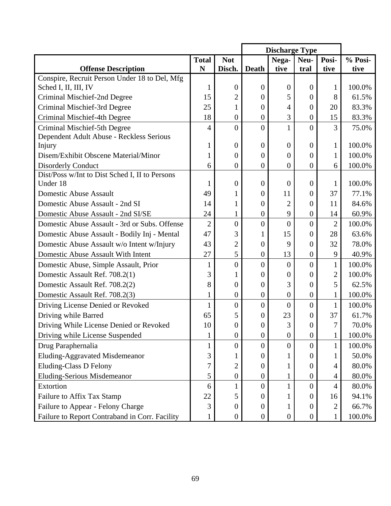|                                                |                  |                  |                  | <b>Discharge Type</b> |                  |                |         |
|------------------------------------------------|------------------|------------------|------------------|-----------------------|------------------|----------------|---------|
|                                                | <b>Total</b>     | <b>Not</b>       |                  | Nega-                 | Neu-             | Posi-          | % Posi- |
| <b>Offense Description</b>                     | N                | Disch.           | Death            | tive                  | tral             | tive           | tive    |
| Conspire, Recruit Person Under 18 to Del, Mfg  |                  |                  |                  |                       |                  |                |         |
| Sched I, II, III, IV                           | 1                | $\overline{0}$   | $\overline{0}$   | $\theta$              | $\theta$         |                | 100.0%  |
| Criminal Mischief-2nd Degree                   | 15               | $\overline{2}$   | 0                | 5                     | $\boldsymbol{0}$ | 8              | 61.5%   |
| Criminal Mischief-3rd Degree                   | 25               | 1                | $\theta$         | 4                     | $\theta$         | 20             | 83.3%   |
| Criminal Mischief-4th Degree                   | 18               | $\boldsymbol{0}$ | $\boldsymbol{0}$ | 3                     | $\overline{0}$   | 15             | 83.3%   |
| Criminal Mischief-5th Degree                   | $\overline{4}$   | $\overline{0}$   | $\overline{0}$   | $\mathbf{1}$          | $\overline{0}$   | 3              | 75.0%   |
| Dependent Adult Abuse - Reckless Serious       |                  |                  |                  |                       |                  |                |         |
| Injury                                         | 1                | 0                | $\theta$         | $\Omega$              | $\theta$         | 1              | 100.0%  |
| Disem/Exhibit Obscene Material/Minor           | 1                | $\overline{0}$   | 0                | 0                     | $\overline{0}$   | $\mathbf{1}$   | 100.0%  |
| <b>Disorderly Conduct</b>                      | 6                | $\overline{0}$   | $\overline{0}$   | $\overline{0}$        | $\overline{0}$   | 6              | 100.0%  |
| Dist/Poss w/Int to Dist Sched I, II to Persons |                  |                  |                  |                       |                  |                |         |
| Under 18                                       | $\mathbf{1}$     | $\overline{0}$   | $\theta$         | $\theta$              | $\theta$         | 1              | 100.0%  |
| <b>Domestic Abuse Assault</b>                  | 49               | 1                | 0                | 11                    | $\overline{0}$   | 37             | 77.1%   |
| Domestic Abuse Assault - 2nd SI                | 14               | $\mathbf 1$      | 0                | $\overline{2}$        | $\theta$         | 11             | 84.6%   |
| Domestic Abuse Assault - 2nd SI/SE             | 24               | $\mathbf{1}$     | $\boldsymbol{0}$ | 9                     | $\boldsymbol{0}$ | 14             | 60.9%   |
| Domestic Abuse Assault - 3rd or Subs. Offense  | $\overline{2}$   | $\overline{0}$   | $\overline{0}$   | $\overline{0}$        | $\overline{0}$   | $\overline{2}$ | 100.0%  |
| Domestic Abuse Assault - Bodily Inj - Mental   | 47               | 3                | 1                | 15                    | $\boldsymbol{0}$ | 28             | 63.6%   |
| Domestic Abuse Assault w/o Intent w/Injury     | 43               | $\overline{2}$   | $\overline{0}$   | 9                     | $\overline{0}$   | 32             | 78.0%   |
| Domestic Abuse Assault With Intent             | 27               | 5                | $\boldsymbol{0}$ | 13                    | $\overline{0}$   | 9              | 40.9%   |
| Domestic Abuse, Simple Assault, Prior          | $\mathbf{1}$     | $\boldsymbol{0}$ | $\overline{0}$   | $\overline{0}$        | $\overline{0}$   | $\mathbf{1}$   | 100.0%  |
| Domestic Assault Ref. 708.2(1)                 | 3                | 1                | 0                | 0                     | $\mathbf{0}$     | $\overline{2}$ | 100.0%  |
| Domestic Assault Ref. 708.2(2)                 | 8                | $\boldsymbol{0}$ | 0                | 3                     | $\mathbf{0}$     | 5              | 62.5%   |
| Domestic Assault Ref. 708.2(3)                 | $\mathbf{1}$     | $\boldsymbol{0}$ | $\boldsymbol{0}$ | 0                     | $\boldsymbol{0}$ | $\mathbf 1$    | 100.0%  |
| Driving License Denied or Revoked              | $\mathbf{1}$     | $\overline{0}$   | $\overline{0}$   | $\overline{0}$        | $\overline{0}$   | $\mathbf{1}$   | 100.0%  |
| Driving while Barred                           | 65               | 5                | 0                | 23                    | 0                | 37             | 61.7%   |
| Driving While License Denied or Revoked        | 10               | $\boldsymbol{0}$ | 0                | 3                     | $\overline{0}$   | 7              | 70.0%   |
| Driving while License Suspended                | $\mathbf{1}$     | $\boldsymbol{0}$ | $\boldsymbol{0}$ | $\boldsymbol{0}$      | $\boldsymbol{0}$ |                | 100.0%  |
| Drug Paraphernalia                             | $\mathbf{1}$     | $\boldsymbol{0}$ | $\overline{0}$   | $\overline{0}$        | $\mathbf{0}$     | 1              | 100.0%  |
| Eluding-Aggravated Misdemeanor                 | 3                |                  | 0                |                       | $\theta$         |                | 50.0%   |
| <b>Eluding-Class D Felony</b>                  | $\boldsymbol{7}$ | $\overline{c}$   | 0                |                       | 0                | 4              | 80.0%   |
| Eluding-Serious Misdemeanor                    | 5                | $\boldsymbol{0}$ | $\boldsymbol{0}$ |                       | $\boldsymbol{0}$ | 4              | 80.0%   |
| Extortion                                      | 6                |                  | 0                |                       | $\overline{0}$   | 4              | 80.0%   |
| Failure to Affix Tax Stamp                     | 22               | 5                | 0                |                       | $\boldsymbol{0}$ | 16             | 94.1%   |
| Failure to Appear - Felony Charge              | 3                | $\boldsymbol{0}$ | 0                | 1                     | $\boldsymbol{0}$ | 2              | 66.7%   |
| Failure to Report Contraband in Corr. Facility | $\mathbf{1}$     | $\boldsymbol{0}$ | $\boldsymbol{0}$ | $\boldsymbol{0}$      | $\boldsymbol{0}$ | 1              | 100.0%  |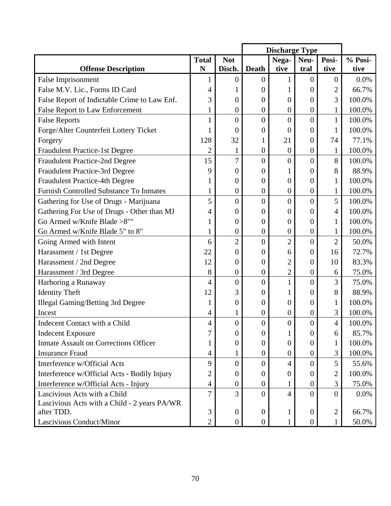|                                                |                |                  | <b>Discharge Type</b> |                  |                  |                |         |
|------------------------------------------------|----------------|------------------|-----------------------|------------------|------------------|----------------|---------|
|                                                | <b>Total</b>   | <b>Not</b>       |                       | Nega-            | Neu-             | Posi-          | % Posi- |
| <b>Offense Description</b>                     | N              | Disch.           | <b>Death</b>          | tive             | tral             | tive           | tive    |
| <b>False Imprisonment</b>                      | 1              | 0                | 0                     |                  | $\theta$         | $\mathbf{0}$   | 0.0%    |
| False M.V. Lic., Forms ID Card                 | 4              |                  | 0                     |                  | 0                | $\overline{2}$ | 66.7%   |
| False Report of Indictable Crime to Law Enf.   | 3              | 0                | 0                     | 0                | 0                | 3              | 100.0%  |
| <b>False Report to Law Enforcement</b>         | $\mathbf{1}$   | $\boldsymbol{0}$ | $\boldsymbol{0}$      | $\boldsymbol{0}$ | $\boldsymbol{0}$ | $\mathbf{1}$   | 100.0%  |
| <b>False Reports</b>                           | $\mathbf{1}$   | $\overline{0}$   | $\overline{0}$        | $\overline{0}$   | $\overline{0}$   | $\mathbf{1}$   | 100.0%  |
| Forge/Alter Counterfeit Lottery Ticket         | 1              | $\boldsymbol{0}$ | 0                     | $\theta$         | $\overline{0}$   | 1              | 100.0%  |
| Forgery                                        | 128            | 32               |                       | 21               | 0                | 74             | 77.1%   |
| <b>Fraudulent Practice-1st Degree</b>          | $\overline{2}$ | $\mathbf{1}$     | $\boldsymbol{0}$      | $\boldsymbol{0}$ | $\boldsymbol{0}$ | $\mathbf{1}$   | 100.0%  |
| <b>Fraudulent Practice-2nd Degree</b>          | 15             | 7                | $\overline{0}$        | $\overline{0}$   | $\overline{0}$   | 8              | 100.0%  |
| <b>Fraudulent Practice-3rd Degree</b>          | 9              | $\overline{0}$   | 0                     |                  | 0                | 8              | 88.9%   |
| Fraudulent Practice-4th Degree                 | 1              | $\boldsymbol{0}$ | $\overline{0}$        | 0                | $\overline{0}$   | 1              | 100.0%  |
| <b>Furnish Controlled Substance To Inmates</b> | 1              | $\boldsymbol{0}$ | $\boldsymbol{0}$      | $\boldsymbol{0}$ | $\boldsymbol{0}$ | 1              | 100.0%  |
| Gathering for Use of Drugs - Marijuana         | 5              | $\overline{0}$   | $\overline{0}$        | $\overline{0}$   | $\overline{0}$   | 5              | 100.0%  |
| Gathering For Use of Drugs - Other than MJ     | 4              | $\boldsymbol{0}$ | $\boldsymbol{0}$      | 0                | $\overline{0}$   | 4              | 100.0%  |
| Go Armed w/Knife Blade >8""                    | 1              | $\boldsymbol{0}$ | 0                     | 0                | 0                | 1              | 100.0%  |
| Go Armed w/Knife Blade 5" to 8"                | $\mathbf{1}$   | $\boldsymbol{0}$ | $\boldsymbol{0}$      | $\overline{0}$   | $\overline{0}$   | 1              | 100.0%  |
| Going Armed with Intent                        | 6              | $\overline{2}$   | $\overline{0}$        | $\overline{2}$   | $\overline{0}$   | $\overline{2}$ | 50.0%   |
| Harassment / 1st Degree                        | 22             | $\overline{0}$   | 0                     | 6                | $\theta$         | 16             | 72.7%   |
| Harassment / 2nd Degree                        | 12             | $\boldsymbol{0}$ | $\boldsymbol{0}$      | $\overline{2}$   | $\overline{0}$   | 10             | 83.3%   |
| Harassment / 3rd Degree                        | 8              | $\boldsymbol{0}$ | $\boldsymbol{0}$      | $\overline{2}$   | $\boldsymbol{0}$ | 6              | 75.0%   |
| Harboring a Runaway                            | 4              | $\overline{0}$   | $\overline{0}$        | 1                | $\overline{0}$   | 3              | 75.0%   |
| <b>Identity Theft</b>                          | 12             | 3                | $\boldsymbol{0}$      |                  | 0                | 8              | 88.9%   |
| <b>Illegal Gaming/Betting 3rd Degree</b>       | 1              | 0                | $\boldsymbol{0}$      | 0                | $\overline{0}$   | 1              | 100.0%  |
| Incest                                         | $\overline{4}$ | $\mathbf{1}$     | $\boldsymbol{0}$      | $\boldsymbol{0}$ | $\boldsymbol{0}$ | 3              | 100.0%  |
| Indecent Contact with a Child                  | 4              | $\overline{0}$   | $\overline{0}$        | $\overline{0}$   | $\overline{0}$   | $\overline{4}$ | 100.0%  |
| <b>Indecent Exposure</b>                       | 7              | 0                | 0                     |                  | $\theta$         | 6              | 85.7%   |
| <b>Inmate Assault on Corrections Officer</b>   | 1              | 0                | $\overline{0}$        | $\theta$         | 0                | 1              | 100.0%  |
| <b>Insurance Fraud</b>                         | $\overline{4}$ |                  | $\boldsymbol{0}$      | 0                | $\boldsymbol{0}$ | 3              | 100.0%  |
| Interference w/Official Acts                   | 9              | $\overline{0}$   | $\boldsymbol{0}$      | 4                | $\Omega$         | 5              | 55.6%   |
| Interference w/Official Acts - Bodily Injury   | $\overline{c}$ | $\boldsymbol{0}$ | $\boldsymbol{0}$      | 0                | $\theta$         | $\overline{2}$ | 100.0%  |
| Interference w/Official Acts - Injury          | $\overline{4}$ | $\boldsymbol{0}$ | $\boldsymbol{0}$      |                  | $\boldsymbol{0}$ | 3              | 75.0%   |
| Lascivious Acts with a Child                   | 7              | 3                | $\overline{0}$        | 4                | $\Omega$         | $\overline{0}$ | 0.0%    |
| Lascivious Acts with a Child - 2 years PA/WR   |                |                  |                       |                  |                  |                |         |
| after TDD.                                     | 3              | $\boldsymbol{0}$ | $\boldsymbol{0}$      | 1                | $\boldsymbol{0}$ | $\overline{c}$ | 66.7%   |
| Lascivious Conduct/Minor                       | $\overline{2}$ | $\boldsymbol{0}$ | $\overline{0}$        | $\mathbf{1}$     | $\boldsymbol{0}$ | $\mathbf{1}$   | 50.0%   |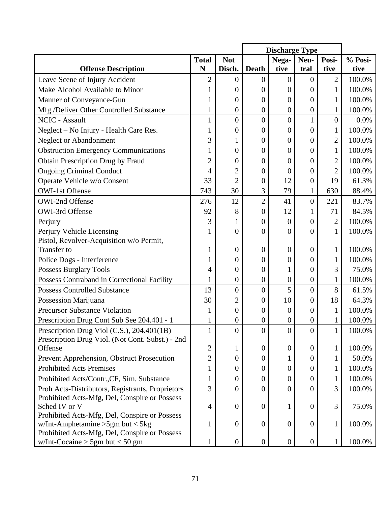|                                                                                      |                |                  | <b>Discharge Type</b> |                  |                  |                  |         |
|--------------------------------------------------------------------------------------|----------------|------------------|-----------------------|------------------|------------------|------------------|---------|
|                                                                                      | <b>Total</b>   | <b>Not</b>       |                       | Nega-            | Neu-             | Posi-            | % Posi- |
| <b>Offense Description</b>                                                           | N              | Disch.           | <b>Death</b>          | tive             | tral             | tive             | tive    |
| Leave Scene of Injury Accident                                                       | $\overline{2}$ | 0                | 0                     | 0                | $\theta$         | 2                | 100.0%  |
| Make Alcohol Available to Minor                                                      |                | 0                | 0                     | 0                | 0                | 1                | 100.0%  |
| Manner of Conveyance-Gun                                                             |                | $\boldsymbol{0}$ | $\boldsymbol{0}$      | 0                | $\theta$         | 1                | 100.0%  |
| Mfg./Deliver Other Controlled Substance                                              |                | $\boldsymbol{0}$ | $\boldsymbol{0}$      | $\boldsymbol{0}$ | $\boldsymbol{0}$ |                  | 100.0%  |
| <b>NCIC</b> - Assault                                                                | 1              | $\boldsymbol{0}$ | $\boldsymbol{0}$      | $\overline{0}$   | $\mathbf{1}$     | $\boldsymbol{0}$ | 0.0%    |
| Neglect - No Injury - Health Care Res.                                               |                | 0                | $\boldsymbol{0}$      | 0                | $\theta$         |                  | 100.0%  |
| <b>Neglect or Abandonment</b>                                                        | 3              |                  | $\overline{0}$        | 0                | $\theta$         | $\overline{2}$   | 100.0%  |
| <b>Obstruction Emergency Communications</b>                                          | 1              | $\boldsymbol{0}$ | $\boldsymbol{0}$      | $\boldsymbol{0}$ | $\boldsymbol{0}$ |                  | 100.0%  |
| <b>Obtain Prescription Drug by Fraud</b>                                             | $\overline{2}$ | $\boldsymbol{0}$ | $\boldsymbol{0}$      | $\overline{0}$   | $\overline{0}$   | $\overline{2}$   | 100.0%  |
| <b>Ongoing Criminal Conduct</b>                                                      | 4              | $\overline{2}$   | $\overline{0}$        | 0                | 0                | $\overline{2}$   | 100.0%  |
| Operate Vehicle w/o Consent                                                          | 33             | $\overline{2}$   | 0                     | 12               | $\overline{0}$   | 19               | 61.3%   |
| <b>OWI-1st Offense</b>                                                               | 743            | 30               | 3                     | 79               | 1                | 630              | 88.4%   |
| OWI-2nd Offense                                                                      | 276            | 12               | $\overline{2}$        | 41               | $\overline{0}$   | 221              | 83.7%   |
| OWI-3rd Offense                                                                      | 92             | 8                | $\boldsymbol{0}$      | 12               | 1                | 71               | 84.5%   |
| Perjury                                                                              | 3              |                  | $\boldsymbol{0}$      | $\theta$         | $\theta$         | $\overline{2}$   | 100.0%  |
| Perjury Vehicle Licensing                                                            | 1              | $\boldsymbol{0}$ | $\boldsymbol{0}$      | $\overline{0}$   | $\overline{0}$   |                  | 100.0%  |
| Pistol, Revolver-Acquisition w/o Permit,                                             |                |                  |                       |                  |                  |                  |         |
| Transfer to                                                                          | 1              | $\boldsymbol{0}$ | $\boldsymbol{0}$      | $\overline{0}$   | $\overline{0}$   | 1                | 100.0%  |
| Police Dogs - Interference                                                           |                | 0                | 0                     | 0                | $\theta$         | 1                | 100.0%  |
| <b>Possess Burglary Tools</b>                                                        | 4              | $\overline{0}$   | 0                     |                  | $\overline{0}$   | 3                | 75.0%   |
| Possess Contraband in Correctional Facility                                          | 1              | $\boldsymbol{0}$ | $\boldsymbol{0}$      | $\boldsymbol{0}$ | $\boldsymbol{0}$ |                  | 100.0%  |
| <b>Possess Controlled Substance</b>                                                  | 13             | $\overline{0}$   | $\overline{0}$        | 5                | $\overline{0}$   | 8                | 61.5%   |
| Possession Marijuana                                                                 | 30             | $\overline{2}$   | $\boldsymbol{0}$      | 10               | $\theta$         | 18               | 64.3%   |
| <b>Precursor Substance Violation</b>                                                 | 1              | $\boldsymbol{0}$ | $\boldsymbol{0}$      | $\theta$         | $\theta$         | 1                | 100.0%  |
| Prescription Drug Cont Sub See 204.401 - 1                                           | 1              | 0                | 0                     | 0                | 0                |                  | 100.0%  |
| Prescription Drug Viol (C.S.), 204.401(1B)                                           | $\mathbf{1}$   | $\boldsymbol{0}$ | $\boldsymbol{0}$      | $\boldsymbol{0}$ | $\overline{0}$   | $\mathbf{1}$     | 100.0%  |
| Prescription Drug Viol. (Not Cont. Subst.) - 2nd                                     |                |                  |                       |                  |                  |                  |         |
| Offense                                                                              | 2              | 1                | $\boldsymbol{0}$      | $\overline{0}$   | $\overline{0}$   | 1                | 100.0%  |
| Prevent Apprehension, Obstruct Prosecution                                           | $\overline{c}$ | $\boldsymbol{0}$ | $\theta$              |                  | $\theta$         | 1                | 50.0%   |
| <b>Prohibited Acts Premises</b>                                                      | 1              | $\boldsymbol{0}$ | $\boldsymbol{0}$      | $\overline{0}$   | $\boldsymbol{0}$ | 1                | 100.0%  |
| Prohibited Acts/Contr., CF, Sim. Substance                                           | $\mathbf{1}$   | $\boldsymbol{0}$ | $\overline{0}$        | 0                | $\overline{0}$   | $\mathbf{1}$     | 100.0%  |
| Proh Acts-Distributors, Registrants, Proprietors                                     | 3              | 0                | 0                     | 0                | $\theta$         | 3                | 100.0%  |
| Prohibited Acts-Mfg, Del, Conspire or Possess                                        |                |                  |                       |                  |                  |                  |         |
| Sched IV or V                                                                        | $\overline{4}$ | $\boldsymbol{0}$ | $\boldsymbol{0}$      | 1                | $\theta$         | 3                | 75.0%   |
| Prohibited Acts-Mfg, Del, Conspire or Possess<br>w/Int-Amphetamine $>5$ gm but < 5kg | 1              | $\boldsymbol{0}$ | $\theta$              | $\overline{0}$   | $\overline{0}$   | $\mathbf{1}$     | 100.0%  |
| Prohibited Acts-Mfg, Del, Conspire or Possess                                        |                |                  |                       |                  |                  |                  |         |
| w/Int-Cocaine $>$ 5gm but $<$ 50 gm                                                  | 1              | $\boldsymbol{0}$ | $\boldsymbol{0}$      | $\overline{0}$   | $\boldsymbol{0}$ | $\mathbf{1}$     | 100.0%  |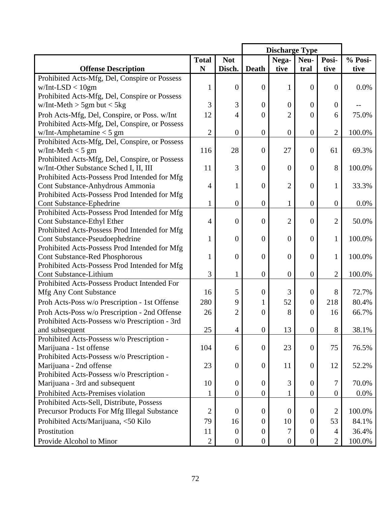| <b>Not</b><br><b>Total</b><br>Nega-<br>Posi-<br>Neu-<br>N<br><b>Offense Description</b><br>Disch.<br><b>Death</b><br>tive<br>tive<br>tral                              | % Posi- |
|------------------------------------------------------------------------------------------------------------------------------------------------------------------------|---------|
|                                                                                                                                                                        |         |
|                                                                                                                                                                        | tive    |
| Prohibited Acts-Mfg, Del, Conspire or Possess                                                                                                                          |         |
| $w/Int-LSD < 10gm$<br>$\overline{0}$<br>$\overline{0}$<br>1<br>$\theta$<br>1<br>$\overline{0}$                                                                         | 0.0%    |
| Prohibited Acts-Mfg, Del, Conspire or Possess                                                                                                                          |         |
| 3<br>3<br>$w/Int-Meth > 5gm$ but $< 5kg$<br>$\overline{0}$<br>$\overline{0}$<br>$\theta$<br>$\boldsymbol{0}$                                                           |         |
| Proh Acts-Mfg, Del, Conspire, or Poss. w/Int<br>12<br>$\overline{2}$<br>$\overline{0}$<br>4<br>$\overline{0}$<br>6                                                     | 75.0%   |
| Prohibited Acts-Mfg, Del, Conspire, or Possess                                                                                                                         |         |
| $\overline{2}$<br>$\boldsymbol{0}$<br>$\overline{2}$<br>$w/Int$ -Amphetamine < 5 gm<br>$\boldsymbol{0}$<br>$\overline{0}$<br>$\overline{0}$                            | 100.0%  |
| Prohibited Acts-Mfg, Del, Conspire, or Possess                                                                                                                         |         |
| 116<br>28<br>27<br>$w/Int-Meth < 5$ gm<br>$\theta$<br>61<br>$\overline{0}$                                                                                             | 69.3%   |
| Prohibited Acts-Mfg, Del, Conspire, or Possess                                                                                                                         |         |
| 3<br>w/Int-Other Substance Sched I, II, III<br>11<br>8<br>$\overline{0}$<br>$\boldsymbol{0}$<br>$\overline{0}$                                                         | 100.0%  |
| Prohibited Acts-Possess Prod Intended for Mfg                                                                                                                          |         |
| $\overline{2}$<br>Cont Substance-Anhydrous Ammonia<br>$\overline{4}$<br>$\overline{0}$<br>$\overline{0}$<br>1<br>1                                                     | 33.3%   |
| Prohibited Acts-Possess Prod Intended for Mfg                                                                                                                          |         |
| $\mathbf{1}$<br>$\boldsymbol{0}$<br>$\overline{0}$<br>$\overline{0}$<br><b>Cont Substance-Ephedrine</b><br>$\mathbf 1$<br>$\boldsymbol{0}$                             | 0.0%    |
| Prohibited Acts-Possess Prod Intended for Mfg                                                                                                                          |         |
| $\overline{2}$<br>$\overline{2}$<br><b>Cont Substance-Ethyl Ether</b><br>$\overline{4}$<br>$\overline{0}$<br>$\overline{0}$<br>$\overline{0}$                          | 50.0%   |
| Prohibited Acts-Possess Prod Intended for Mfg                                                                                                                          |         |
| $\overline{0}$<br>Cont Substance-Pseudoephedrine<br>$\mathbf{1}$<br>$\overline{0}$<br>$\overline{0}$<br>$\theta$<br>1<br>Prohibited Acts-Possess Prod Intended for Mfg | 100.0%  |
| <b>Cont Substance-Red Phosphorous</b><br>$\overline{0}$<br>$\overline{0}$<br>$\overline{0}$<br>$\mathbf{1}$<br>$\overline{0}$<br>1                                     | 100.0%  |
| Prohibited Acts-Possess Prod Intended for Mfg                                                                                                                          |         |
| 3<br>$\overline{2}$<br>Cont Substance-Lithium<br>$\mathbf{1}$<br>$\boldsymbol{0}$<br>$\overline{0}$<br>$\mathbf{0}$                                                    | 100.0%  |
| Prohibited Acts-Possess Product Intended For                                                                                                                           |         |
| 5<br>3<br><b>Mfg Any Cont Substance</b><br>16<br>$\overline{0}$<br>8<br>$\boldsymbol{0}$                                                                               | 72.7%   |
| 52<br>280<br>9<br>218<br>Proh Acts-Poss w/o Prescription - 1st Offense<br>$\boldsymbol{0}$<br>1                                                                        | 80.4%   |
| Proh Acts-Poss w/o Prescription - 2nd Offense<br>$\overline{2}$<br>8<br>26<br>$\overline{0}$<br>$\theta$<br>16                                                         | 66.7%   |
| Prohibited Acts-Possess w/o Prescription - 3rd                                                                                                                         |         |
| 25<br>13<br>$8\,$<br>$\boldsymbol{0}$<br>$\boldsymbol{0}$<br>4<br>and subsequent                                                                                       | 38.1%   |
| Prohibited Acts-Possess w/o Prescription -                                                                                                                             |         |
| Marijuana - 1st offense<br>104<br>23<br>75<br>$\boldsymbol{0}$<br>$\boldsymbol{0}$<br>6                                                                                | 76.5%   |
| Prohibited Acts-Possess w/o Prescription -                                                                                                                             |         |
| 23<br>$\boldsymbol{0}$<br>Marijuana - 2nd offense<br>$\boldsymbol{0}$<br>11<br>$\overline{0}$<br>12                                                                    | 52.2%   |
| Prohibited Acts-Possess w/o Prescription -                                                                                                                             |         |
| Marijuana - 3rd and subsequent<br>10<br>$\boldsymbol{0}$<br>3<br>$\boldsymbol{0}$<br>$\overline{0}$<br>7                                                               | 70.0%   |
| Prohibited Acts-Premises violation<br>$\boldsymbol{0}$<br>$\boldsymbol{0}$<br>$\boldsymbol{0}$<br>$\mathbf{1}$<br>1<br>$\boldsymbol{0}$                                | 0.0%    |
| Prohibited Acts-Sell, Distribute, Possess                                                                                                                              |         |
| Precursor Products For Mfg Illegal Substance<br>$\overline{2}$<br>$\overline{0}$<br>$\overline{2}$<br>$\boldsymbol{0}$<br>$\overline{0}$<br>$\boldsymbol{0}$           | 100.0%  |
| Prohibited Acts/Marijuana, <50 Kilo<br>10<br>53<br>79<br>16<br>$\overline{0}$<br>$\overline{0}$                                                                        | 84.1%   |
| Prostitution<br>11<br>$\overline{0}$<br>$\boldsymbol{0}$<br>7<br>$\overline{0}$<br>4                                                                                   | 36.4%   |
| $\overline{2}$<br>Provide Alcohol to Minor<br>$\overline{0}$<br>$\overline{2}$<br>$\boldsymbol{0}$<br>$\boldsymbol{0}$<br>$\boldsymbol{0}$                             | 100.0%  |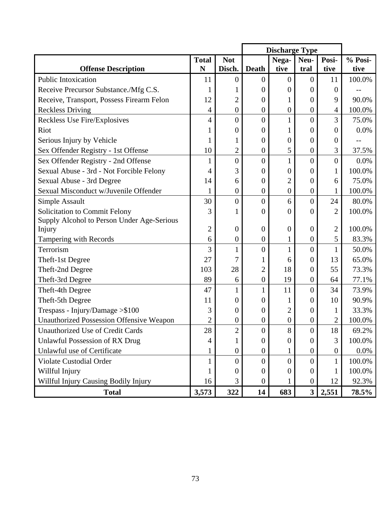|                                            |                |                  | <b>Discharge Type</b> |                  |                         |                |         |
|--------------------------------------------|----------------|------------------|-----------------------|------------------|-------------------------|----------------|---------|
|                                            | <b>Total</b>   | <b>Not</b>       |                       | Nega-            | Neu-                    | Posi-          | % Posi- |
| <b>Offense Description</b>                 | N              | Disch.           | <b>Death</b>          | tive             | tral                    | tive           | tive    |
| Public Intoxication                        | 11             | 0                | $\boldsymbol{0}$      | 0                | $\theta$                | 11             | 100.0%  |
| Receive Precursor Substance./Mfg C.S.      | 1              |                  | 0                     | 0                | $\Omega$                | $\theta$       |         |
| Receive, Transport, Possess Firearm Felon  | 12             | $\overline{2}$   | $\boldsymbol{0}$      | 1                | $\overline{0}$          | 9              | 90.0%   |
| <b>Reckless Driving</b>                    | $\overline{4}$ | $\boldsymbol{0}$ | $\boldsymbol{0}$      | $\boldsymbol{0}$ | $\boldsymbol{0}$        | 4              | 100.0%  |
| Reckless Use Fire/Explosives               | $\overline{4}$ | $\overline{0}$   | $\overline{0}$        | $\mathbf{1}$     | $\overline{0}$          | 3              | 75.0%   |
| Riot                                       | 1              | $\boldsymbol{0}$ | 0                     | 1                | $\overline{0}$          | $\overline{0}$ | 0.0%    |
| Serious Injury by Vehicle                  | 1              |                  | 0                     | 0                | $\theta$                | $\theta$       |         |
| Sex Offender Registry - 1st Offense        | 10             | $\overline{c}$   | $\boldsymbol{0}$      | 5                | $\boldsymbol{0}$        | 3              | 37.5%   |
| Sex Offender Registry - 2nd Offense        | 1              | $\boldsymbol{0}$ | $\overline{0}$        | 1                | $\overline{0}$          | $\overline{0}$ | 0.0%    |
| Sexual Abuse - 3rd - Not Forcible Felony   | 4              | 3                | $\overline{0}$        | 0                | $\theta$                | $\mathbf{1}$   | 100.0%  |
| Sexual Abuse - 3rd Degree                  | 14             | 6                | $\boldsymbol{0}$      | $\overline{2}$   | $\overline{0}$          | 6              | 75.0%   |
| Sexual Misconduct w/Juvenile Offender      | 1              | 0                | $\boldsymbol{0}$      | $\boldsymbol{0}$ | $\boldsymbol{0}$        |                | 100.0%  |
| Simple Assault                             | 30             | $\overline{0}$   | 0                     | 6                | $\overline{0}$          | 24             | 80.0%   |
| Solicitation to Commit Felony              | 3              |                  | 0                     | 0                | 0                       | $\overline{2}$ | 100.0%  |
| Supply Alcohol to Person Under Age-Serious |                |                  |                       |                  |                         |                |         |
| Injury                                     | $\overline{c}$ | $\boldsymbol{0}$ | $\boldsymbol{0}$      | $\overline{0}$   | $\boldsymbol{0}$        | $\overline{2}$ | 100.0%  |
| Tampering with Records                     | 6              | $\boldsymbol{0}$ | $\boldsymbol{0}$      | 1                | $\boldsymbol{0}$        | 5              | 83.3%   |
| Terrorism                                  | 3              | $\mathbf{1}$     | $\overline{0}$        | $\mathbf{1}$     | $\overline{0}$          |                | 50.0%   |
| Theft-1st Degree                           | 27             | 7                |                       | 6                | $\boldsymbol{0}$        | 13             | 65.0%   |
| Theft-2nd Degree                           | 103            | 28               | $\overline{2}$        | 18               | 0                       | 55             | 73.3%   |
| Theft-3rd Degree                           | 89             | 6                | $\boldsymbol{0}$      | 19               | $\boldsymbol{0}$        | 64             | 77.1%   |
| Theft-4th Degree                           | 47             | $\mathbf{1}$     | 1                     | 11               | $\overline{0}$          | 34             | 73.9%   |
| Theft-5th Degree                           | 11             | $\overline{0}$   | 0                     |                  | 0                       | 10             | 90.9%   |
| Trespass - Injury/Damage > \$100           | 3              | $\boldsymbol{0}$ | $\boldsymbol{0}$      | $\overline{2}$   | $\boldsymbol{0}$        | 1              | 33.3%   |
| Unauthorized Possession Offensive Weapon   | $\overline{2}$ | $\pmb{0}$        | 0                     | $\boldsymbol{0}$ | $\boldsymbol{0}$        | 2              | 100.0%  |
| <b>Unauthorized Use of Credit Cards</b>    | $28\,$         | $\overline{c}$   | $\boldsymbol{0}$      | 8                | $\overline{0}$          | 18             | 69.2%   |
| <b>Unlawful Possession of RX Drug</b>      | 4              | $\mathbf{1}$     | $\boldsymbol{0}$      | $\theta$         | $\overline{0}$          | 3              | 100.0%  |
| Unlawful use of Certificate                | $\mathbf{1}$   | $\boldsymbol{0}$ | $\boldsymbol{0}$      |                  | $\boldsymbol{0}$        | $\mathbf{0}$   | 0.0%    |
| Violate Custodial Order                    | $\mathbf{1}$   | $\overline{0}$   | $\overline{0}$        | $\overline{0}$   | $\overline{0}$          | $\mathbf{1}$   | 100.0%  |
| Willful Injury                             | $\mathbf 1$    | 0                | $\boldsymbol{0}$      | 0                | $\overline{0}$          | 1              | 100.0%  |
| Willful Injury Causing Bodily Injury       | 16             | 3                | $\boldsymbol{0}$      |                  | $\boldsymbol{0}$        | 12             | 92.3%   |
| <b>Total</b>                               | 3,573          | 322              | 14                    | 683              | $\overline{\mathbf{3}}$ | 2,551          | 78.5%   |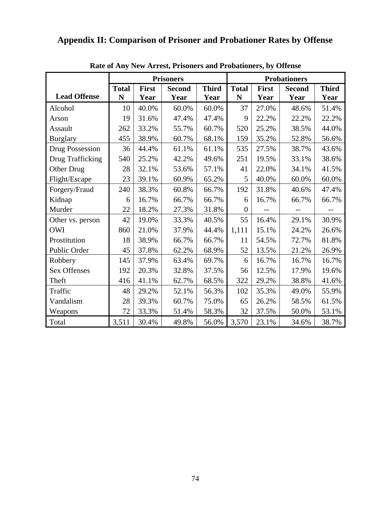## **Appendix II: Comparison of Prisoner and Probationer Rates by Offense**

|                        |              |              | <b>Prisoners</b> |              | <b>Probationers</b> |       |               |              |  |
|------------------------|--------------|--------------|------------------|--------------|---------------------|-------|---------------|--------------|--|
|                        | <b>Total</b> | <b>First</b> | <b>Second</b>    | <b>Third</b> | <b>Total</b>        | First | <b>Second</b> | <b>Third</b> |  |
| <b>Lead Offense</b>    | N            | Year         | Year             | Year         | N                   | Year  | Year          | Year         |  |
| Alcohol                | 10           | 40.0%        | 60.0%            | 60.0%        | 37                  | 27.0% | 48.6%         | 51.4%        |  |
| Arson                  | 19           | 31.6%        | 47.4%            | 47.4%        | 9                   | 22.2% | 22.2%         | 22.2%        |  |
| Assault                | 262          | 33.2%        | 55.7%            | 60.7%        | 520                 | 25.2% | 38.5%         | 44.0%        |  |
| <b>Burglary</b>        | 455          | 38.9%        | 60.7%            | 68.1%        | 159                 | 35.2% | 52.8%         | 56.6%        |  |
| <b>Drug Possession</b> | 36           | 44.4%        | 61.1%            | 61.1%        | 535                 | 27.5% | 38.7%         | 43.6%        |  |
| Drug Trafficking       | 540          | 25.2%        | 42.2%            | 49.6%        | 251                 | 19.5% | 33.1%         | 38.6%        |  |
| Other Drug             | 28           | 32.1%        | 53.6%            | 57.1%        | 41                  | 22.0% | 34.1%         | 41.5%        |  |
| Flight/Escape          | 23           | 39.1%        | 60.9%            | 65.2%        | 5                   | 40.0% | 60.0%         | 60.0%        |  |
| Forgery/Fraud          | 240          | 38.3%        | 60.8%            | 66.7%        | 192                 | 31.8% | 40.6%         | 47.4%        |  |
| Kidnap                 | 6            | 16.7%        | 66.7%            | 66.7%        | 6                   | 16.7% | 66.7%         | 66.7%        |  |
| Murder                 | 22           | 18.2%        | 27.3%            | 31.8%        | $\theta$            |       |               |              |  |
| Other vs. person       | 42           | 19.0%        | 33.3%            | 40.5%        | 55                  | 16.4% | 29.1%         | 30.9%        |  |
| <b>OWI</b>             | 860          | 21.0%        | 37.9%            | 44.4%        | 1,111               | 15.1% | 24.2%         | 26.6%        |  |
| Prostitution           | 18           | 38.9%        | 66.7%            | 66.7%        | 11                  | 54.5% | 72.7%         | 81.8%        |  |
| Public Order           | 45           | 37.8%        | 62.2%            | 68.9%        | 52                  | 13.5% | 21.2%         | 26.9%        |  |
| Robbery                | 145          | 37.9%        | 63.4%            | 69.7%        | 6                   | 16.7% | 16.7%         | 16.7%        |  |
| <b>Sex Offenses</b>    | 192          | 20.3%        | 32.8%            | 37.5%        | 56                  | 12.5% | 17.9%         | 19.6%        |  |
| Theft                  | 416          | 41.1%        | 62.7%            | 68.5%        | 322                 | 29.2% | 38.8%         | 41.6%        |  |
| Traffic                | 48           | 29.2%        | 52.1%            | 56.3%        | 102                 | 35.3% | 49.0%         | 55.9%        |  |
| Vandalism              | 28           | 39.3%        | 60.7%            | 75.0%        | 65                  | 26.2% | 58.5%         | 61.5%        |  |
| Weapons                | 72           | 33.3%        | 51.4%            | 58.3%        | 32                  | 37.5% | 50.0%         | 53.1%        |  |
| Total                  | 3,511        | 30.4%        | 49.8%            | 56.0%        | 3,570               | 23.1% | 34.6%         | 38.7%        |  |

**Rate of Any New Arrest, Prisoners and Probationers, by Offense**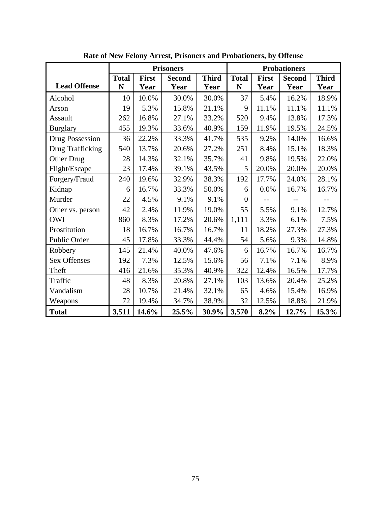|                     |              |              | <b>Prisoners</b> |              |                |              | <b>Probationers</b> |              |
|---------------------|--------------|--------------|------------------|--------------|----------------|--------------|---------------------|--------------|
|                     | <b>Total</b> | <b>First</b> | <b>Second</b>    | <b>Third</b> | <b>Total</b>   | <b>First</b> | <b>Second</b>       | <b>Third</b> |
| <b>Lead Offense</b> | $\mathbf N$  | Year         | Year             | Year         | ${\bf N}$      | Year         | Year                | Year         |
| Alcohol             | 10           | 10.0%        | 30.0%            | 30.0%        | 37             | 5.4%         | 16.2%               | 18.9%        |
| Arson               | 19           | 5.3%         | 15.8%            | 21.1%        | 9              | 11.1%        | 11.1%               | 11.1%        |
| Assault             | 262          | 16.8%        | 27.1%            | 33.2%        | 520            | 9.4%         | 13.8%               | 17.3%        |
| <b>Burglary</b>     | 455          | 19.3%        | 33.6%            | 40.9%        | 159            | 11.9%        | 19.5%               | 24.5%        |
| Drug Possession     | 36           | 22.2%        | 33.3%            | 41.7%        | 535            | 9.2%         | 14.0%               | 16.6%        |
| Drug Trafficking    | 540          | 13.7%        | 20.6%            | 27.2%        | 251            | 8.4%         | 15.1%               | 18.3%        |
| Other Drug          | 28           | 14.3%        | 32.1%            | 35.7%        | 41             | 9.8%         | 19.5%               | 22.0%        |
| Flight/Escape       | 23           | 17.4%        | 39.1%            | 43.5%        | 5              | 20.0%        | 20.0%               | 20.0%        |
| Forgery/Fraud       | 240          | 19.6%        | 32.9%            | 38.3%        | 192            | 17.7%        | 24.0%               | 28.1%        |
| Kidnap              | 6            | 16.7%        | 33.3%            | 50.0%        | 6              | 0.0%         | 16.7%               | 16.7%        |
| Murder              | 22           | 4.5%         | 9.1%             | 9.1%         | $\overline{0}$ |              |                     |              |
| Other vs. person    | 42           | 2.4%         | 11.9%            | 19.0%        | 55             | 5.5%         | 9.1%                | 12.7%        |
| <b>OWI</b>          | 860          | 8.3%         | 17.2%            | 20.6%        | 1,111          | 3.3%         | 6.1%                | 7.5%         |
| Prostitution        | 18           | 16.7%        | 16.7%            | 16.7%        | 11             | 18.2%        | 27.3%               | 27.3%        |
| Public Order        | 45           | 17.8%        | 33.3%            | 44.4%        | 54             | 5.6%         | 9.3%                | 14.8%        |
| Robbery             | 145          | 21.4%        | 40.0%            | 47.6%        | 6              | 16.7%        | 16.7%               | 16.7%        |
| <b>Sex Offenses</b> | 192          | 7.3%         | 12.5%            | 15.6%        | 56             | 7.1%         | 7.1%                | 8.9%         |
| Theft               | 416          | 21.6%        | 35.3%            | 40.9%        | 322            | 12.4%        | 16.5%               | 17.7%        |
| Traffic             | 48           | 8.3%         | 20.8%            | 27.1%        | 103            | 13.6%        | 20.4%               | 25.2%        |
| Vandalism           | 28           | 10.7%        | 21.4%            | 32.1%        | 65             | 4.6%         | 15.4%               | 16.9%        |
| Weapons             | 72           | 19.4%        | 34.7%            | 38.9%        | 32             | 12.5%        | 18.8%               | 21.9%        |
| <b>Total</b>        | 3,511        | 14.6%        | 25.5%            | 30.9%        | 3,570          | 8.2%         | 12.7%               | 15.3%        |

**Rate of New Felony Arrest, Prisoners and Probationers, by Offense**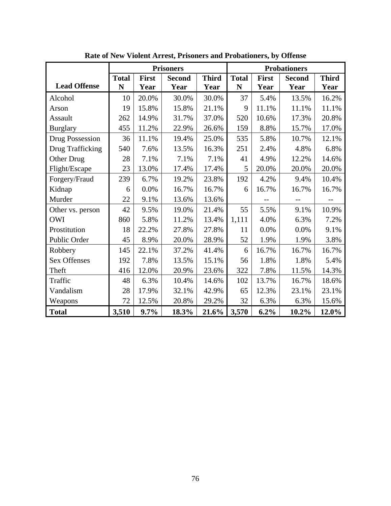|                        |              |              | <b>Prisoners</b> |              |              |              | <b>Probationers</b> |              |
|------------------------|--------------|--------------|------------------|--------------|--------------|--------------|---------------------|--------------|
|                        | <b>Total</b> | <b>First</b> | <b>Second</b>    | <b>Third</b> | <b>Total</b> | <b>First</b> | <b>Second</b>       | <b>Third</b> |
| <b>Lead Offense</b>    | N            | Year         | Year             | Year         | ${\bf N}$    | Year         | Year                | Year         |
| Alcohol                | 10           | 20.0%        | 30.0%            | 30.0%        | 37           | 5.4%         | 13.5%               | 16.2%        |
| Arson                  | 19           | 15.8%        | 15.8%            | 21.1%        | 9            | 11.1%        | 11.1%               | 11.1%        |
| Assault                | 262          | 14.9%        | 31.7%            | 37.0%        | 520          | 10.6%        | 17.3%               | 20.8%        |
| <b>Burglary</b>        | 455          | 11.2%        | 22.9%            | 26.6%        | 159          | 8.8%         | 15.7%               | 17.0%        |
| <b>Drug Possession</b> | 36           | 11.1%        | 19.4%            | 25.0%        | 535          | 5.8%         | 10.7%               | 12.1%        |
| Drug Trafficking       | 540          | 7.6%         | 13.5%            | 16.3%        | 251          | 2.4%         | 4.8%                | 6.8%         |
| Other Drug             | 28           | 7.1%         | 7.1%             | 7.1%         | 41           | 4.9%         | 12.2%               | 14.6%        |
| Flight/Escape          | 23           | 13.0%        | 17.4%            | 17.4%        | 5            | 20.0%        | 20.0%               | 20.0%        |
| Forgery/Fraud          | 239          | 6.7%         | 19.2%            | 23.8%        | 192          | 4.2%         | 9.4%                | 10.4%        |
| Kidnap                 | 6            | 0.0%         | 16.7%            | 16.7%        | 6            | 16.7%        | 16.7%               | 16.7%        |
| Murder                 | 22           | 9.1%         | 13.6%            | 13.6%        |              |              |                     |              |
| Other vs. person       | 42           | 9.5%         | 19.0%            | 21.4%        | 55           | 5.5%         | 9.1%                | 10.9%        |
| <b>OWI</b>             | 860          | 5.8%         | 11.2%            | 13.4%        | 1,111        | 4.0%         | 6.3%                | 7.2%         |
| Prostitution           | 18           | 22.2%        | 27.8%            | 27.8%        | 11           | 0.0%         | 0.0%                | 9.1%         |
| Public Order           | 45           | 8.9%         | 20.0%            | 28.9%        | 52           | 1.9%         | 1.9%                | 3.8%         |
| Robbery                | 145          | 22.1%        | 37.2%            | 41.4%        | 6            | 16.7%        | 16.7%               | 16.7%        |
| <b>Sex Offenses</b>    | 192          | 7.8%         | 13.5%            | 15.1%        | 56           | 1.8%         | 1.8%                | 5.4%         |
| Theft                  | 416          | 12.0%        | 20.9%            | 23.6%        | 322          | 7.8%         | 11.5%               | 14.3%        |
| Traffic                | 48           | 6.3%         | 10.4%            | 14.6%        | 102          | 13.7%        | 16.7%               | 18.6%        |
| Vandalism              | 28           | 17.9%        | 32.1%            | 42.9%        | 65           | 12.3%        | 23.1%               | 23.1%        |
| Weapons                | 72           | 12.5%        | 20.8%            | 29.2%        | 32           | 6.3%         | 6.3%                | 15.6%        |
| <b>Total</b>           | 3,510        | 9.7%         | 18.3%            | 21.6%        | 3,570        | 6.2%         | $10.2\%$            | 12.0%        |

**Rate of New Violent Arrest, Prisoners and Probationers, by Offense**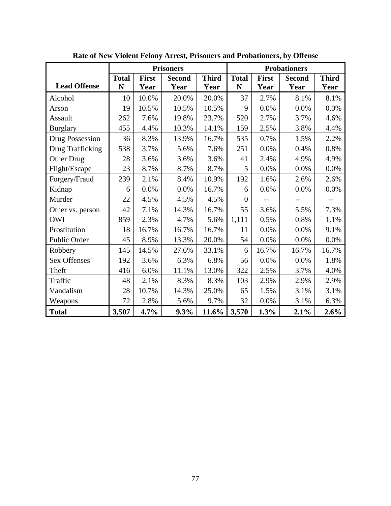|                     |              |              | <b>Prisoners</b> |              |                |              | <b>Probationers</b> |              |
|---------------------|--------------|--------------|------------------|--------------|----------------|--------------|---------------------|--------------|
|                     | <b>Total</b> | <b>First</b> | <b>Second</b>    | <b>Third</b> | <b>Total</b>   | <b>First</b> | <b>Second</b>       | <b>Third</b> |
| <b>Lead Offense</b> | ${\bf N}$    | Year         | Year             | Year         | ${\bf N}$      | Year         | Year                | Year         |
| Alcohol             | 10           | 10.0%        | 20.0%            | 20.0%        | 37             | 2.7%         | 8.1%                | 8.1%         |
| Arson               | 19           | 10.5%        | 10.5%            | 10.5%        | 9              | 0.0%         | 0.0%                | 0.0%         |
| Assault             | 262          | 7.6%         | 19.8%            | 23.7%        | 520            | 2.7%         | 3.7%                | 4.6%         |
| <b>Burglary</b>     | 455          | 4.4%         | 10.3%            | 14.1%        | 159            | 2.5%         | 3.8%                | 4.4%         |
| Drug Possession     | 36           | 8.3%         | 13.9%            | 16.7%        | 535            | 0.7%         | 1.5%                | 2.2%         |
| Drug Trafficking    | 538          | 3.7%         | 5.6%             | 7.6%         | 251            | 0.0%         | 0.4%                | 0.8%         |
| Other Drug          | 28           | 3.6%         | 3.6%             | 3.6%         | 41             | 2.4%         | 4.9%                | 4.9%         |
| Flight/Escape       | 23           | 8.7%         | 8.7%             | 8.7%         | 5              | 0.0%         | $0.0\%$             | 0.0%         |
| Forgery/Fraud       | 239          | 2.1%         | 8.4%             | 10.9%        | 192            | 1.6%         | 2.6%                | 2.6%         |
| Kidnap              | 6            | 0.0%         | 0.0%             | 16.7%        | 6              | 0.0%         | 0.0%                | 0.0%         |
| Murder              | 22           | 4.5%         | 4.5%             | 4.5%         | $\overline{0}$ |              |                     |              |
| Other vs. person    | 42           | 7.1%         | 14.3%            | 16.7%        | 55             | 3.6%         | 5.5%                | 7.3%         |
| <b>OWI</b>          | 859          | 2.3%         | 4.7%             | 5.6%         | 1,111          | 0.5%         | 0.8%                | 1.1%         |
| Prostitution        | 18           | 16.7%        | 16.7%            | 16.7%        | 11             | 0.0%         | 0.0%                | 9.1%         |
| Public Order        | 45           | 8.9%         | 13.3%            | 20.0%        | 54             | 0.0%         | $0.0\%$             | 0.0%         |
| Robbery             | 145          | 14.5%        | 27.6%            | 33.1%        | 6              | 16.7%        | 16.7%               | 16.7%        |
| <b>Sex Offenses</b> | 192          | 3.6%         | 6.3%             | 6.8%         | 56             | 0.0%         | 0.0%                | 1.8%         |
| Theft               | 416          | 6.0%         | 11.1%            | 13.0%        | 322            | 2.5%         | 3.7%                | 4.0%         |
| Traffic             | 48           | 2.1%         | 8.3%             | 8.3%         | 103            | 2.9%         | 2.9%                | 2.9%         |
| Vandalism           | 28           | 10.7%        | 14.3%            | 25.0%        | 65             | 1.5%         | 3.1%                | 3.1%         |
| Weapons             | 72           | 2.8%         | 5.6%             | 9.7%         | 32             | 0.0%         | 3.1%                | 6.3%         |
| <b>Total</b>        | 3,507        | 4.7%         | 9.3%             | 11.6%        | 3,570          | 1.3%         | 2.1%                | 2.6%         |

**Rate of New Violent Felony Arrest, Prisoners and Probationers, by Offense**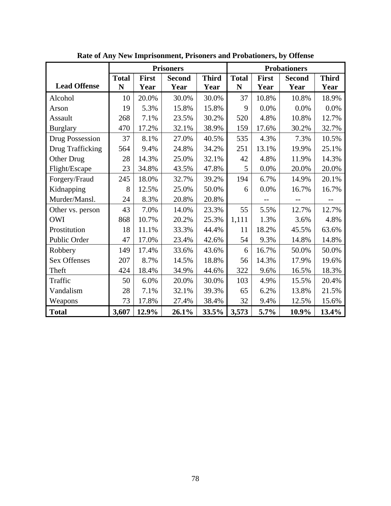|                     |              |              | <b>Prisoners</b> |              |              |              | <b>Probationers</b> |              |
|---------------------|--------------|--------------|------------------|--------------|--------------|--------------|---------------------|--------------|
|                     | <b>Total</b> | <b>First</b> | <b>Second</b>    | <b>Third</b> | <b>Total</b> | <b>First</b> | <b>Second</b>       | <b>Third</b> |
| <b>Lead Offense</b> | N            | Year         | Year             | Year         | $\mathbf N$  | Year         | Year                | Year         |
| Alcohol             | 10           | 20.0%        | 30.0%            | 30.0%        | 37           | 10.8%        | 10.8%               | 18.9%        |
| Arson               | 19           | 5.3%         | 15.8%            | 15.8%        | 9            | 0.0%         | 0.0%                | 0.0%         |
| Assault             | 268          | 7.1%         | 23.5%            | 30.2%        | 520          | 4.8%         | 10.8%               | 12.7%        |
| <b>Burglary</b>     | 470          | 17.2%        | 32.1%            | 38.9%        | 159          | 17.6%        | 30.2%               | 32.7%        |
| Drug Possession     | 37           | 8.1%         | 27.0%            | 40.5%        | 535          | 4.3%         | 7.3%                | 10.5%        |
| Drug Trafficking    | 564          | 9.4%         | 24.8%            | 34.2%        | 251          | 13.1%        | 19.9%               | 25.1%        |
| Other Drug          | 28           | 14.3%        | 25.0%            | 32.1%        | 42           | 4.8%         | 11.9%               | 14.3%        |
| Flight/Escape       | 23           | 34.8%        | 43.5%            | 47.8%        | 5            | 0.0%         | 20.0%               | 20.0%        |
| Forgery/Fraud       | 245          | 18.0%        | 32.7%            | 39.2%        | 194          | 6.7%         | 14.9%               | 20.1%        |
| Kidnapping          | 8            | 12.5%        | 25.0%            | 50.0%        | 6            | 0.0%         | 16.7%               | 16.7%        |
| Murder/Mansl.       | 24           | 8.3%         | 20.8%            | 20.8%        |              |              |                     |              |
| Other vs. person    | 43           | 7.0%         | 14.0%            | 23.3%        | 55           | 5.5%         | 12.7%               | 12.7%        |
| <b>OWI</b>          | 868          | 10.7%        | 20.2%            | 25.3%        | 1,111        | 1.3%         | 3.6%                | 4.8%         |
| Prostitution        | 18           | 11.1%        | 33.3%            | 44.4%        | 11           | 18.2%        | 45.5%               | 63.6%        |
| Public Order        | 47           | 17.0%        | 23.4%            | 42.6%        | 54           | 9.3%         | 14.8%               | 14.8%        |
| Robbery             | 149          | 17.4%        | 33.6%            | 43.6%        | 6            | 16.7%        | 50.0%               | 50.0%        |
| <b>Sex Offenses</b> | 207          | 8.7%         | 14.5%            | 18.8%        | 56           | 14.3%        | 17.9%               | 19.6%        |
| Theft               | 424          | 18.4%        | 34.9%            | 44.6%        | 322          | 9.6%         | 16.5%               | 18.3%        |
| Traffic             | 50           | 6.0%         | 20.0%            | 30.0%        | 103          | 4.9%         | 15.5%               | 20.4%        |
| Vandalism           | 28           | 7.1%         | 32.1%            | 39.3%        | 65           | 6.2%         | 13.8%               | 21.5%        |
| Weapons             | 73           | 17.8%        | 27.4%            | 38.4%        | 32           | 9.4%         | 12.5%               | 15.6%        |
| <b>Total</b>        | 3,607        | 12.9%        | 26.1%            | 33.5%        | 3,573        | 5.7%         | 10.9%               | 13.4%        |

**Rate of Any New Imprisonment, Prisoners and Probationers, by Offense**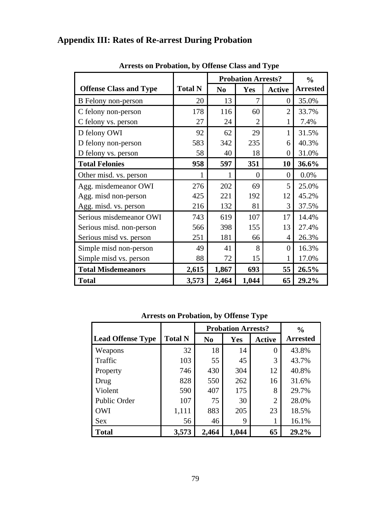## **Appendix III: Rates of Re-arrest During Probation**

|                               |                |                | <b>Probation Arrests?</b> | $\frac{0}{0}$  |                 |
|-------------------------------|----------------|----------------|---------------------------|----------------|-----------------|
| <b>Offense Class and Type</b> | <b>Total N</b> | N <sub>0</sub> | Yes                       | <b>Active</b>  | <b>Arrested</b> |
| <b>B</b> Felony non-person    | 20             | 13             | 7                         | $\theta$       | 35.0%           |
| C felony non-person           | 178            | 116            | 60                        | $\overline{2}$ | 33.7%           |
| C felony vs. person           | 27             | 24             | 2                         |                | 7.4%            |
| D felony OWI                  | 92             | 62             | 29                        | $\mathbf 1$    | 31.5%           |
| D felony non-person           | 583            | 342            | 235                       | 6              | 40.3%           |
| D felony vs. person           | 58             | 40             | 18                        | $\Omega$       | 31.0%           |
| <b>Total Felonies</b>         | 958            | 597            | 351                       | 10             | 36.6%           |
| Other misd. vs. person        | 1              |                | $\theta$                  | $\Omega$       | 0.0%            |
| Agg. misdemeanor OWI          | 276            | 202            | 69                        | 5              | 25.0%           |
| Agg. misd non-person          | 425            | 221            | 192                       | 12             | 45.2%           |
| Agg. misd. vs. person         | 216            | 132            | 81                        | 3              | 37.5%           |
| Serious misdemeanor OWI       | 743            | 619            | 107                       | 17             | 14.4%           |
| Serious misd. non-person      | 566            | 398            | 155                       | 13             | 27.4%           |
| Serious misd vs. person       | 251            | 181            | 66                        | 4              | 26.3%           |
| Simple misd non-person        | 49             | 41             | 8                         | 0              | 16.3%           |
| Simple misd vs. person        | 88             | 72             | 15                        |                | 17.0%           |
| <b>Total Misdemeanors</b>     | 2,615          | 1,867          | 693                       | 55             | 26.5%           |
| <b>Total</b>                  | 3,573          | 2,464          | 1,044                     | 65             | 29.2%           |

**Arrests on Probation, by Offense Class and Type** 

**Arrests on Probation, by Offense Type** 

|                          |                | <b>Probation Arrests?</b> | $\frac{6}{6}$ |                |                 |
|--------------------------|----------------|---------------------------|---------------|----------------|-----------------|
| <b>Lead Offense Type</b> | <b>Total N</b> | N <sub>0</sub>            | Yes           | <b>Active</b>  | <b>Arrested</b> |
| Weapons                  | 32             | 18                        | 14            | 0              | 43.8%           |
| Traffic                  | 103            | 55                        | 45            | 3              | 43.7%           |
| Property                 | 746            | 430                       | 304           | 12             | 40.8%           |
| Drug                     | 828            | 550                       | 262           | 16             | 31.6%           |
| Violent                  | 590            | 407                       | 175           | 8              | 29.7%           |
| <b>Public Order</b>      | 107            | 75                        | 30            | $\overline{2}$ | 28.0%           |
| <b>OWI</b>               | 1,111          | 883                       | 205           | 23             | 18.5%           |
| <b>Sex</b>               | 56             | 46                        | 9             |                | 16.1%           |
| <b>Total</b>             | 3,573          | 2,464                     | 1,044         | 65             | 29.2%           |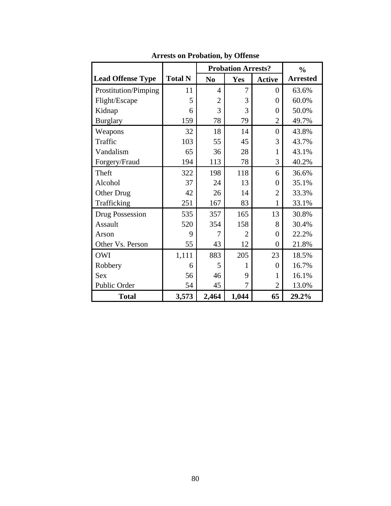|                          |                | <b>Probation Arrests?</b> | $\frac{6}{6}$  |                  |                 |
|--------------------------|----------------|---------------------------|----------------|------------------|-----------------|
| <b>Lead Offense Type</b> | <b>Total N</b> | N <sub>0</sub>            | <b>Yes</b>     | <b>Active</b>    | <b>Arrested</b> |
| Prostitution/Pimping     | 11             | 4                         | 7              | $\overline{0}$   | 63.6%           |
| Flight/Escape            | 5              | $\overline{2}$            | 3              | $\theta$         | 60.0%           |
| Kidnap                   | 6              | 3                         | 3              | $\theta$         | 50.0%           |
| <b>Burglary</b>          | 159            | 78                        | 79             | $\overline{2}$   | 49.7%           |
| Weapons                  | 32             | 18                        | 14             | $\overline{0}$   | 43.8%           |
| Traffic                  | 103            | 55                        | 45             | 3                | 43.7%           |
| Vandalism                | 65             | 36                        | 28             | 1                | 43.1%           |
| Forgery/Fraud            | 194            | 113                       | 78             | 3                | 40.2%           |
| Theft                    | 322            | 198                       | 118            | 6                | 36.6%           |
| Alcohol                  | 37             | 24                        | 13             | $\overline{0}$   | 35.1%           |
| Other Drug               | 42             | 26                        | 14             | $\overline{2}$   | 33.3%           |
| Trafficking              | 251            | 167                       | 83             | $\mathbf{1}$     | 33.1%           |
| Drug Possession          | 535            | 357                       | 165            | 13               | 30.8%           |
| Assault                  | 520            | 354                       | 158            | 8                | 30.4%           |
| Arson                    | 9              | 7                         | $\overline{2}$ | $\theta$         | 22.2%           |
| Other Vs. Person         | 55             | 43                        | 12             | $\boldsymbol{0}$ | 21.8%           |
| <b>OWI</b>               | 1,111          | 883                       | 205            | 23               | 18.5%           |
| Robbery                  | 6              | 5                         | 1              | $\overline{0}$   | 16.7%           |
| <b>Sex</b>               | 56             | 46                        | 9              | 1                | 16.1%           |
| Public Order             | 54             | 45                        | 7              | 2                | 13.0%           |
| <b>Total</b>             | 3,573          | 2,464                     | 1,044          | 65               | 29.2%           |

**Arrests on Probation, by Offense**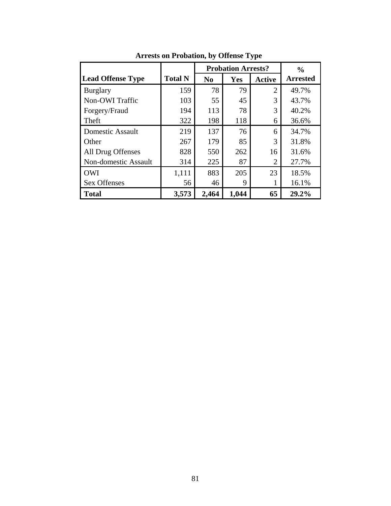|                          |                | <b>Probation Arrests?</b> | $\frac{0}{0}$ |                |                 |
|--------------------------|----------------|---------------------------|---------------|----------------|-----------------|
| <b>Lead Offense Type</b> | <b>Total N</b> | N <sub>0</sub>            | Yes           | <b>Active</b>  | <b>Arrested</b> |
| <b>Burglary</b>          | 159            | 78                        | 79            | $\overline{2}$ | 49.7%           |
| Non-OWI Traffic          | 103            | 55                        | 45            | 3              | 43.7%           |
| Forgery/Fraud            | 194            | 113                       | 78            | 3              | 40.2%           |
| Theft                    | 322            | 198                       | 118           | 6              | 36.6%           |
| <b>Domestic Assault</b>  | 219            | 137                       | 76            | 6              | 34.7%           |
| Other                    | 267            | 179                       | 85            | 3              | 31.8%           |
| All Drug Offenses        | 828            | 550                       | 262           | 16             | 31.6%           |
| Non-domestic Assault     | 314            | 225                       | 87            | 2              | 27.7%           |
| <b>OWI</b>               | 1,111          | 883                       | 205           | 23             | 18.5%           |
| <b>Sex Offenses</b>      | 56             | 46                        | 9             |                | 16.1%           |
| <b>Total</b>             | 3,573          | 2,464                     | 1,044         | 65             | 29.2%           |

**Arrests on Probation, by Offense Type**